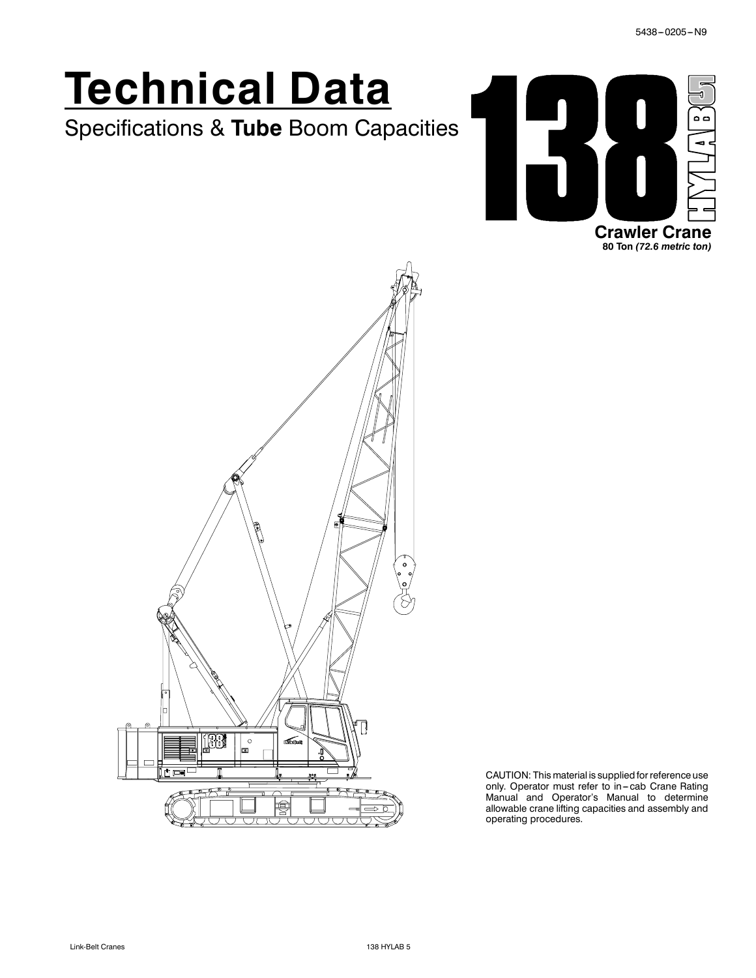# **Technical Data**

## Specifications & **Tube** Boom Capacities



**80 Ton** *(72.6 metric ton)*



CAUTION: This material is supplied for reference use only. Operator must refer to in-cab Crane Rating Manual and Operator's Manual to determine allowable crane lifting capacities and assembly and operating procedures.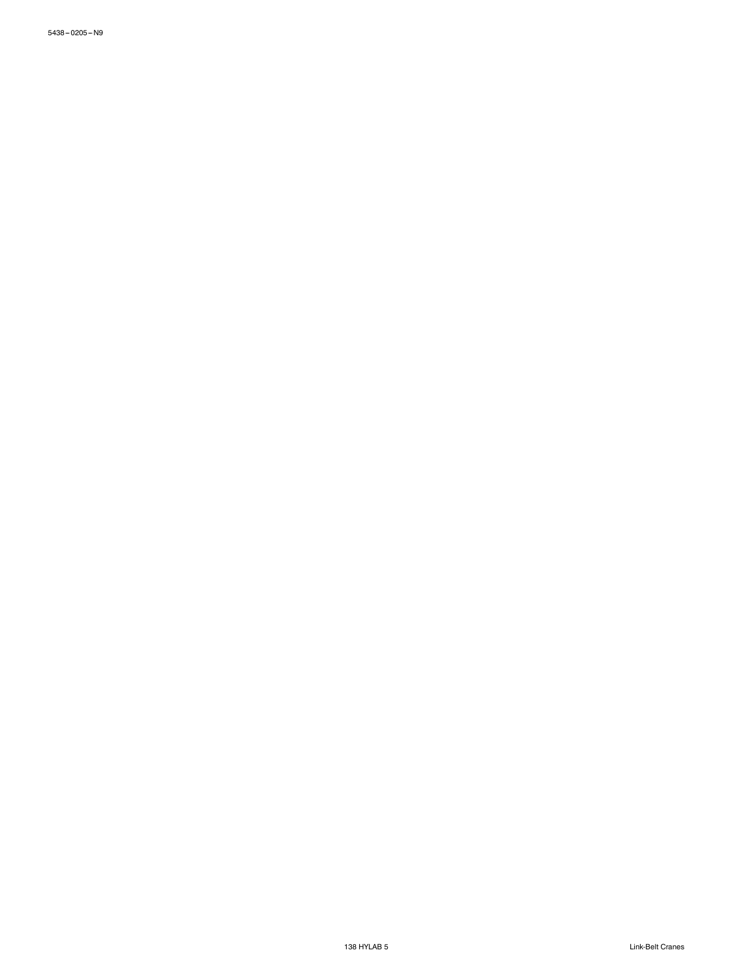$5438 - 0205 - N9$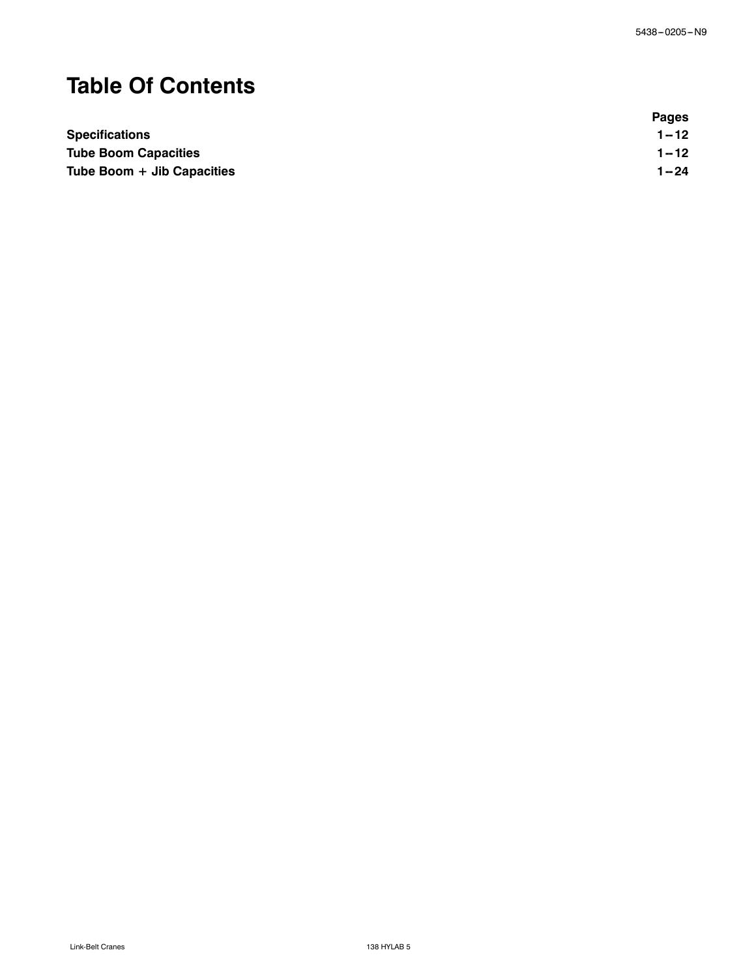## **Table Of Contents**

|                              | <b>Pages</b> |
|------------------------------|--------------|
| <b>Specifications</b>        | $1 - 12$     |
| <b>Tube Boom Capacities</b>  | $1 - 12$     |
| Tube Boom $+$ Jib Capacities | $1 - 24$     |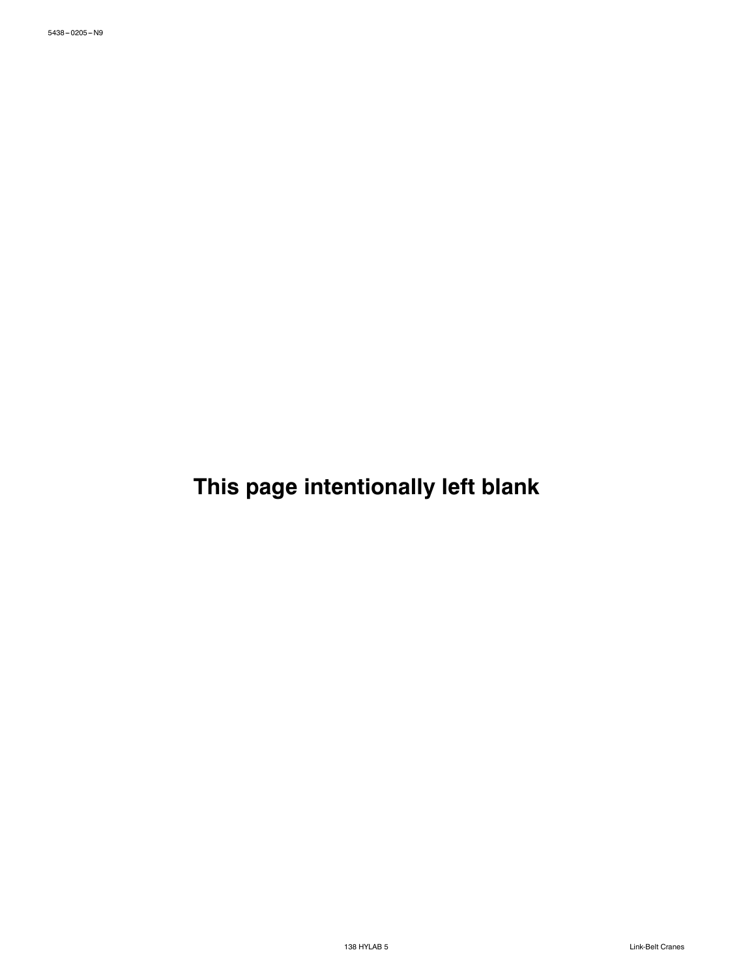**This page intentionally left blank**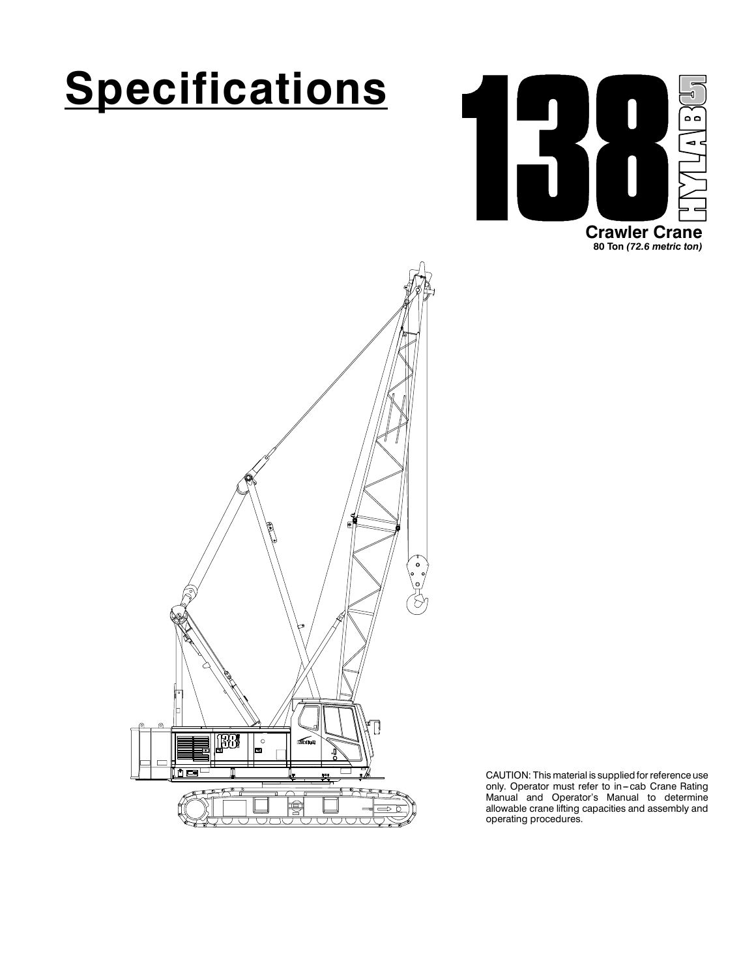# **Specifications**



**80 Ton** *(72.6 metric ton)*



CAUTION: This material is supplied for reference use only. Operator must refer to in-cab Crane Rating Manual and Operator's Manual to determine allowable crane lifting capacities and assembly and operating procedures.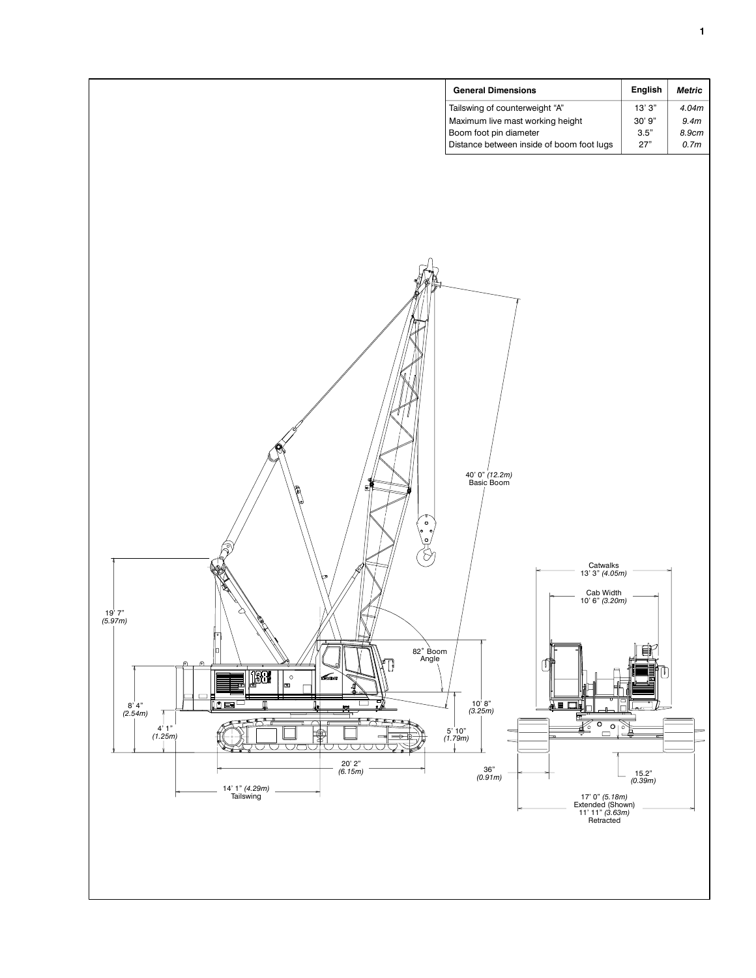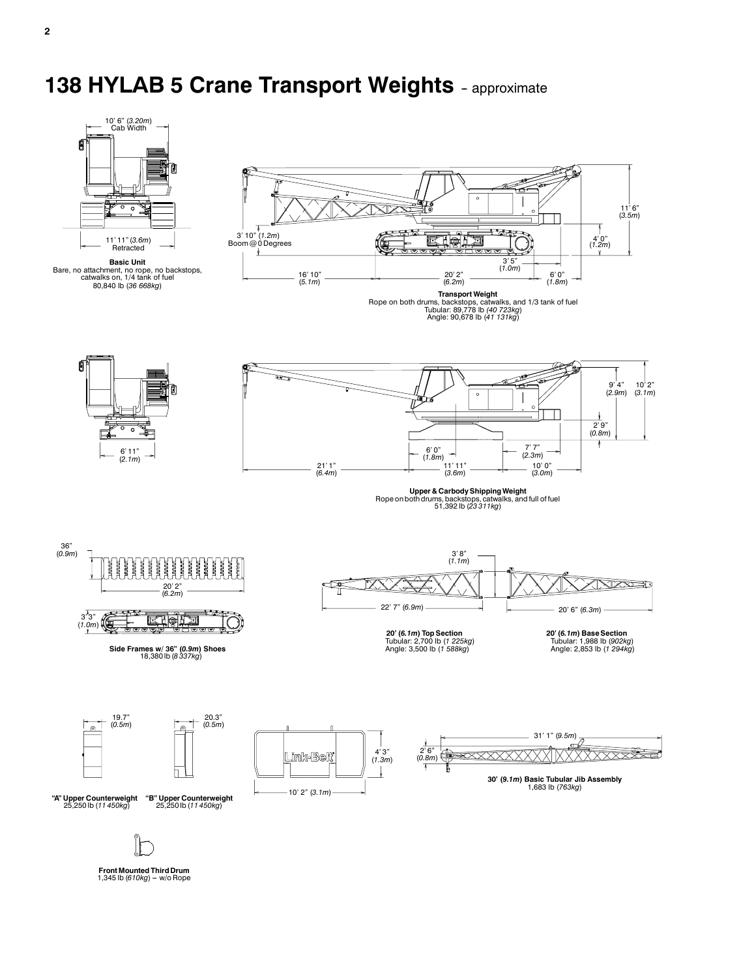## **138 HYLAB 5 Crane Transport Weights - approximate**

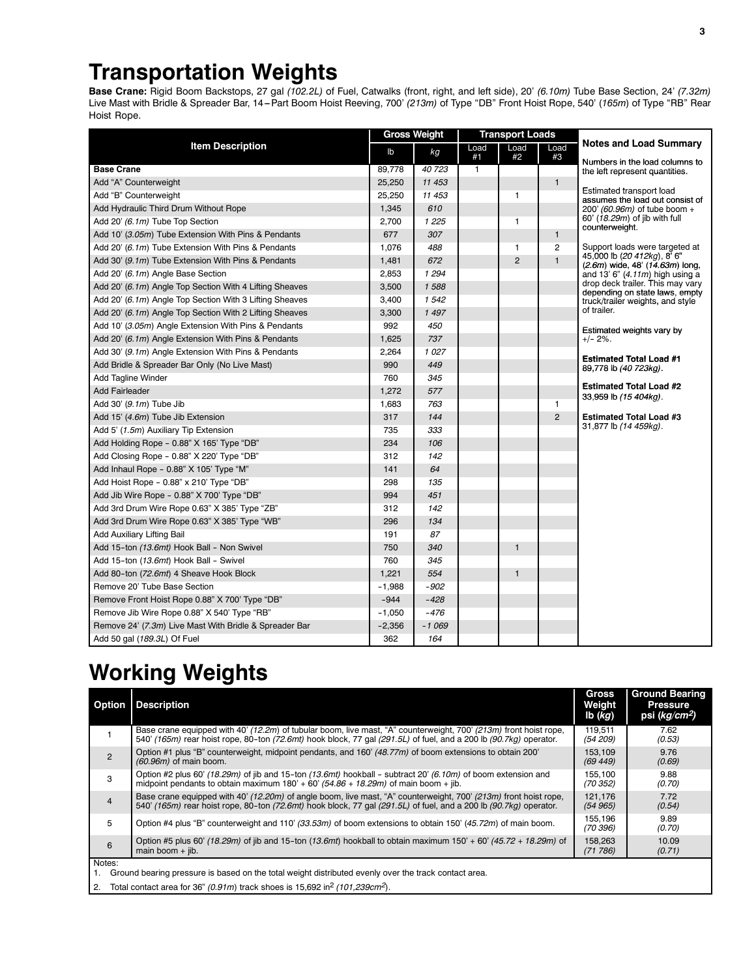## **Transportation Weights**

**Base Crane:** Rigid Boom Backstops, 27 gal *(102.2L)* of Fuel, Catwalks (front, right, and left side), 20' *(6.10m)* Tube Base Section, 24' *(7.32m)* Live Mast with Bridle & Spreader Bar, 14–Part Boom Hoist Reeving, 700' *(213m)* of Type "DB" Front Hoist Rope, 540' (*165m*) of Type "RB" Rear Hoist Rope.

|                                                         |          | <b>Gross Weight</b> |              | <b>Transport Loads</b> |                |                                                                    |  |
|---------------------------------------------------------|----------|---------------------|--------------|------------------------|----------------|--------------------------------------------------------------------|--|
| <b>Item Description</b>                                 | lb       | kg                  | Load<br>#1   | Load<br>#2             | Load<br>#3     | <b>Notes and Load Summary</b><br>Numbers in the load columns to    |  |
| <b>Base Crane</b>                                       | 89,778   | 40 723              | $\mathbf{1}$ |                        |                | the left represent quantities.                                     |  |
| Add "A" Counterweight                                   | 25,250   | 11 453              |              |                        | $\mathbf{1}$   |                                                                    |  |
| Add "B" Counterweight                                   | 25,250   | 11 453              |              | $\mathbf{1}$           |                | Estimated transport load<br>assumes the load out consist of        |  |
| Add Hydraulic Third Drum Without Rope                   | 1,345    | 610                 |              |                        |                | 200' (60.96m) of tube boom +                                       |  |
| Add 20' (6.1m) Tube Top Section                         | 2,700    | 1 2 2 5             |              | $\mathbf{1}$           |                | 60' (18.29m) of jib with full<br>counterweight.                    |  |
| Add 10' (3.05m) Tube Extension With Pins & Pendants     | 677      | 307                 |              |                        | $\mathbf{1}$   |                                                                    |  |
| Add 20' (6.1m) Tube Extension With Pins & Pendants      | 1,076    | 488                 |              | 1                      | $\overline{2}$ | Support loads were targeted at                                     |  |
| Add 30' (9.1m) Tube Extension With Pins & Pendants      | 1,481    | 672                 |              | $\overline{2}$         | $\mathbf{1}$   | 45,000 lb (20 412kg), 8' 6"<br>$(2.6m)$ wide, 48' $(14.63m)$ long, |  |
| Add 20' (6.1m) Angle Base Section                       | 2,853    | 1 2 9 4             |              |                        |                | and 13' 6" (4.11m) high using a                                    |  |
| Add 20' (6.1m) Angle Top Section With 4 Lifting Sheaves | 3,500    | 1588                |              |                        |                | drop deck trailer. This may vary<br>depending on state laws, empty |  |
| Add 20' (6.1m) Angle Top Section With 3 Lifting Sheaves | 3,400    | 1542                |              |                        |                | truck/trailer weights, and style                                   |  |
| Add 20' (6.1m) Angle Top Section With 2 Lifting Sheaves | 3,300    | 1 4 9 7             |              |                        |                | of trailer.                                                        |  |
| Add 10' (3.05m) Angle Extension With Pins & Pendants    | 992      | 450                 |              |                        |                | Estimated weights vary by                                          |  |
| Add 20' (6.1m) Angle Extension With Pins & Pendants     | 1,625    | 737                 |              |                        |                | $+/- 2\%$ .                                                        |  |
| Add 30' (9.1m) Angle Extension With Pins & Pendants     | 2,264    | 1027                |              |                        |                |                                                                    |  |
| Add Bridle & Spreader Bar Only (No Live Mast)           | 990      | 449                 |              |                        |                | <b>Estimated Total Load #1</b><br>89,778 lb (40 723kg).            |  |
| <b>Add Tagline Winder</b>                               | 760      | 345                 |              |                        |                |                                                                    |  |
| <b>Add Fairleader</b>                                   | 1,272    | 577                 |              |                        |                | <b>Estimated Total Load #2</b><br>33,959 lb (15 404kg).            |  |
| Add 30' (9.1m) Tube Jib                                 | 1,683    | 763                 |              |                        | $\mathbf{1}$   |                                                                    |  |
| Add 15' (4.6m) Tube Jib Extension                       | 317      | 144                 |              |                        | $\overline{2}$ | <b>Estimated Total Load #3</b>                                     |  |
| Add 5' (1.5m) Auxiliary Tip Extension                   | 735      | 333                 |              |                        |                | 31,877 lb (14 459kg).                                              |  |
| Add Holding Rope - 0.88" X 165' Type "DB"               | 234      | 106                 |              |                        |                |                                                                    |  |
| Add Closing Rope - 0.88" X 220' Type "DB"               | 312      | 142                 |              |                        |                |                                                                    |  |
| Add Inhaul Rope - 0.88" X 105' Type "M"                 | 141      | 64                  |              |                        |                |                                                                    |  |
| Add Hoist Rope - 0.88" x 210' Type "DB"                 | 298      | 135                 |              |                        |                |                                                                    |  |
| Add Jib Wire Rope - 0.88" X 700' Type "DB"              | 994      | 451                 |              |                        |                |                                                                    |  |
| Add 3rd Drum Wire Rope 0.63" X 385' Type "ZB"           | 312      | 142                 |              |                        |                |                                                                    |  |
| Add 3rd Drum Wire Rope 0.63" X 385' Type "WB"           | 296      | 134                 |              |                        |                |                                                                    |  |
| Add Auxiliary Lifting Bail                              | 191      | 87                  |              |                        |                |                                                                    |  |
| Add 15-ton (13.6mt) Hook Ball - Non Swivel              | 750      | 340                 |              | $\mathbf{1}$           |                |                                                                    |  |
| Add 15-ton (13.6mt) Hook Ball - Swivel                  | 760      | 345                 |              |                        |                |                                                                    |  |
| Add 80-ton (72.6mt) 4 Sheave Hook Block                 | 1,221    | 554                 |              | $\mathbf{1}$           |                |                                                                    |  |
| Remove 20' Tube Base Section                            | $-1,988$ | $-902$              |              |                        |                |                                                                    |  |
| Remove Front Hoist Rope 0.88" X 700' Type "DB"          | $-944$   | $-428$              |              |                        |                |                                                                    |  |
| Remove Jib Wire Rope 0.88" X 540' Type "RB"             | $-1,050$ | $-476$              |              |                        |                |                                                                    |  |
| Remove 24' (7.3m) Live Mast With Bridle & Spreader Bar  | $-2,356$ | $-1069$             |              |                        |                |                                                                    |  |
| Add 50 gal (189.3L) Of Fuel                             | 362      | 164                 |              |                        |                |                                                                    |  |

# **Working Weights**

| <b>Option</b>  | <b>Description</b>                                                                                                | Gross<br>Weight<br>$I\mathsf{b}(kg)$ | <b>Ground Bearing</b><br><b>Pressure</b><br>psi ( <i>kg/cm<sup>2</sup>)</i> |  |  |  |  |  |  |  |  |
|----------------|-------------------------------------------------------------------------------------------------------------------|--------------------------------------|-----------------------------------------------------------------------------|--|--|--|--|--|--|--|--|
|                | Base crane equipped with 40' (12.2m) of tubular boom, live mast, "A" counterweight, 700' (213m) front hoist rope, | 119.511                              | 7.62                                                                        |  |  |  |  |  |  |  |  |
|                | 540' (165m) rear hoist rope, 80-ton (72.6mt) hook block, 77 gal (291.5L) of fuel, and a 200 lb (90.7kg) operator. | (54 209)                             | (0.53)                                                                      |  |  |  |  |  |  |  |  |
| $\mathfrak{p}$ | Option #1 plus "B" counterweight, midpoint pendants, and 160' (48.77m) of boom extensions to obtain 200'          | 153.109                              | 9.76                                                                        |  |  |  |  |  |  |  |  |
|                | $(60.96m)$ of main boom.                                                                                          | (69, 449)                            | (0.69)                                                                      |  |  |  |  |  |  |  |  |
| 3              | Option #2 plus 60' (18.29m) of jib and 15-ton (13.6mt) hookball - subtract 20' (6.10m) of boom extension and      | 155.100                              | 9.88                                                                        |  |  |  |  |  |  |  |  |
|                | midpoint pendants to obtain maximum 180' + 60' (54.86 + 18.29m) of main boom + jib.                               | (70 352)                             | (0.70)                                                                      |  |  |  |  |  |  |  |  |
| $\overline{4}$ | Base crane equipped with 40' (12.20m) of angle boom, live mast, "A" counterweight, 700' (213m) front hoist rope,  | 121.176                              | 7.72                                                                        |  |  |  |  |  |  |  |  |
|                | 540' (165m) rear hoist rope, 80-ton (72.6mt) hook block, 77 gal (291.5L) of fuel, and a 200 lb (90.7kg) operator. | (54965)                              | (0.54)                                                                      |  |  |  |  |  |  |  |  |
| 5              | Option #4 plus "B" counterweight and 110' (33.53m) of boom extensions to obtain 150' (45.72m) of main boom.       | 155.196<br>(70 396)                  | 9.89<br>(0.70)                                                              |  |  |  |  |  |  |  |  |
| 6              | Option #5 plus 60' (18.29m) of jib and 15-ton (13.6mt) hookball to obtain maximum 150' + 60' (45.72 + 18.29m) of  | 158,263                              | 10.09                                                                       |  |  |  |  |  |  |  |  |
|                | main boom $+$ jib.                                                                                                | (71 786)                             | (0.71)                                                                      |  |  |  |  |  |  |  |  |
| Notes:         | Ground bearing pressure is based on the total weight distributed evenly over the track contact area.              |                                      |                                                                             |  |  |  |  |  |  |  |  |
| 2.             | Total contact area for 36" (0.91m) track shoes is 15,692 in <sup>2</sup> (101,239cm <sup>2</sup> ).               |                                      |                                                                             |  |  |  |  |  |  |  |  |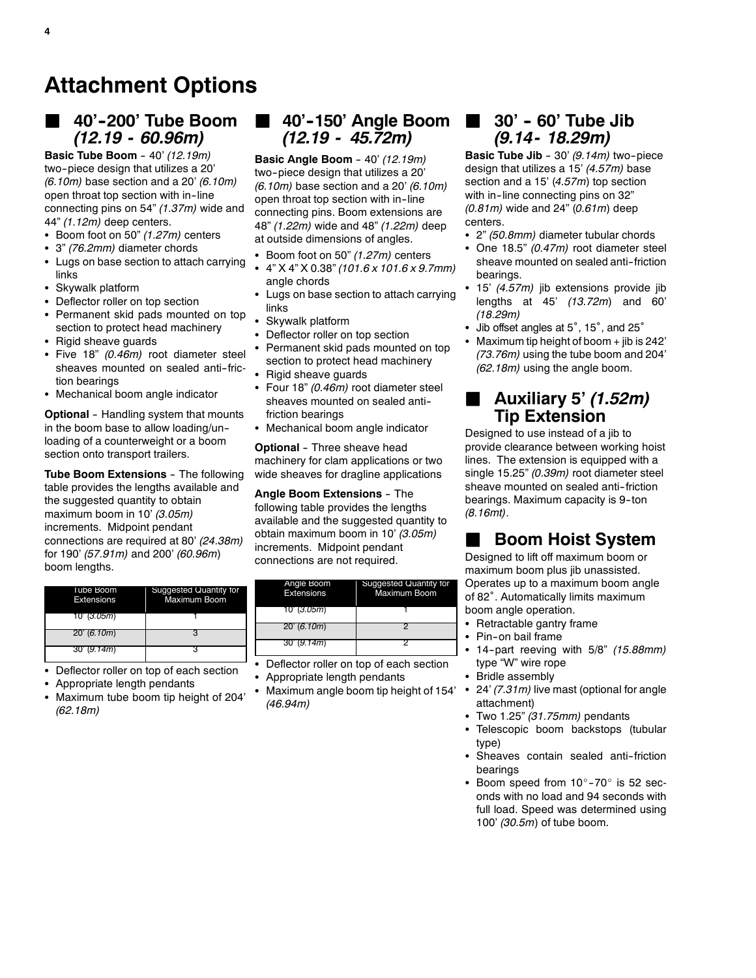### **Attachment Options**

#### J **40'--200' Tube Boom (12.19 - 60.96m)**

**Basic Tube Boom** - 40' (12.19m) two-piece design that utilizes a 20' (6.10m) base section and a 20' (6.10m) open throat top section with in-line connecting pins on 54" (1.37m) wide and 44" (1.12m) deep centers.

- $\bullet$  Boom foot on 50" (1.27m) centers
- 3" (76.2mm) diameter chords
- Lugs on base section to attach carrying links
- Skywalk platform
- Deflector roller on top section
- Permanent skid pads mounted on top section to protect head machinery
- Rigid sheave guards
- Five 18" (0.46m) root diameter steel sheaves mounted on sealed anti-friction bearings
- Mechanical boom angle indicator

**Optional** - Handling system that mounts in the boom base to allow loading/un- loading of a counterweight or a boom section onto transport trailers.

**Tube Boom Extensions - The following** table provides the lengths available and the suggested quantity to obtain maximum boom in 10' (3.05m) increments. Midpoint pendant connections are required at 80' (24.38m) for 190' (57.91m) and 200' (60.96m) boom lengths.

| <b>Tube Boom</b><br>Extensions | Suggested Quantity for<br>Maximum Boom |
|--------------------------------|----------------------------------------|
| 10'(3.05m)                     |                                        |
| 20'(6.10m)                     |                                        |
| 30'(9.14m)                     |                                        |

- Deflector roller on top of each section
- Appropriate length pendants
- Maximum tube boom tip height of 204' (62.18m)

#### J **40'--150' Angle Boom (12.19 - 45.72m)**

**Basic Angle Boom** - 40' (12.19m) two-piece design that utilizes a 20' (6.10m) base section and a 20' (6.10m) open throat top section with in-line connecting pins. Boom extensions are 48" (1.22m) wide and 48" (1.22m) deep at outside dimensions of angles.

- Boom foot on 50" (1.27m) centers
- 4" X 4" X 0.38" (101.6 x 101.6 x 9.7mm) angle chords
- Lugs on base section to attach carrying links
- Skywalk platform
- Deflector roller on top section
- Permanent skid pads mounted on top section to protect head machinery
- Rigid sheave guards
- Four 18" (0.46m) root diameter steel sheaves mounted on sealed anti- friction bearings
- Mechanical boom angle indicator

**Optional** - Three sheave head machinery for clam applications or two wide sheaves for dragline applications

**Angle Boom Extensions - The** following table provides the lengths available and the suggested quantity to obtain maximum boom in 10' (3.05m) increments. Midpoint pendant connections are not required.

| Angle Boom<br>Extensions | <b>Suggested Quantity for</b><br>Maximum Boom |
|--------------------------|-----------------------------------------------|
| 10' (3.05m)              |                                               |
| 20'(6.10m)               |                                               |
| 30'(9.14m)               |                                               |

Deflector roller on top of each section

- Appropriate length pendants
- Maximum angle boom tip height of 154' (46.94m)

#### **130' - 60' Tube Jib (9.14- 18.29m)**

**Basic Tube Jib - 30' (9.14m) two-piece** design that utilizes a 15' (4.57m) base section and a 15' (4.57m) top section with in-line connecting pins on 32"  $(0.81m)$  wide and 24"  $(0.61m)$  deep centers.

- 2" (50.8mm) diameter tubular chords
- $\bullet$  One 18.5" (0.47m) root diameter steel sheave mounted on sealed anti-friction bearings.
- $\cdot$  15' (4.57m) jib extensions provide jib lengths at 45' (13.72m) and 60' (18.29m)
- Jib offset angles at 5°, 15°, and 25°
- Maximum tip height of boom  $+$  jib is 242' (73.76m) using the tube boom and 204' (62.18m) using the angle boom.

#### J **Auxiliary 5' (1.52m) Tip Extension**

Designed to use instead of a jib to provide clearance between working hoist lines. The extension is equipped with a single 15.25" (0.39m) root diameter steel sheave mounted on sealed anti-friction bearings. Maximum capacity is 9-ton (8.16mt).

#### **Boom Hoist System**

Designed to lift off maximum boom or maximum boom plus jib unassisted. Operates up to a maximum boom angle of 82˚. Automatically limits maximum boom angle operation.

- Retractable gantry frame
- Pin-on bail frame
- $\cdot$  14-part reeving with 5/8" (15.88mm) type "W" wire rope
- Bridle assembly
- $\cdot$  24' (7.31m) live mast (optional for angle attachment)
- $\bullet$  Two 1.25" (31.75mm) pendants
- Telescopic boom backstops (tubular type)
- Sheaves contain sealed anti-friction bearings
- Boom speed from  $10^\circ$ -70 $^\circ$  is 52 seconds with no load and 94 seconds with full load. Speed was determined using 100' (30.5m) of tube boom.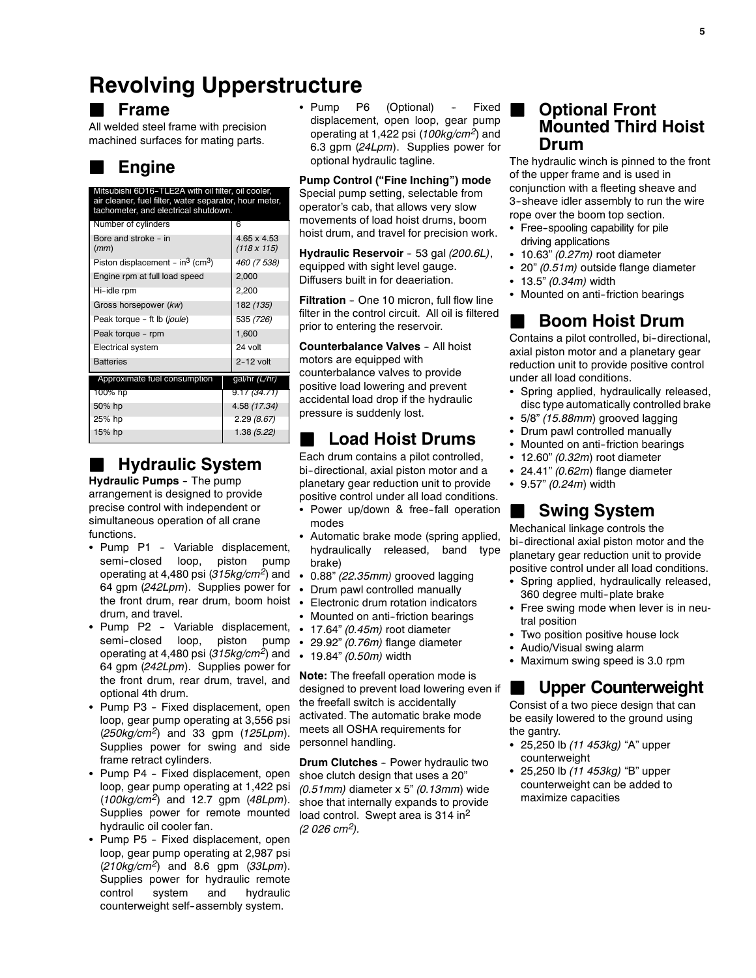## **Revolving Upperstructure**

#### J **Frame**

All welded steel frame with precision machined surfaces for mating parts.

#### **Engine**

| Mitsubishi 6D16-TLE2A with oil filter, oil cooler,<br>air cleaner, fuel filter, water separator, hour meter,<br>tachometer, and electrical shutdown. |                                 |  |  |  |  |  |  |  |
|------------------------------------------------------------------------------------------------------------------------------------------------------|---------------------------------|--|--|--|--|--|--|--|
| Number of cylinders                                                                                                                                  | 6                               |  |  |  |  |  |  |  |
| Bore and stroke - in<br>(mm)                                                                                                                         | 465 x 453<br>$(118 \times 115)$ |  |  |  |  |  |  |  |
| Piston displacement - in <sup>3</sup> (cm <sup>3</sup> )                                                                                             | 460 (7 538)                     |  |  |  |  |  |  |  |
| Engine rpm at full load speed                                                                                                                        | 2,000                           |  |  |  |  |  |  |  |
| Hi-idle rpm                                                                                                                                          | 2,200                           |  |  |  |  |  |  |  |
| Gross horsepower (kw)                                                                                                                                | 182 (135)                       |  |  |  |  |  |  |  |
| Peak torque - ft lb (joule)                                                                                                                          | 535 (726)                       |  |  |  |  |  |  |  |
| Peak torque - rpm                                                                                                                                    | 1,600                           |  |  |  |  |  |  |  |
| <b>Electrical system</b>                                                                                                                             | 24 volt                         |  |  |  |  |  |  |  |
| <b>Batteries</b>                                                                                                                                     | $2 - 12$ volt                   |  |  |  |  |  |  |  |
| Approximate fuel consumption                                                                                                                         | gal/hr (L/hr)                   |  |  |  |  |  |  |  |
| 100% hp                                                                                                                                              | 9.17 (34.71)                    |  |  |  |  |  |  |  |
| 50% hp                                                                                                                                               | 4.58 (17.34)                    |  |  |  |  |  |  |  |
| 25% hp                                                                                                                                               | 2.29(8.67)                      |  |  |  |  |  |  |  |
| 15% hp                                                                                                                                               | 1.38(5.22)                      |  |  |  |  |  |  |  |

#### **N** Hydraulic System

**Hydraulic Pumps** - The pump arrangement is designed to provide precise control with independent or simultaneous operation of all crane functions.

- Pump P1 Variable displacement, semi-closed loop, piston pump operating at 4,480 psi  $(315 \text{kg/cm}^2)$  and 64 gpm (242Lpm). Supplies power for the front drum, rear drum, boom hoist • drum, and travel.
- Pump P2 Variable displacement, 17.64" (0.45m) root diameter semi-closed loop, piston pump • 29.92" (0.76m) flange-diameter operating at 4,480 psi  $(315 \text{kg/cm}^2)$  and 64 gpm (242Lpm). Supplies power for the front drum, rear drum, travel, and optional 4th drum.
- Pump P3 Fixed displacement, open loop, gear pump operating at 3,556 psi  $(250kg/cm<sup>2</sup>)$  and 33 gpm  $(125Lpm)$ . Supplies power for swing and side frame retract cylinders.
- Pump P4 Fixed displacement, open loop, gear pump operating at 1,422 psi  $(100kg/cm<sup>2</sup>)$  and 12.7 gpm  $(48Lpm)$ . Supplies power for remote mounted hydraulic oil cooler fan.
- Pump P5 Fixed displacement, open loop, gear pump operating at 2,987 psi  $(210 \text{kg/cm}^2)$  and 8.6 gpm  $(33 \text{Lpm})$ . Supplies power for hydraulic remote control system and hydraulic counterweight self-assembly system.

• Pump P6 (Optional) - Fixed displacement, open loop, gear pump operating at 1,422 psi (100kg/cm<sup>2</sup>) and 6.3 gpm (24Lpm). Supplies power for optional hydraulic tagline.

**Pump Control ("Fine Inching") mode** Special pump setting, selectable from operator's cab, that allows very slow movements of load hoist drums, boom hoist drum, and travel for precision work.

Hydraulic Reservoir - 53 gal (200.6L), equipped with sight level gauge. Diffusers built in for deaeriation.

Filtration - One 10 micron, full flow line filter in the control circuit. All oil is filtered prior to entering the reservoir.

**Counterbalance Valves - All hoist** motors are equipped with counterbalance valves to provide positive load lowering and prevent accidental load drop if the hydraulic pressure is suddenly lost.

#### **Load Hoist Drums**

Each drum contains a pilot controlled, bi-directional, axial piston motor and a planetary gear reduction unit to provide positive control under all load conditions.

- Power up/down & free-fall operation modes
- Automatic brake mode (spring applied, hydraulically released, band type brake)
- $\cdot$  0.88" (22.35mm) grooved lagging
- Drum pawl controlled manually
- Electronic drum rotation indicators
- Mounted on anti-friction bearings
- 
- 
- $\cdot$  19.84" (0.50m) width

**Note:** The freefall operation mode is designed to prevent load lowering even if the freefall switch is accidentally activated. The automatic brake mode meets all OSHA requirements for personnel handling.

**Drum Clutches** - Power hydraulic two shoe clutch design that uses a 20"  $(0.51$ mm) diameter x 5"  $(0.13$ mm) wide shoe that internally expands to provide load control. Swept area is 314 in<sup>2</sup> (2 026 cm2).

#### **Optional Front Mounted Third Hoist Drum**

The hydraulic winch is pinned to the front of the upper frame and is used in conjunction with a fleeting sheave and 3--sheave idler assembly to run the wire rope over the boom top section.

- Free-spooling capability for pile driving applications
- $\cdot$  10.63" (0.27m) root diameter
- $\cdot$  20" (0.51m) outside flange diameter
- $\cdot$  13.5" (0.34m) width
- Mounted on anti-friction bearings

#### **Boom Hoist Drum**

Contains a pilot controlled, bi-directional, axial piston motor and a planetary gear reduction unit to provide positive control under all load conditions.

- Spring applied, hydraulically released, disc type automatically controlled brake
- 5/8" (15.88mm) grooved lagging
- Drum pawl controlled manually
- Mounted on anti-friction bearings
- $\cdot$  12.60" (0.32m) root diameter
- $\cdot$  24.41" (0.62m) flange diameter
- $\cdot$  9.57" (0.24m) width

#### **Swing System**

Mechanical linkage controls the bi--directional axial piston motor and the planetary gear reduction unit to provide positive control under all load conditions.

- Spring applied, hydraulically released, 360 degree multi-plate brake
- Free swing mode when lever is in neutral position
- Two position positive house lock
- Audio/Visual swing alarm
- Maximum swing speed is 3.0 rpm

#### **Upper Counterweight**

Consist of a two piece design that can be easily lowered to the ground using the gantry.

- 25,250 lb (11 453kg) "A" upper counterweight
- 25,250 lb (11 453kg) "B" upper counterweight can be added to maximize capacities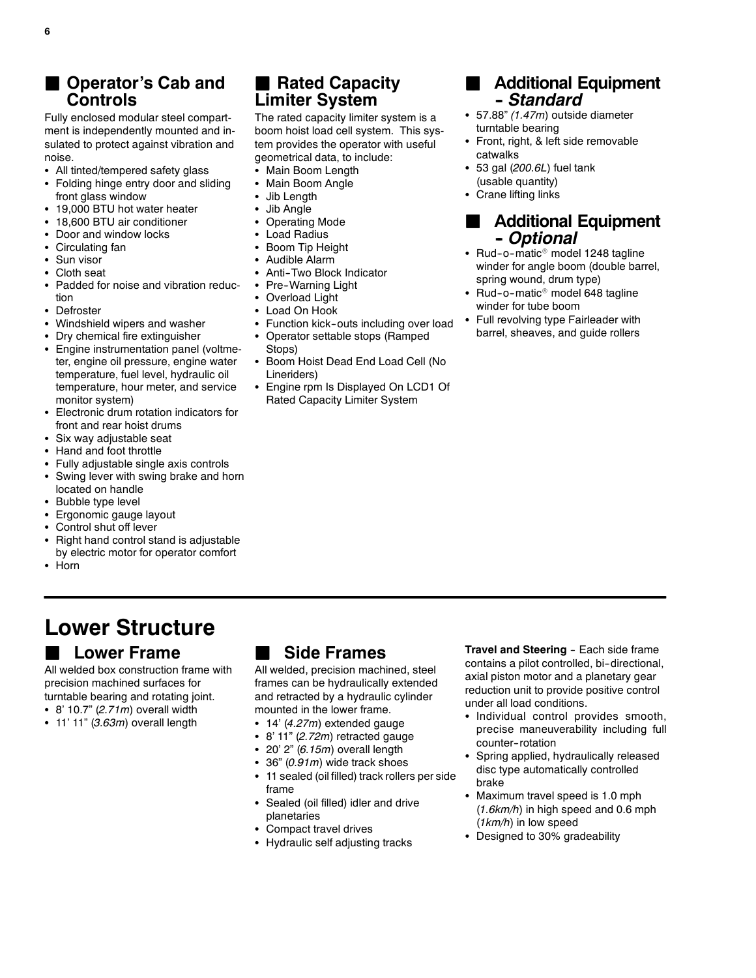Fully enclosed modular steel compartment is independently mounted and insulated to protect against vibration and noise.

- All tinted/tempered safety glass
- Folding hinge entry door and sliding front glass window
- 19,000 BTU hot water heater
- 18,600 BTU air conditioner
- Door and window locks
- Circulating fan
- Sun visor
- Cloth seat
- Padded for noise and vibration reduction
- Defroster
- Windshield wipers and washer
- Dry chemical fire extinguisher
- Engine instrumentation panel (voltmeter, engine oil pressure, engine water temperature, fuel level, hydraulic oil temperature, hour meter, and service monitor system)
- Electronic drum rotation indicators for front and rear hoist drums
- Six way adjustable seat
- Hand and foot throttle
- Fully adjustable single axis controls • Swing lever with swing brake and horn
- located on handle
- Bubble type level
- Ergonomic gauge layout
- Control shut off lever
- Right hand control stand is adjustable by electric motor for operator comfort
- $\cdot$  Horn

#### **Rated Capacity Limiter System**

The rated capacity limiter system is a boom hoist load cell system. This system provides the operator with useful geometrical data, to include:

- Main Boom Length
- Main Boom Angle
- Jib Length
- **Jib Angle**
- **Operating Mode**
- **Load Radius**
- **Boom Tip Height**
- Audible Alarm
- Anti-Two Block Indicator
- Pre-Warning Light
- Overload Light
- Load On Hook
- Function kick-outs including over load
- Operator settable stops (Ramped Stops)
- S Boom Hoist Dead End Load Cell (No Lineriders)
- Engine rpm Is Displayed On LCD1 Of Rated Capacity Limiter System

#### **Additional Equipment -- Standard**

- $\cdot$  57.88" (1.47m) outside diameter turntable bearing
- Front, right, & left side removable catwalks
- 53 gal (200.6L) fuel tank
- (usable quantity) • Crane lifting links

#### **Additional Equipment -- Optional**

- $\bullet$  Rud-o-matic<sup>®</sup> model 1248 tagline winder for angle boom (double barrel, spring wound, drum type)
- Rud-o-matic<sup>®</sup> model 648 tagline winder for tube boom
- Full revolving type Fairleader with barrel, sheaves, and guide rollers

# **Lower Structure**

#### **Lower Frame**

All welded box construction frame with precision machined surfaces for turntable bearing and rotating joint.

- $\bullet$  8' 10.7" (2.71m) overall width
- $\cdot$  11' 11" (3.63m) overall length

#### **Side Frames**

All welded, precision machined, steel frames can be hydraulically extended and retracted by a hydraulic cylinder mounted in the lower frame.

- $\cdot$  14' (4.27m) extended gauge
- $\cdot$  8' 11" (2.72m) retracted gauge
- $\cdot$  20' 2" (6.15m) overall length
- 36" (0.91m) wide track shoes
- 11 sealed (oil filled) track rollers per side frame
- Sealed (oil filled) idler and drive planetaries
- Compact travel drives
- Hydraulic self adjusting tracks

**Travel and Steering - Each side frame** contains a pilot controlled, bi-directional, axial piston motor and a planetary gear reduction unit to provide positive control under all load conditions.

- Individual control provides smooth, precise maneuverability including full counter--rotation
- Spring applied, hydraulically released disc type automatically controlled brake
- Maximum travel speed is 1.0 mph (1.6km/h) in high speed and 0.6 mph (1km/h) in low speed
- Designed to 30% gradeability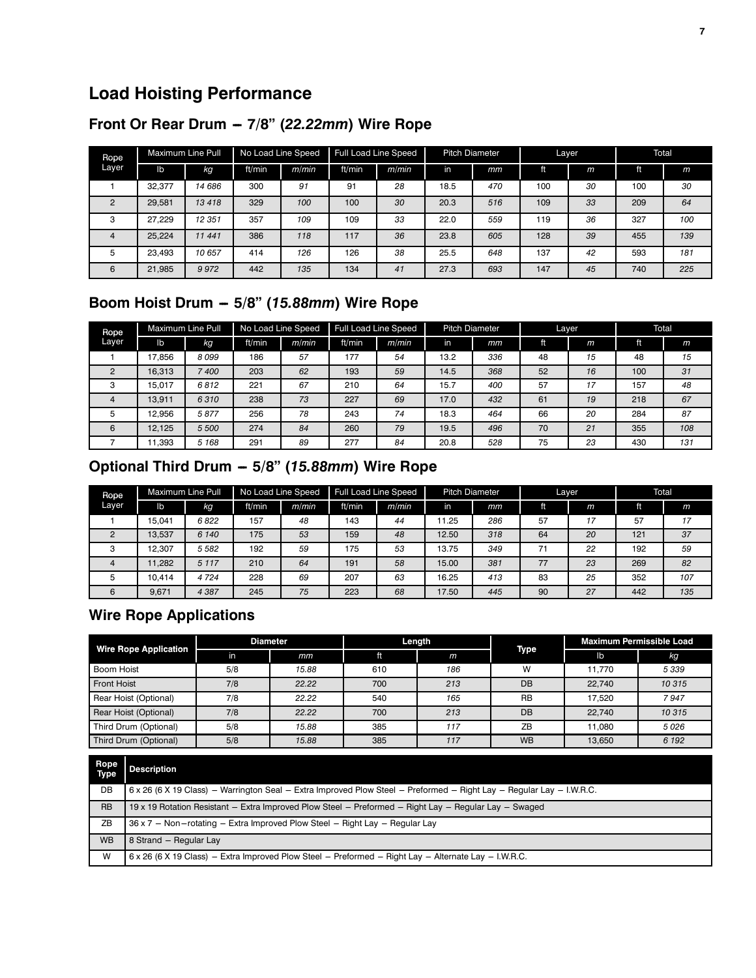#### **Load Hoisting Performance**

#### Front Or Rear Drum - 7/8" (22.22mm) Wire Rope

| Rope  | Full Load Line Speed<br>Maximum Line Pull<br>No Load Line Speed |        | <b>Pitch Diameter</b> |       | Layer  |       | Total |     |     |    |     |     |
|-------|-----------------------------------------------------------------|--------|-----------------------|-------|--------|-------|-------|-----|-----|----|-----|-----|
| Layer | lb                                                              | kg     | ft/min                | m/min | ft/min | m/min | in    | mm  | ft  | m  | ft  | m   |
|       | 32.377                                                          | 14 686 | 300                   | 91    | 91     | 28    | 18.5  | 470 | 100 | 30 | 100 | 30  |
| 2     | 29.581                                                          | 13418  | 329                   | 100   | 100    | 30    | 20.3  | 516 | 109 | 33 | 209 | 64  |
| з     | 27.229                                                          | 12 351 | 357                   | 109   | 109    | 33    | 22.0  | 559 | 119 | 36 | 327 | 100 |
| 4     | 25,224                                                          | 11 441 | 386                   | 118   | 117    | 36    | 23.8  | 605 | 128 | 39 | 455 | 139 |
| 5     | 23.493                                                          | 10 657 | 414                   | 126   | 126    | 38    | 25.5  | 648 | 137 | 42 | 593 | 181 |
| 6     | 21,985                                                          | 9972   | 442                   | 135   | 134    | 41    | 27.3  | 693 | 147 | 45 | 740 | 225 |

#### Boom Hoist Drum -- 5/8" (15.88mm) Wire Rope

| Rope           |        | Full Load Line Speed<br>Maximum Line Pull<br>No Load Line Speed |        | <b>Pitch Diameter</b> |        | Laver |      | Total |    |    |     |     |
|----------------|--------|-----------------------------------------------------------------|--------|-----------------------|--------|-------|------|-------|----|----|-----|-----|
| Layer          | Ib     | kg                                                              | ft/min | m/min                 | ft/min | m/min | in   | mm    | ft | m. | ft  | m   |
|                | 17.856 | 8 0 9 9                                                         | 186    | 57                    | 177    | 54    | 13.2 | 336   | 48 | 15 | 48  | 15  |
| $\overline{2}$ | 16.313 | 7400                                                            | 203    | 62                    | 193    | 59    | 14.5 | 368   | 52 | 16 | 100 | 31  |
| з              | 15.017 | 6812                                                            | 221    | 67                    | 210    | 64    | 15.7 | 400   | 57 | 17 | 157 | 48  |
| 4              | 13.911 | 6310                                                            | 238    | 73                    | 227    | 69    | 17.0 | 432   | 61 | 19 | 218 | 67  |
| 5              | 12.956 | 5877                                                            | 256    | 78                    | 243    | 74    | 18.3 | 464   | 66 | 20 | 284 | 87  |
| 6              | 12.125 | 5 500                                                           | 274    | 84                    | 260    | 79    | 19.5 | 496   | 70 | 21 | 355 | 108 |
|                | 11.393 | 5 1 6 8                                                         | 291    | 89                    | 277    | 84    | 20.8 | 528   | 75 | 23 | 430 | 131 |

#### Optional Third Drum - 5/8" (15.88mm) Wire Rope

| Rope  | <b>Maximum Line Pull</b><br>No Load Line Speed |         |        | Full Load Line Speed |        | <b>Pitch Diameter</b> |       | Layer |    | <b>Total</b> |     |     |
|-------|------------------------------------------------|---------|--------|----------------------|--------|-----------------------|-------|-------|----|--------------|-----|-----|
| Layer | lb                                             | kg      | ft/min | m/min                | ft/min | m/min                 | in    | mm    | ft | m            | ft  | m   |
|       | 15.041                                         | 6822    | 157    | 48                   | 143    | 44                    | 11.25 | 286   | 57 | 17           | 57  | 17  |
| 2     | 13.537                                         | 6 140   | 175    | 53                   | 159    | 48                    | 12.50 | 318   | 64 | 20           | 121 | 37  |
|       | 12.307                                         | 5 5 8 2 | 192    | 59                   | 175    | 53                    | 13.75 | 349   | 71 | 22           | 192 | 59  |
| 4     | 11.282                                         | 5 1 1 7 | 210    | 64                   | 191    | 58                    | 15.00 | 381   | 77 | 23           | 269 | 82  |
|       | 10.414                                         | 4 7 2 4 | 228    | 69                   | 207    | 63                    | 16.25 | 413   | 83 | 25           | 352 | 107 |
| 6     | 9.671                                          | 4 3 8 7 | 245    | 75                   | 223    | 68                    | 17.50 | 445   | 90 | 27           | 442 | 135 |

#### **Wire Rope Applications**

|                              | <b>Diameter</b> |       | Length |     |             | <b>Maximum Permissible Load</b> |           |  |
|------------------------------|-----------------|-------|--------|-----|-------------|---------------------------------|-----------|--|
| <b>Wire Rope Application</b> | in              | mm    | ft     | m   | <b>Type</b> | lb                              | <b>kg</b> |  |
| <b>Boom Hoist</b>            | 5/8             | 15.88 | 610    | 186 | W           | 11.770                          | 5 3 3 9   |  |
| Front Hoist                  | 7/8             | 22.22 | 700    | 213 | DB          | 22.740                          | 10315     |  |
| Rear Hoist (Optional)        | 7/8             | 22.22 | 540    | 165 | <b>RB</b>   | 17.520                          | 7947      |  |
| Rear Hoist (Optional)        | 7/8             | 22.22 | 700    | 213 | DB          | 22.740                          | 10315     |  |
| Third Drum (Optional)        | 5/8             | 15.88 | 385    | 117 | ZB          | 11.080                          | 5026      |  |
| Third Drum (Optional)        | 5/8             | 15.88 | 385    | 117 | <b>WB</b>   | 13.650                          | 6 192     |  |

| Rope<br>Type | <b>Description</b>                                                                                                          |
|--------------|-----------------------------------------------------------------------------------------------------------------------------|
| <b>DB</b>    | $6 \times 26$ (6 X 19 Class) – Warrington Seal – Extra Improved Plow Steel – Preformed – Right Lay – Regular Lay – I.W.R.C. |
| <b>RB</b>    | 19 x 19 Rotation Resistant - Extra Improved Plow Steel - Preformed - Right Lay - Regular Lay - Swaged                       |
| ZΒ           | 36 x 7 - Non-rotating - Extra Improved Plow Steel - Right Lay - Regular Lay                                                 |
| <b>WB</b>    | 8 Strand - Regular Lay                                                                                                      |
| W            | 6 x 26 (6 X 19 Class) - Extra Improved Plow Steel - Preformed - Right Lay - Alternate Lay - I.W.R.C.                        |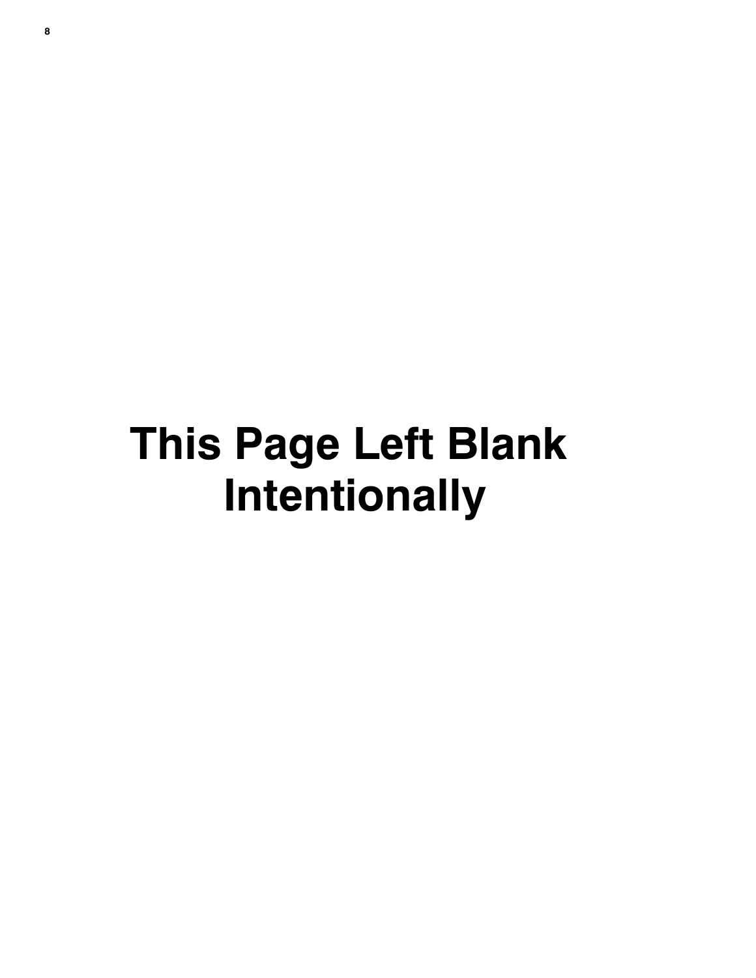# **This Page Left Blank Intentionally**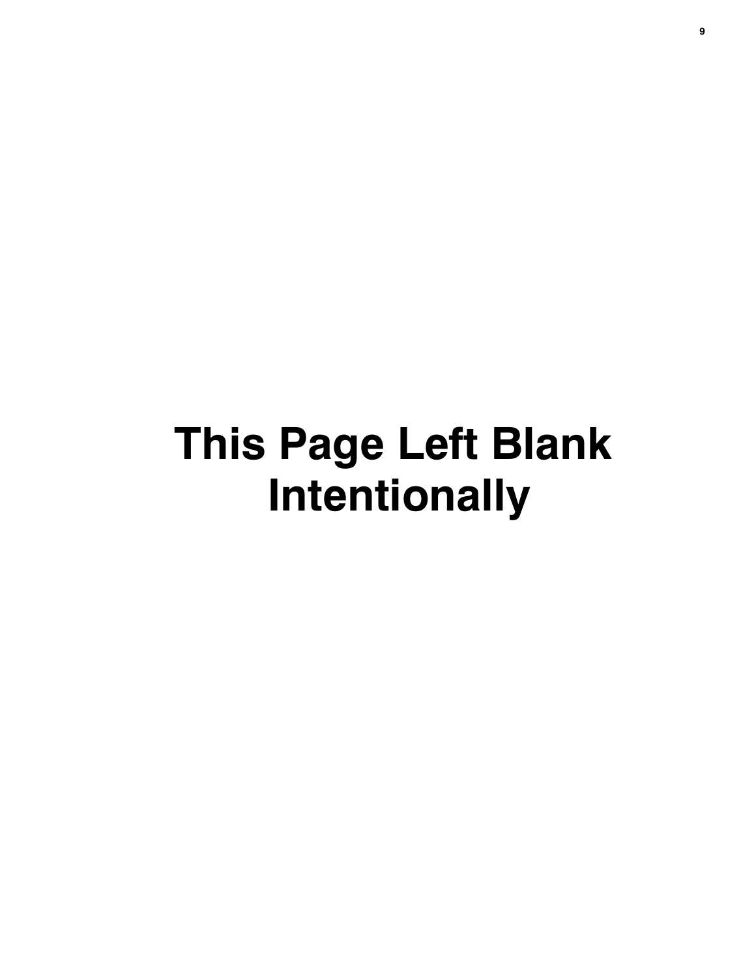# **This Page Left Blank Intentionally**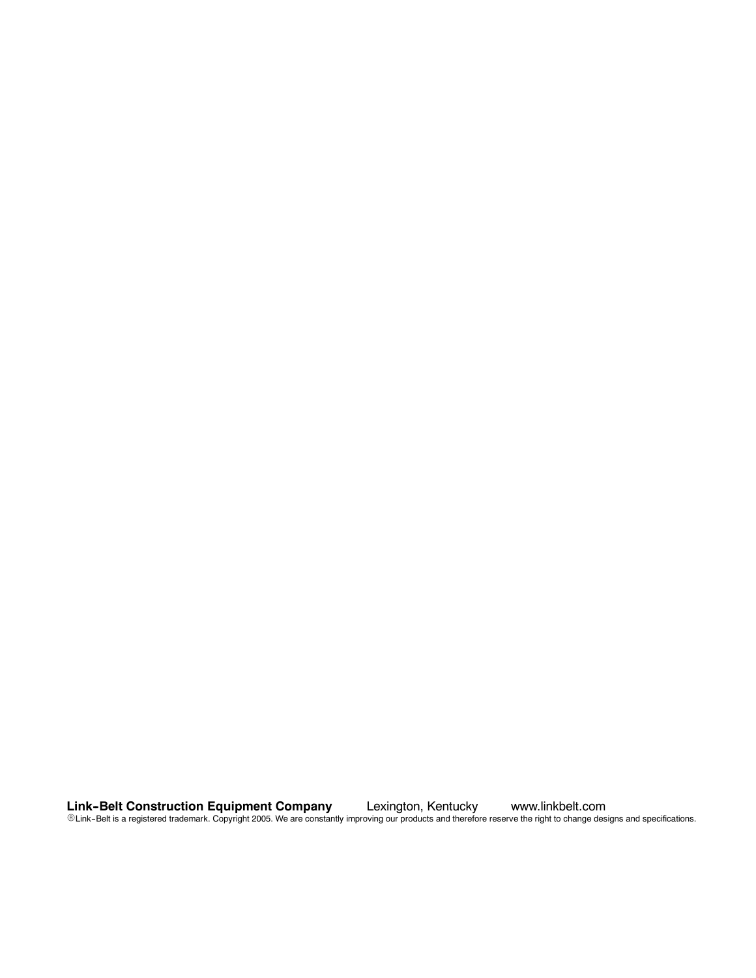**Link--Belt Construction Equipment Company** Lexington, Kentucky www.linkbelt.com RLink--Belt is a registered trademark. Copyright 2005. We are constantly improving our products and therefore reserve the right to change designs and specifications.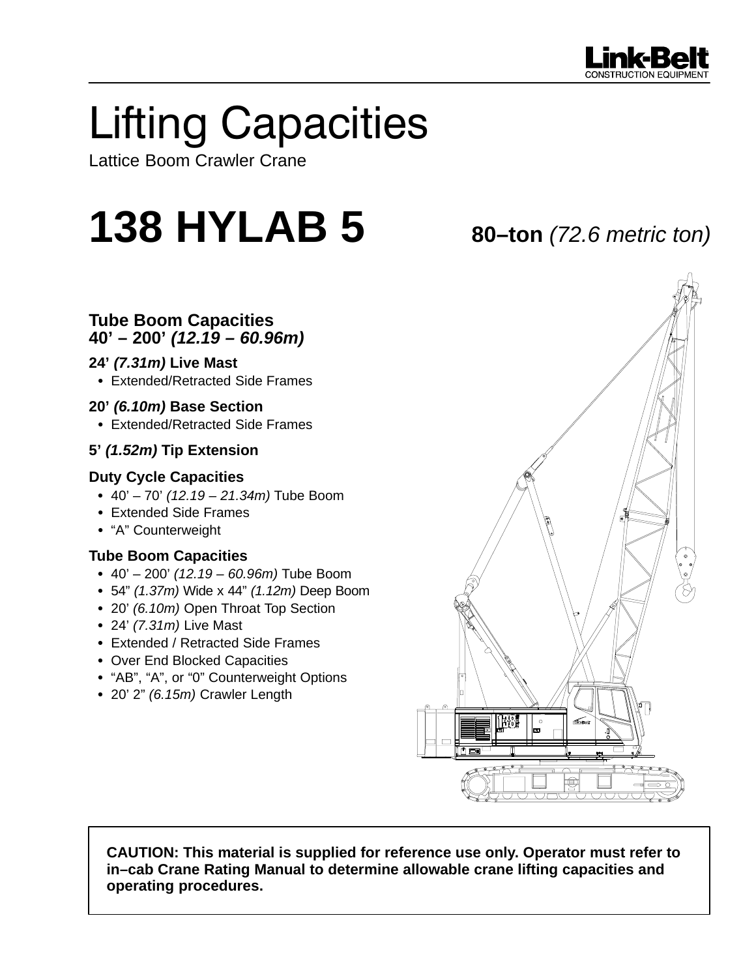

# **Lifting Capacities**

Lattice Boom Crawler Crane

# **138 HYLAB 5 80–ton** (72.6 metric ton)

#### **Tube Boom Capacities 40' – 200' (12.19 – 60.96m)**

#### **24' (7.31m) Live Mast**

Extended/Retracted Side Frames

#### **20' (6.10m) Base Section**

Extended/Retracted Side Frames

#### **5' (1.52m) Tip Extension**

#### **Duty Cycle Capacities**

- $\cdot$  40' 70' (12.19 21.34m) Tube Boom
- Extended Side Frames
- "A" Counterweight

#### **Tube Boom Capacities**

- $\cdot$  40' 200' (12.19 60.96m) Tube Boom
- 54" (1.37m) Wide x 44" (1.12m) Deep Boom
- 20' (6.10m) Open Throat Top Section
- 24' (7.31m) Live Mast
- Extended / Retracted Side Frames
- Over End Blocked Capacities
- "AB", "A", or "0" Counterweight Options
- 20' 2" (6.15m) Crawler Length

**CAUTION: This material is supplied for reference use only. Operator must refer to in–cab Crane Rating Manual to determine allowable crane lifting capacities and operating procedures.**

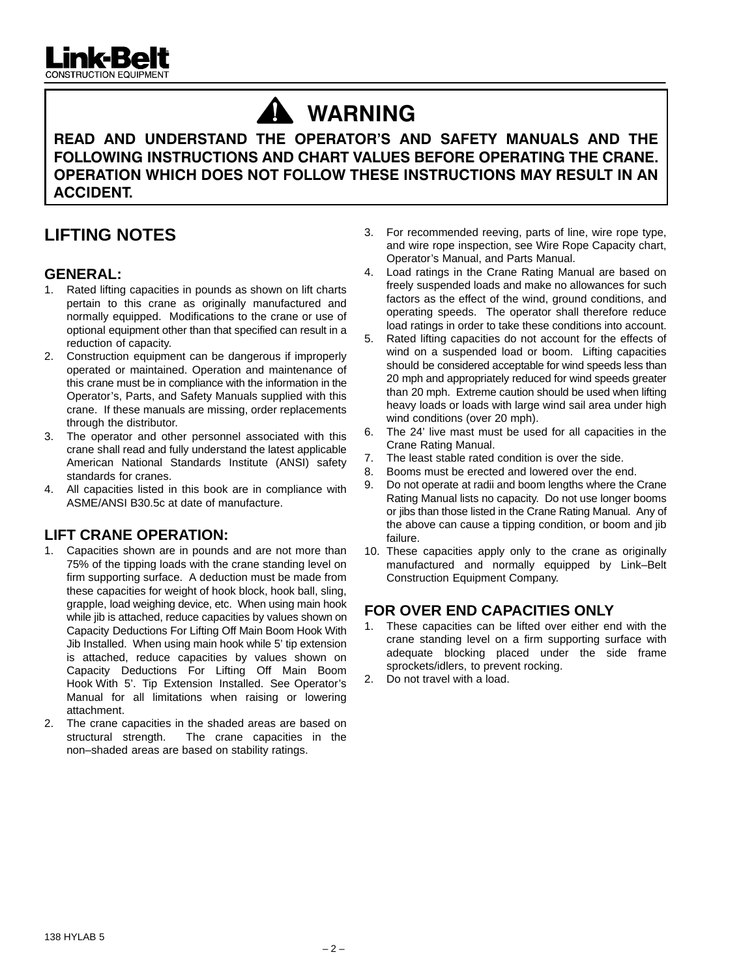

# WARNING

#### READ AND UNDERSTAND THE OPERATOR'S AND SAFETY MANUALS AND THE FOLLOWING INSTRUCTIONS AND CHART VALUES BEFORE OPERATING THE CRANE. OPERATION WHICH DOES NOT FOLLOW THESE INSTRUCTIONS MAY RESULT IN AN **ACCIDENT.**

#### **LIFTING NOTES**

#### **GENERAL:**

- 1. Rated lifting capacities in pounds as shown on lift charts pertain to this crane as originally manufactured and normally equipped. Modifications to the crane or use of optional equipment other than that specified can result in a reduction of capacity.
- 2. Construction equipment can be dangerous if improperly operated or maintained. Operation and maintenance of this crane must be in compliance with the information in the Operator's, Parts, and Safety Manuals supplied with this crane. If these manuals are missing, order replacements through the distributor.
- 3. The operator and other personnel associated with this crane shall read and fully understand the latest applicable American National Standards Institute (ANSI) safety standards for cranes.
- 4. All capacities listed in this book are in compliance with ASME/ANSI B30.5c at date of manufacture.

#### **LIFT CRANE OPERATION:**

- 1. Capacities shown are in pounds and are not more than 75% of the tipping loads with the crane standing level on firm supporting surface. A deduction must be made from these capacities for weight of hook block, hook ball, sling, grapple, load weighing device, etc. When using main hook while jib is attached, reduce capacities by values shown on Capacity Deductions For Lifting Off Main Boom Hook With Jib Installed. When using main hook while 5' tip extension is attached, reduce capacities by values shown on Capacity Deductions For Lifting Off Main Boom Hook With 5'. Tip Extension Installed. See Operator's Manual for all limitations when raising or lowering attachment.
- 2. The crane capacities in the shaded areas are based on structural strength. The crane capacities in the non–shaded areas are based on stability ratings.
- 3. For recommended reeving, parts of line, wire rope type, and wire rope inspection, see Wire Rope Capacity chart, Operator's Manual, and Parts Manual.
- 4. Load ratings in the Crane Rating Manual are based on freely suspended loads and make no allowances for such factors as the effect of the wind, ground conditions, and operating speeds. The operator shall therefore reduce load ratings in order to take these conditions into account.
- 5. Rated lifting capacities do not account for the effects of wind on a suspended load or boom. Lifting capacities should be considered acceptable for wind speeds less than 20 mph and appropriately reduced for wind speeds greater than 20 mph. Extreme caution should be used when lifting heavy loads or loads with large wind sail area under high wind conditions (over 20 mph).
- 6. The 24' live mast must be used for all capacities in the Crane Rating Manual.
- 7. The least stable rated condition is over the side.
- 8. Booms must be erected and lowered over the end.
- 9. Do not operate at radii and boom lengths where the Crane Rating Manual lists no capacity. Do not use longer booms or jibs than those listed in the Crane Rating Manual. Any of the above can cause a tipping condition, or boom and jib failure.
- 10. These capacities apply only to the crane as originally manufactured and normally equipped by Link–Belt Construction Equipment Company.

#### **FOR OVER END CAPACITIES ONLY**

- 1. These capacities can be lifted over either end with the crane standing level on a firm supporting surface with adequate blocking placed under the side frame sprockets/idlers, to prevent rocking.
- 2. Do not travel with a load.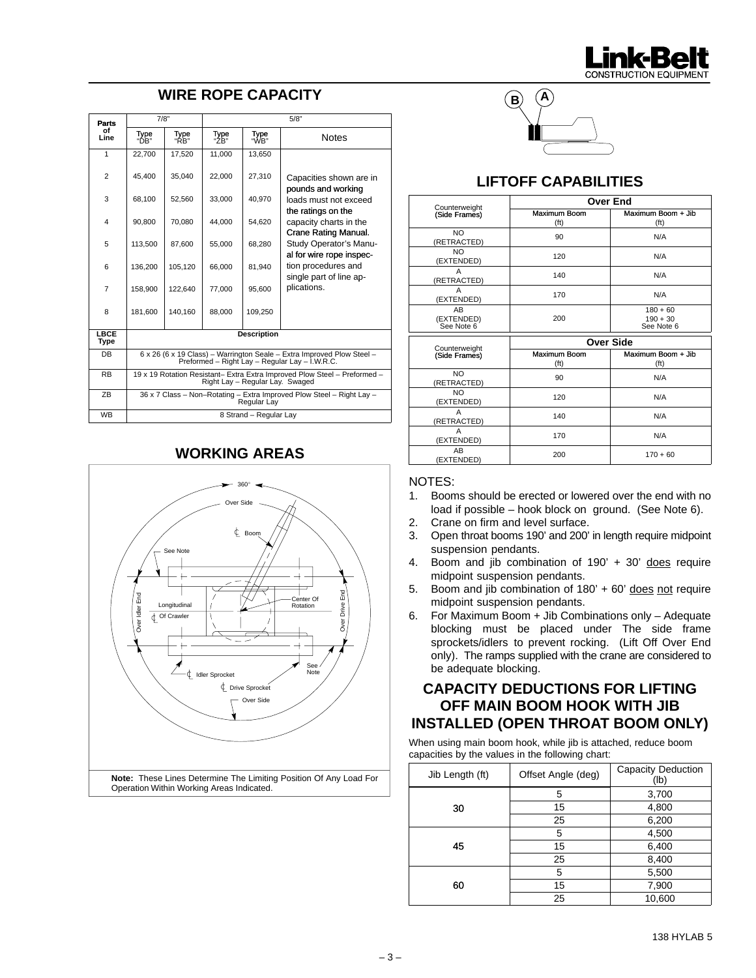

#### **WIRE ROPE CAPACITY**

| Parts          | 7/8"         |              |                                 | 5/8"                   |                                                                                                                          |  |  |  |  |
|----------------|--------------|--------------|---------------------------------|------------------------|--------------------------------------------------------------------------------------------------------------------------|--|--|--|--|
| Ωf<br>l ine    | Type<br>"DB" | Type<br>"RB" | Type<br>"ZB"                    | Type<br>"WB"           | <b>Notes</b>                                                                                                             |  |  |  |  |
| 1              | 22,700       | 17,520       | 11,000                          | 13,650                 |                                                                                                                          |  |  |  |  |
| $\overline{2}$ | 45.400       | 35.040       | 22.000                          | 27.310                 | Capacities shown are in<br>pounds and working                                                                            |  |  |  |  |
| 3              | 68,100       | 52,560       | 33,000                          | 40,970                 | loads must not exceed<br>the ratings on the                                                                              |  |  |  |  |
| 4              | 90,800       | 70,080       | 44,000                          | 54,620                 | capacity charts in the<br>Crane Rating Manual.                                                                           |  |  |  |  |
| 5              | 113,500      | 87.600       | 55,000                          | 68,280                 | Study Operator's Manu-<br>al for wire rope inspec-                                                                       |  |  |  |  |
| 6              | 136.200      | 105.120      | 66,000                          | 81.940                 | tion procedures and<br>single part of line ap-                                                                           |  |  |  |  |
| 7              | 158,900      | 122,640      | 77,000                          | 95,600                 | plications.                                                                                                              |  |  |  |  |
| 8              | 181.600      | 140.160      | 88,000                          | 109,250                |                                                                                                                          |  |  |  |  |
| LBCE<br>Type   |              |              |                                 | <b>Description</b>     |                                                                                                                          |  |  |  |  |
| DB.            |              |              |                                 |                        | 6 x 26 (6 x 19 Class) - Warrington Seale - Extra Improved Plow Steel -<br>Preformed - Right Lay - Regular Lay - I.W.R.C. |  |  |  |  |
| <b>RB</b>      |              |              | Right Lay - Regular Lay. Swaged |                        | 19 x 19 Rotation Resistant- Extra Extra Improved Plow Steel - Preformed -                                                |  |  |  |  |
| ZB             |              |              |                                 | Regular Lay            | 36 x 7 Class - Non-Rotating - Extra Improved Plow Steel - Right Lay -                                                    |  |  |  |  |
| <b>WB</b>      |              |              |                                 | 8 Strand - Regular Lay |                                                                                                                          |  |  |  |  |

#### **WORKING AREAS**





#### **LIFTOFF CAPABILITIES**

|                                | <b>Over End</b>                   |                                         |  |  |
|--------------------------------|-----------------------------------|-----------------------------------------|--|--|
| Counterweight<br>(Side Frames) | Maximum Boom<br>(f <sup>t</sup> ) | Maximum Boom + Jib<br>(f <sub>t</sub> ) |  |  |
| NO.<br>(RETRACTED)             | 90                                | N/A                                     |  |  |
| NO<br>(EXTENDED)               | 120                               | N/A                                     |  |  |
| А<br>(RETRACTED)               | 140                               | N/A                                     |  |  |
| A<br>(EXTENDED)                | 170                               | N/A                                     |  |  |
| AB<br>(EXTENDED)<br>See Note 6 | 200                               | $180 + 60$<br>$190 + 30$<br>See Note 6  |  |  |
|                                |                                   |                                         |  |  |
|                                |                                   | <b>Over Side</b>                        |  |  |
| Counterweight<br>(Side Frames) | Maximum Boom<br>(f <sup>t</sup> ) | Maximum Boom + Jib<br>(f <sub>t</sub> ) |  |  |
| NO.<br>(RETRACTED)             | 90                                | N/A                                     |  |  |
| NO.<br>(EXTENDED)              | 120                               | N/A                                     |  |  |
| A<br>(RETRACTED)               | 140                               | N/A                                     |  |  |
| A<br>(EXTENDED)                | 170                               | N/A                                     |  |  |

#### NOTES:

- 1. Booms should be erected or lowered over the end with no load if possible – hook block on ground. (See Note 6).
- 2. Crane on firm and level surface.
- 3. Open throat booms 190' and 200' in length require midpoint suspension pendants.
- 4. Boom and jib combination of 190' + 30' does require midpoint suspension pendants.
- 5. Boom and jib combination of 180' + 60' does not require midpoint suspension pendants.
- 6. For Maximum Boom + Jib Combinations only Adequate blocking must be placed under The side frame sprockets/idlers to prevent rocking. (Lift Off Over End only). The ramps supplied with the crane are considered to be adequate blocking.

#### **CAPACITY DEDUCTIONS FOR LIFTING OFF MAIN BOOM HOOK WITH JIB INSTALLED (OPEN THROAT BOOM ONLY)**

When using main boom hook, while jib is attached, reduce boom capacities by the values in the following chart:

| Jib Length (ft) | Offset Angle (deg) | Capacity Deduction<br>(lb) |
|-----------------|--------------------|----------------------------|
|                 | 5                  | 3,700                      |
| 30              | 15                 | 4,800                      |
|                 | 25                 | 6,200                      |
|                 | 5                  | 4,500                      |
| 45              | 15                 | 6,400                      |
|                 | 25                 | 8,400                      |
|                 | 5                  | 5,500                      |
| 60              | 15                 | 7,900                      |
|                 | 25                 | 10,600                     |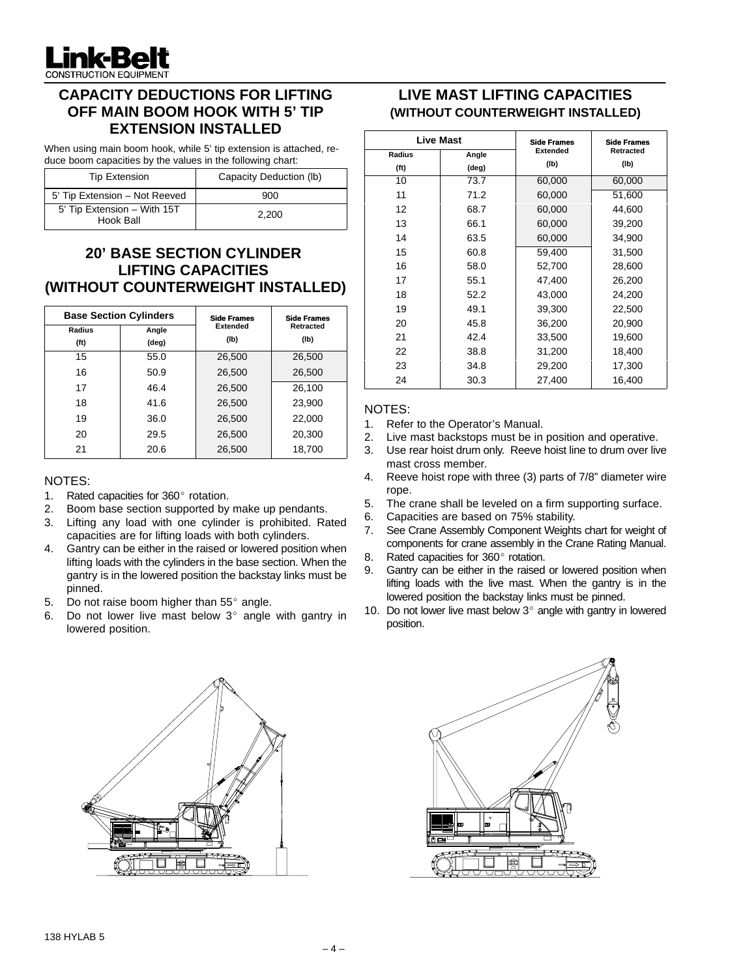

#### **CAPACITY DEDUCTIONS FOR LIFTING OFF MAIN BOOM HOOK WITH 5' TIP EXTENSION INSTALLED**

When using main boom hook, while 5' tip extension is attached, reduce boom capacities by the values in the following chart:

| <b>Tip Extension</b>                     | Capacity Deduction (lb) |
|------------------------------------------|-------------------------|
| 5' Tip Extension - Not Reeved            | 900                     |
| 5' Tip Extension - With 15T<br>Hook Ball | 2.200                   |

#### **20' BASE SECTION CYLINDER LIFTING CAPACITIES (WITHOUT COUNTERWEIGHT INSTALLED)**

| <b>Base Section Cylinders</b> |       | <b>Side Frames</b> | <b>Side Frames</b> |  |
|-------------------------------|-------|--------------------|--------------------|--|
| Radius                        | Angle | <b>Extended</b>    | Retracted          |  |
| (f <sup>t</sup> )             | (deg) | (Ib)               | (lb)               |  |
| 15                            | 55.0  | 26,500             | 26,500             |  |
| 16                            | 50.9  | 26,500             | 26,500             |  |
| 17                            | 46.4  | 26,500             | 26,100             |  |
| 18                            | 41.6  | 26,500             | 23,900             |  |
| 19                            | 36.0  | 26,500             | 22,000             |  |
| 20                            | 29.5  | 26,500             | 20,300             |  |
| 21                            | 20.6  | 26,500             | 18,700             |  |

#### NOTES:

- 1. Rated capacities for 360° rotation.
- 2. Boom base section supported by make up pendants.
- 3. Lifting any load with one cylinder is prohibited. Rated capacities are for lifting loads with both cylinders.
- 4. Gantry can be either in the raised or lowered position when lifting loads with the cylinders in the base section. When the gantry is in the lowered position the backstay links must be pinned.
- 5. Do not raise boom higher than  $55^\circ$  angle.
- 6. Do not lower live mast below  $3^\circ$  angle with gantry in lowered position.

#### **LIVE MAST LIFTING CAPACITIES (WITHOUT COUNTERWEIGHT INSTALLED)**

| <b>Live Mast</b>  |       | <b>Side Frames</b> | <b>Side Frames</b> |
|-------------------|-------|--------------------|--------------------|
| Radius            | Angle | Extended           | Retracted          |
| (f <sub>t</sub> ) | (deg) | (lb)               | (lb)               |
| 10                | 73.7  | 60,000             | 60,000             |
| 11                | 71.2  | 60,000             | 51,600             |
| 12                | 68.7  | 60,000             | 44,600             |
| 13                | 66.1  | 60,000             | 39,200             |
| 14                | 63.5  | 60,000             | 34,900             |
| 15                | 60.8  | 59,400             | 31,500             |
| 16                | 58.0  | 52,700             | 28,600             |
| 17                | 55.1  | 47,400             | 26,200             |
| 18                | 52.2  | 43,000             | 24,200             |
| 19                | 49.1  | 39,300             | 22,500             |
| 20                | 45.8  | 36,200             | 20,900             |
| 21                | 42.4  | 33,500             | 19,600             |
| 22                | 38.8  | 31,200             | 18,400             |
| 23                | 34.8  | 29,200             | 17,300             |
| 24                | 30.3  | 27,400             | 16,400             |

#### NOTES:

- 1. Refer to the Operator's Manual.
- 2. Live mast backstops must be in position and operative.
- 3. Use rear hoist drum only. Reeve hoist line to drum over live mast cross member.
- 4. Reeve hoist rope with three (3) parts of 7/8" diameter wire rope.
- 5. The crane shall be leveled on a firm supporting surface.
- 6. Capacities are based on 75% stability.
- 7. See Crane Assembly Component Weights chart for weight of components for crane assembly in the Crane Rating Manual.
- 8. Rated capacities for 360° rotation.
- 9. Gantry can be either in the raised or lowered position when lifting loads with the live mast. When the gantry is in the lowered position the backstay links must be pinned.
- 10. Do not lower live mast below  $3^\circ$  angle with gantry in lowered position.



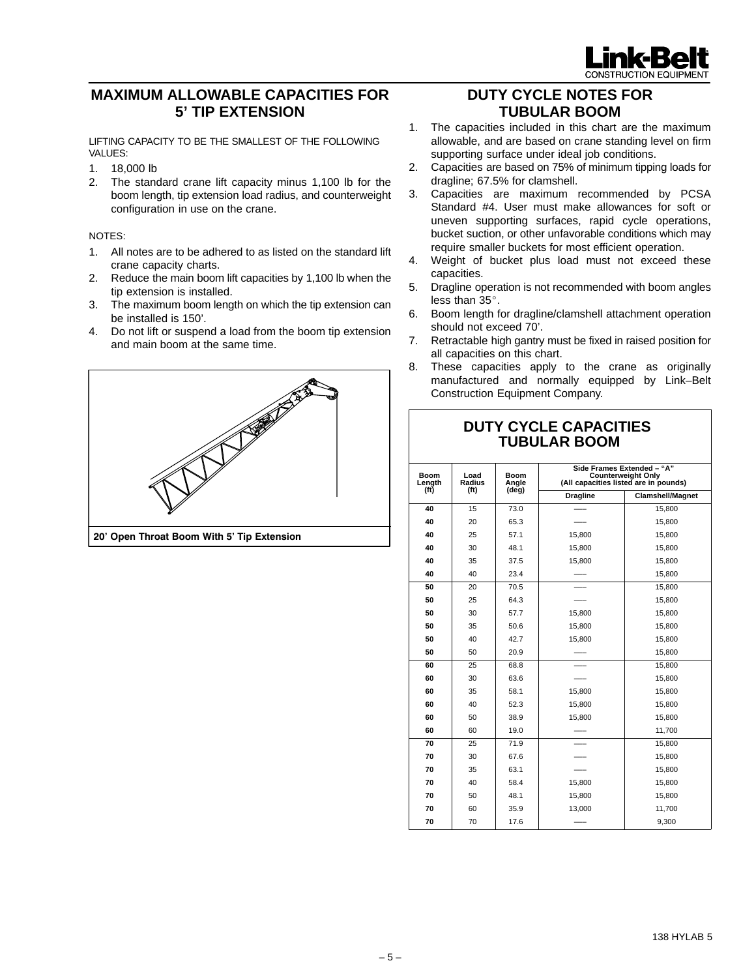

#### **MAXIMUM ALLOWABLE CAPACITIES FOR 5' TIP EXTENSION**

LIFTING CAPACITY TO BE THE SMALLEST OF THE FOLLOWING VALUES:

- 1. 18,000 lb
- 2. The standard crane lift capacity minus 1,100 lb for the boom length, tip extension load radius, and counterweight configuration in use on the crane.

#### NOTES:

- 1. All notes are to be adhered to as listed on the standard lift crane capacity charts.
- 2. Reduce the main boom lift capacities by 1,100 lb when the tip extension is installed.
- 3. The maximum boom length on which the tip extension can be installed is 150'.
- 4. Do not lift or suspend a load from the boom tip extension and main boom at the same time.



#### **DUTY CYCLE NOTES FOR TUBULAR BOOM**

- 1. The capacities included in this chart are the maximum allowable, and are based on crane standing level on firm supporting surface under ideal job conditions.
- 2. Capacities are based on 75% of minimum tipping loads for dragline; 67.5% for clamshell.
- 3. Capacities are maximum recommended by PCSA Standard #4. User must make allowances for soft or uneven supporting surfaces, rapid cycle operations, bucket suction, or other unfavorable conditions which may require smaller buckets for most efficient operation.
- 4. Weight of bucket plus load must not exceed these capacities.
- 5. Dragline operation is not recommended with boom angles less than  $35^\circ$ .
- 6. Boom length for dragline/clamshell attachment operation should not exceed 70'.
- 7. Retractable high gantry must be fixed in raised position for all capacities on this chart.
- 8. These capacities apply to the crane as originally manufactured and normally equipped by Link–Belt Construction Equipment Company.

#### **DUTY CYCLE CAPACITIES TUBULAR BOOM**

| <b>Boom</b><br>Length | Load<br>Radius    | <b>Boom</b><br>Angle | Side Frames Extended - "A"<br><b>Counterweight Only</b><br>(All capacities listed are in pounds) |                         |  |
|-----------------------|-------------------|----------------------|--------------------------------------------------------------------------------------------------|-------------------------|--|
| (f <sup>t</sup> )     | (f <sub>t</sub> ) | $(\text{deg})$       | <b>Dragline</b>                                                                                  | <b>Clamshell/Magnet</b> |  |
| 40                    | 15                | 73.0                 |                                                                                                  | 15,800                  |  |
| 40                    | 20                | 65.3                 |                                                                                                  | 15,800                  |  |
| 40                    | 25                | 57.1                 | 15,800                                                                                           | 15,800                  |  |
| 40                    | 30                | 48.1                 | 15,800                                                                                           | 15,800                  |  |
| 40                    | 35                | 37.5                 | 15,800                                                                                           | 15,800                  |  |
| 40                    | 40                | 23.4                 |                                                                                                  | 15,800                  |  |
| 50                    | 20                | 70.5                 |                                                                                                  | 15,800                  |  |
| 50                    | 25                | 64.3                 |                                                                                                  | 15,800                  |  |
| 50                    | 30                | 57.7                 | 15,800                                                                                           | 15,800                  |  |
| 50                    | 35                | 50.6                 | 15,800                                                                                           | 15,800                  |  |
| 50                    | 40                | 42.7                 | 15,800                                                                                           | 15,800                  |  |
| 50                    | 50                | 20.9                 |                                                                                                  | 15,800                  |  |
| 60                    | 25                | 68.8                 |                                                                                                  | 15,800                  |  |
| 60                    | 30                | 63.6                 |                                                                                                  | 15,800                  |  |
| 60                    | 35                | 58.1                 | 15,800                                                                                           | 15,800                  |  |
| 60                    | 40                | 52.3                 | 15,800                                                                                           | 15,800                  |  |
| 60                    | 50                | 38.9                 | 15,800                                                                                           | 15,800                  |  |
| 60                    | 60                | 19.0                 |                                                                                                  | 11,700                  |  |
| 70                    | 25                | 71.9                 |                                                                                                  | 15,800                  |  |
| 70                    | 30                | 67.6                 |                                                                                                  | 15,800                  |  |
| 70                    | 35                | 63.1                 |                                                                                                  | 15,800                  |  |
| 70                    | 40                | 58.4                 | 15,800                                                                                           | 15,800                  |  |
| 70                    | 50                | 48.1                 | 15,800                                                                                           | 15,800                  |  |
| 70                    | 60                | 35.9                 | 13,000                                                                                           | 11,700                  |  |
| 70                    | 70                | 17.6                 |                                                                                                  | 9,300                   |  |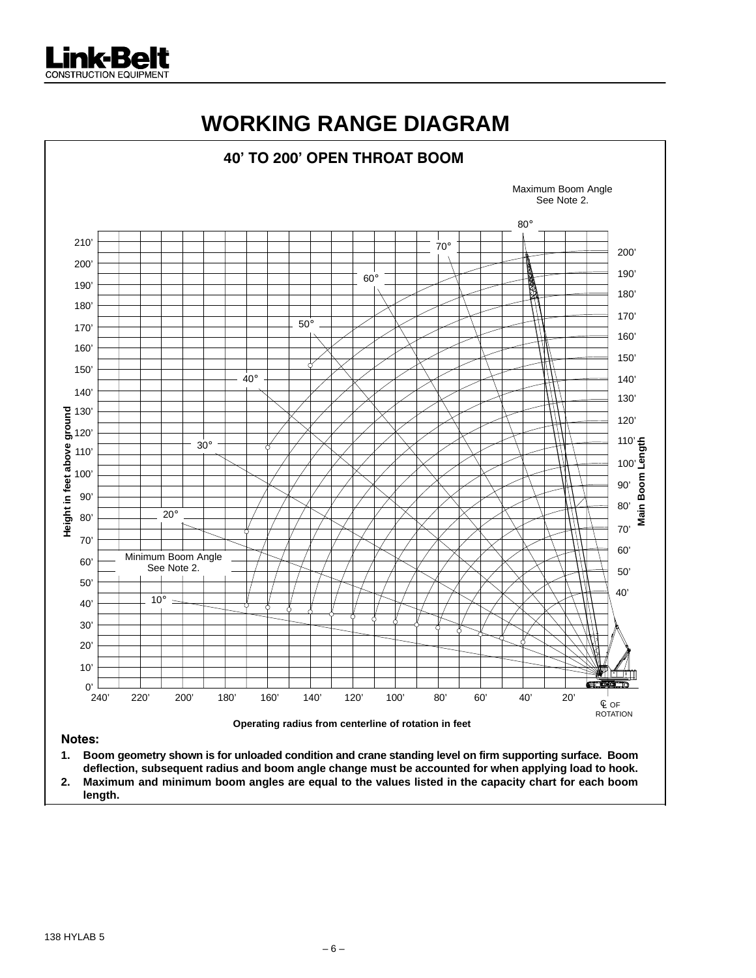

## **WORKING RANGE DIAGRAM**

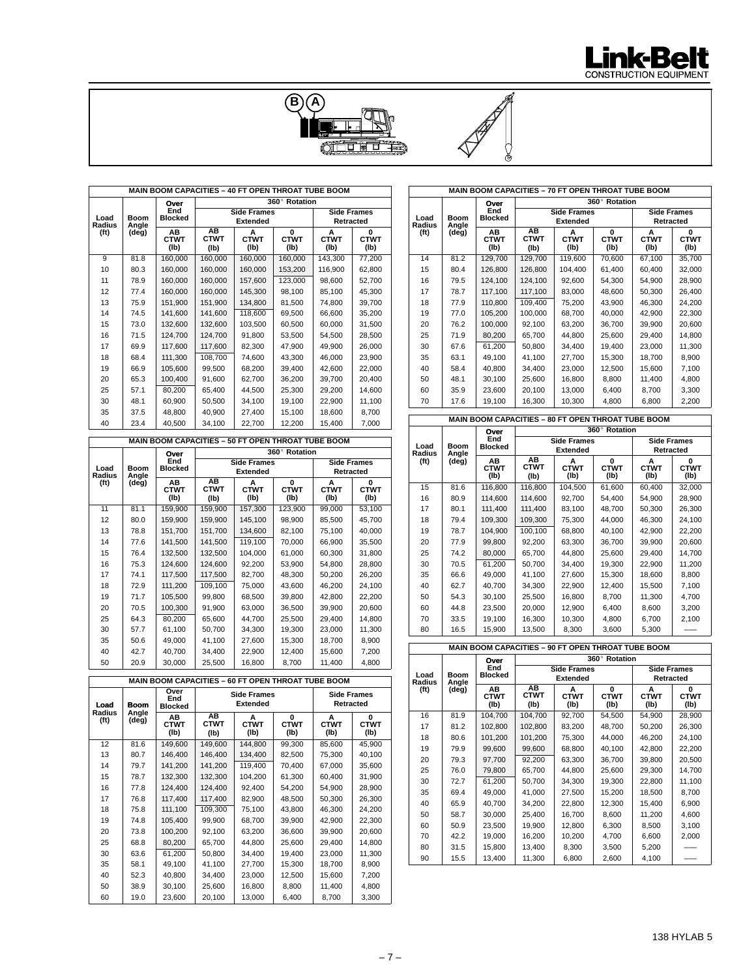#### ink-Belt **CONSTRUCTION EQUIPMENT**





| <b>MAIN BOOM CAPACITIES - 50 FT OPEN THROAT TUBE BOOM</b> |             |                           |                           |                          |                          |                          |                          |  |
|-----------------------------------------------------------|-------------|---------------------------|---------------------------|--------------------------|--------------------------|--------------------------|--------------------------|--|
|                                                           |             | Over                      |                           | 360° Rotation            |                          |                          |                          |  |
| Load                                                      | <b>Boom</b> | End<br><b>Blocked</b>     |                           | <b>Side Frames</b>       |                          |                          | <b>Side Frames</b>       |  |
| Radius                                                    | Angle       |                           |                           | <b>Extended</b>          |                          | Retracted                |                          |  |
| (ft)                                                      | (deg)       | AВ<br><b>CTWT</b><br>(lb) | AB<br><b>CTWT</b><br>(lb) | A<br><b>CTWT</b><br>(lb) | O<br><b>CTWT</b><br>(lb) | А<br><b>CTWT</b><br>(lb) | O<br><b>CTWT</b><br>(lb) |  |
| 11                                                        | 81.1        | 159,900                   | 159,900                   | 157,300                  | 123,900                  | 99,000                   | 53,100                   |  |
| 12                                                        | 80.0        | 159,900                   | 159,900                   | 145,100                  | 98,900                   | 85,500                   | 45,700                   |  |
| 13                                                        | 78.8        | 151,700                   | 151,700                   | 134,600                  | 82,100                   | 75,100                   | 40,000                   |  |
| 14                                                        | 77.6        | 141,500                   | 141,500                   | 119,100                  | 70,000                   | 66,900                   | 35,500                   |  |
| 15                                                        | 76.4        | 132,500                   | 132,500                   | 104,000                  | 61,000                   | 60,300                   | 31,800                   |  |
| 16                                                        | 75.3        | 124,600                   | 124,600                   | 92,200                   | 53.900                   | 54,800                   | 28,800                   |  |
| 17                                                        | 74.1        | 117,500                   | 117,500                   | 82,700                   | 48,300                   | 50,200                   | 26,200                   |  |
| 18                                                        | 72.9        | 111,200                   | 109,100                   | 75,000                   | 43,600                   | 46,200                   | 24,100                   |  |
| 19                                                        | 71.7        | 105,500                   | 99,800                    | 68,500                   | 39,800                   | 42,800                   | 22,200                   |  |
| 20                                                        | 70.5        | 100,300                   | 91,900                    | 63,000                   | 36,500                   | 39,900                   | 20,600                   |  |
| 25                                                        | 64.3        | 80,200                    | 65,600                    | 44,700                   | 25,500                   | 29,400                   | 14,800                   |  |
| 30                                                        | 57.7        | 61,100                    | 50,700                    | 34,300                   | 19,300                   | 23,000                   | 11,300                   |  |
| 35                                                        | 50.6        | 49,000                    | 41,100                    | 27,600                   | 15,300                   | 18,700                   | 8,900                    |  |
| 40                                                        | 42.7        | 40,700                    | 34,400                    | 22,900                   | 12,400                   | 15,600                   | 7,200                    |  |
| 50                                                        | 20.9        | 30,000                    | 25,500                    | 16,800                   | 8,700                    | 11,400                   | 4,800                    |  |

| <b>MAIN BOOM CAPACITIES – 60 FT OPEN THROAT TUBE BOOM</b> |                               |                               |                           |                                |                          |                                 |                          |
|-----------------------------------------------------------|-------------------------------|-------------------------------|---------------------------|--------------------------------|--------------------------|---------------------------------|--------------------------|
| Load<br>Radius<br>(ft)                                    | <b>Boom</b><br>Angle<br>(deg) | Over<br>End<br><b>Blocked</b> |                           | <b>Side Frames</b><br>Extended |                          | <b>Side Frames</b><br>Retracted |                          |
|                                                           |                               | AВ<br><b>CTWT</b><br>(lb)     | AB<br><b>CTWT</b><br>(Ib) | A<br><b>CTWT</b><br>(lb)       | O<br><b>CTWT</b><br>(lb) | A<br><b>CTWT</b><br>(lb)        | O<br><b>CTWT</b><br>(lb) |
| 12                                                        | 81.6                          | 149,600                       | 149,600                   | 144.800                        | 99,300                   | 85,600                          | 45,900                   |
| 13                                                        | 80.7                          | 146,400                       | 146.400                   | 134,400                        | 82,500                   | 75,300                          | 40,100                   |
| 14                                                        | 79.7                          | 141.200                       | 141,200                   | 119.400                        | 70.400                   | 67.000                          | 35,600                   |
| 15                                                        | 78.7                          | 132,300                       | 132,300                   | 104,200                        | 61,300                   | 60,400                          | 31,900                   |
| 16                                                        | 77.8                          | 124,400                       | 124,400                   | 92,400                         | 54,200                   | 54,900                          | 28,900                   |
| 17                                                        | 76.8                          | 117,400                       | 117,400                   | 82,900                         | 48,500                   | 50,300                          | 26,300                   |
| 18                                                        | 75.8                          | 111,100                       | 109,300                   | 75,100                         | 43,800                   | 46,300                          | 24,200                   |
| 19                                                        | 74.8                          | 105,400                       | 99,900                    | 68,700                         | 39,900                   | 42,900                          | 22,300                   |
| 20                                                        | 73.8                          | 100,200                       | 92,100                    | 63,200                         | 36,600                   | 39,900                          | 20,600                   |
| 25                                                        | 68.8                          | 80,200                        | 65,700                    | 44,800                         | 25,600                   | 29,400                          | 14,800                   |
| 30                                                        | 63.6                          | 61,200                        | 50,800                    | 34,400                         | 19,400                   | 23,000                          | 11,300                   |
| 35                                                        | 58.1                          | 49,100                        | 41,100                    | 27,700                         | 15,300                   | 18,700                          | 8,900                    |
| 40                                                        | 52.3                          | 40,800                        | 34,400                    | 23,000                         | 12,500                   | 15,600                          | 7,200                    |
| 50                                                        | 38.9                          | 30,100                        | 25,600                    | 16,800                         | 8,800                    | 11,400                          | 4,800                    |
| 60                                                        | 19.0                          | 23,600                        | 20,100                    | 13,000                         | 6,400                    | 8,700                           | 3,300                    |

| <b>MAIN BOOM CAPACITIES – 70 FT OPEN THROAT TUBE BOOM</b> |             |                           |                           |                          |                          |                          |                          |
|-----------------------------------------------------------|-------------|---------------------------|---------------------------|--------------------------|--------------------------|--------------------------|--------------------------|
|                                                           |             | Over                      | 360° Rotation             |                          |                          |                          |                          |
| Load                                                      | <b>Boom</b> | End<br><b>Blocked</b>     |                           | <b>Side Frames</b>       |                          | <b>Side Frames</b>       |                          |
| Radius                                                    | Angle       |                           |                           | <b>Extended</b>          |                          | Retracted                |                          |
| (f <sup>t</sup> )                                         | (deg)       | AВ<br><b>CTWT</b><br>(lb) | АB<br><b>CTWT</b><br>(lb) | А<br><b>CTWT</b><br>(lb) | 0<br><b>CTWT</b><br>(lb) | A<br><b>CTWT</b><br>(lb) | 0<br><b>CTWT</b><br>(lb) |
| 14                                                        | 81.2        | 129,700                   | 129,700                   | 119,600                  | 70,600                   | 67,100                   | 35,700                   |
| 15                                                        | 80.4        | 126,800                   | 126,800                   | 104,400                  | 61,400                   | 60,400                   | 32,000                   |
| 16                                                        | 79.5        | 124,100                   | 124,100                   | 92,600                   | 54.300                   | 54,900                   | 28,900                   |
| 17                                                        | 78.7        | 117,100                   | 117,100                   | 83,000                   | 48.600                   | 50,300                   | 26,400                   |
| 18                                                        | 77.9        | 110,800                   | 109.400                   | 75,200                   | 43,900                   | 46,300                   | 24,200                   |
| 19                                                        | 77.0        | 105,200                   | 100,000                   | 68,700                   | 40.000                   | 42.900                   | 22,300                   |
| 20                                                        | 76.2        | 100.000                   | 92,100                    | 63,200                   | 36,700                   | 39,900                   | 20,600                   |
| 25                                                        | 71.9        | 80,200                    | 65,700                    | 44,800                   | 25,600                   | 29,400                   | 14,800                   |
| 30                                                        | 67.6        | 61,200                    | 50,800                    | 34,400                   | 19,400                   | 23,000                   | 11,300                   |
| 35                                                        | 63.1        | 49,100                    | 41,100                    | 27,700                   | 15,300                   | 18,700                   | 8,900                    |
| 40                                                        | 58.4        | 40,800                    | 34,400                    | 23,000                   | 12,500                   | 15,600                   | 7,100                    |
| 50                                                        | 48.1        | 30,100                    | 25,600                    | 16,800                   | 8,800                    | 11,400                   | 4,800                    |
| 60                                                        | 35.9        | 23,600                    | 20,100                    | 13,000                   | 6,400                    | 8,700                    | 3,300                    |
| 70                                                        | 17.6        | 19,100                    | 16,300                    | 10,300                   | 4,800                    | 6,800                    | 2,200                    |

g

|                   | MAIN BOOM CAPACITIES - 80 FT OPEN THROAT TUBE BOOM |                           |                           |                                |                                 |                                 |                          |
|-------------------|----------------------------------------------------|---------------------------|---------------------------|--------------------------------|---------------------------------|---------------------------------|--------------------------|
|                   |                                                    | Over                      | 360° Rotation             |                                |                                 |                                 |                          |
| Load<br>Radius    | <b>Boom</b><br>Angle                               | End<br><b>Blocked</b>     |                           | <b>Side Frames</b><br>Extended |                                 | <b>Side Frames</b><br>Retracted |                          |
| (f <sup>t</sup> ) | (deg)                                              | AВ<br><b>CTWT</b><br>(lb) | AB<br><b>CTWT</b><br>(lb) | А<br><b>CTWT</b><br>(lb)       | $\Omega$<br><b>CTWT</b><br>(lb) | А<br><b>CTWT</b><br>(lb)        | O<br><b>CTWT</b><br>(lb) |
| 15                | 81.6                                               | 116,800                   | 116,800                   | 104,500                        | 61,600                          | 60,400                          | 32,000                   |
| 16                | 80.9                                               | 114,600                   | 114,600                   | 92,700                         | 54,400                          | 54,900                          | 28,900                   |
| 17                | 80.1                                               | 111,400                   | 111,400                   | 83,100                         | 48,700                          | 50,300                          | 26,300                   |
| 18                | 79.4                                               | 109,300                   | 109,300                   | 75,300                         | 44.000                          | 46,300                          | 24,100                   |
| 19                | 78.7                                               | 104,900                   | 100,100                   | 68,800                         | 40.100                          | 42,900                          | 22,200                   |
| 20                | 77.9                                               | 99,800                    | 92,200                    | 63,300                         | 36,700                          | 39,900                          | 20,600                   |
| 25                | 74.2                                               | 80,000                    | 65,700                    | 44.800                         | 25.600                          | 29.400                          | 14,700                   |
| 30                | 70.5                                               | 61.200                    | 50.700                    | 34,400                         | 19.300                          | 22,900                          | 11,200                   |
| 35                | 66.6                                               | 49,000                    | 41,100                    | 27,600                         | 15,300                          | 18,600                          | 8,800                    |
| 40                | 62.7                                               | 40,700                    | 34,300                    | 22,900                         | 12,400                          | 15,500                          | 7,100                    |
| 50                | 54.3                                               | 30,100                    | 25,500                    | 16.800                         | 8,700                           | 11.300                          | 4,700                    |
| 60                | 44.8                                               | 23,500                    | 20,000                    | 12,900                         | 6.400                           | 8,600                           | 3,200                    |
| 70                | 33.5                                               | 19,100                    | 16,300                    | 10,300                         | 4,800                           | 6,700                           | 2,100                    |
| 80                | 16.5                                               | 15,900                    | 13,500                    | 8,300                          | 3,600                           | 5,300                           |                          |

| <b>MAIN BOOM CAPACITIES - 90 FT OPEN THROAT TUBE BOOM</b> |  |
|-----------------------------------------------------------|--|

|                                               |                                      | Over                      | 360° Rotation                         |                          |                          |                                 |                          |
|-----------------------------------------------|--------------------------------------|---------------------------|---------------------------------------|--------------------------|--------------------------|---------------------------------|--------------------------|
| Load                                          | End<br><b>Boom</b><br><b>Blocked</b> |                           | <b>Side Frames</b><br><b>Extended</b> |                          |                          | <b>Side Frames</b><br>Retracted |                          |
| Radius<br>Angle<br>(f <sup>t</sup> )<br>(deg) |                                      | AВ<br><b>CTWT</b><br>(lb) | AB<br><b>CTWT</b><br>(lb)             | А<br><b>CTWT</b><br>(lb) | O<br><b>CTWT</b><br>(lb) | A<br><b>CTWT</b><br>(lb)        | ŋ<br><b>CTWT</b><br>(lb) |
| 16                                            | 81.9                                 | 104.700                   | 104,700                               | 92,700                   | 54,500                   | 54,900                          | 28,900                   |
| 17                                            | 81.2                                 | 102,800                   | 102,800                               | 83,200                   | 48,700                   | 50,200                          | 26,300                   |
| 18                                            | 80.6                                 | 101,200                   | 101,200                               | 75.300                   | 44.000                   | 46.200                          | 24,100                   |
| 19                                            | 79.9                                 | 99,600                    | 99,600                                | 68,800                   | 40,100                   | 42.800                          | 22,200                   |
| 20                                            | 79.3                                 | 97,700                    | 92,200                                | 63,300                   | 36,700                   | 39,800                          | 20,500                   |
| 25                                            | 76.0                                 | 79,800                    | 65,700                                | 44.800                   | 25,600                   | 29,300                          | 14,700                   |
| 30                                            | 72.7                                 | 61,200                    | 50,700                                | 34.300                   | 19,300                   | 22,800                          | 11,100                   |
| 35                                            | 69.4                                 | 49,000                    | 41,000                                | 27,500                   | 15,200                   | 18,500                          | 8,700                    |
| 40                                            | 65.9                                 | 40.700                    | 34,200                                | 22.800                   | 12,300                   | 15,400                          | 6,900                    |
| 50                                            | 58.7                                 | 30,000                    | 25,400                                | 16,700                   | 8,600                    | 11,200                          | 4,600                    |
| 60                                            | 50.9                                 | 23,500                    | 19,900                                | 12,800                   | 6,300                    | 8,500                           | 3,100                    |
| 70                                            | 42.2                                 | 19,000                    | 16,200                                | 10,200                   | 4,700                    | 6,600                           | 2,000                    |
| 80                                            | 31.5                                 | 15,800                    | 13,400                                | 8,300                    | 3,500                    | 5,200                           |                          |
| 90                                            | 15.5                                 | 13,400                    | 11,300                                | 6,800                    | 2,600                    | 4,100                           |                          |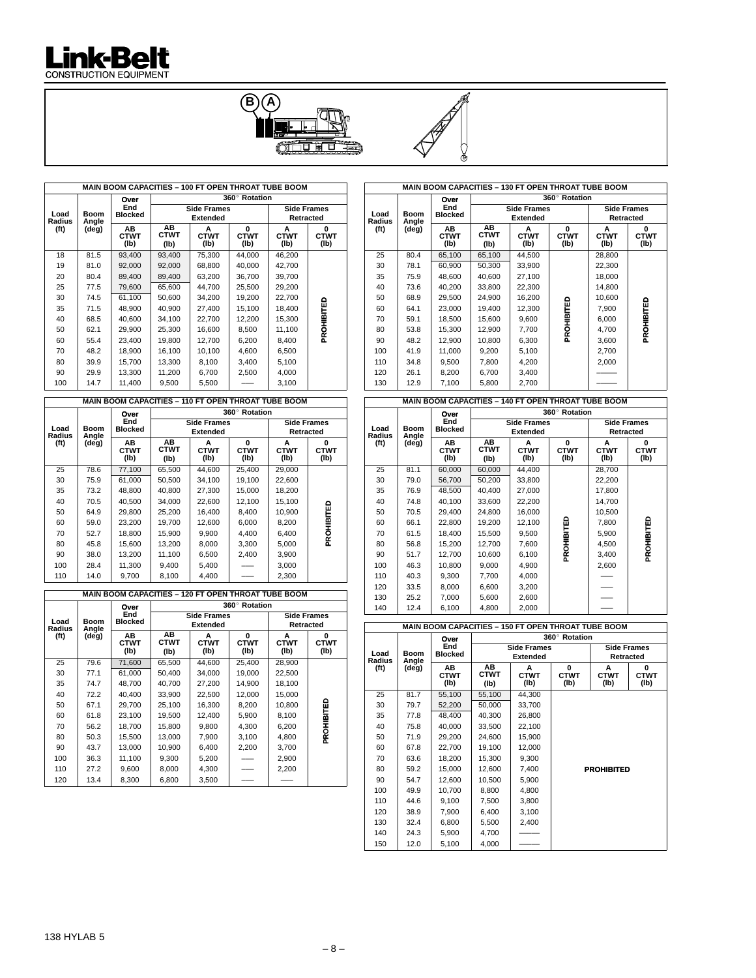





| <b>MAIN BOOM CAPACITIES - 100 FT OPEN THROAT TUBE BOOM</b> |                      |                           |                            |                                       |                          |                                 |                          |  |  |  |  |  |  |
|------------------------------------------------------------|----------------------|---------------------------|----------------------------|---------------------------------------|--------------------------|---------------------------------|--------------------------|--|--|--|--|--|--|
|                                                            |                      | Over                      |                            |                                       | 360° Rotation            |                                 |                          |  |  |  |  |  |  |
| Load<br>Radius                                             | <b>Boom</b><br>Angle | End<br><b>Blocked</b>     |                            | <b>Side Frames</b><br><b>Extended</b> |                          | <b>Side Frames</b><br>Retracted |                          |  |  |  |  |  |  |
| (ft)                                                       | (deg)                | AВ<br><b>CTWT</b><br>(lb) | AB.<br><b>CTWT</b><br>(lb) | A<br><b>CTWT</b><br>(lb)              | 0<br><b>CTWT</b><br>(lb) | A<br><b>CTWT</b><br>(lb)        | 0<br><b>CTWT</b><br>(lb) |  |  |  |  |  |  |
| 18                                                         | 81.5                 | 93,400                    | 93,400                     | 75,300                                | 44,000                   | 46,200                          |                          |  |  |  |  |  |  |
| 19                                                         | 81.0                 | 92,000                    | 92,000                     | 68,800                                | 40,000                   | 42,700                          |                          |  |  |  |  |  |  |
| 20                                                         | 80.4                 | 89.400                    | 89,400                     | 63,200                                | 36.700                   | 39,700                          |                          |  |  |  |  |  |  |
| 25                                                         | 77.5                 | 79.600                    | 65.600                     | 44.700                                | 25.500                   | 29,200                          |                          |  |  |  |  |  |  |
| 30                                                         | 74.5                 | 61,100                    | 50,600                     | 34,200                                | 19,200                   | 22,700                          |                          |  |  |  |  |  |  |
| 35                                                         | 71.5                 | 48,900                    | 40,900                     | 27,400                                | 15,100                   | 18,400                          |                          |  |  |  |  |  |  |
| 40                                                         | 68.5                 | 40,600                    | 34,100                     | 22,700                                | 12,200                   | 15,300                          |                          |  |  |  |  |  |  |
| 50                                                         | 62.1                 | 29,900                    | 25,300                     | 16,600                                | 8,500                    | 11,100                          | PROHIBITED               |  |  |  |  |  |  |
| 60                                                         | 55.4                 | 23,400                    | 19,800                     | 12,700                                | 6,200                    | 8,400                           |                          |  |  |  |  |  |  |
| 70                                                         | 48.2                 | 18,900                    | 16,100                     | 10,100                                | 4,600                    | 6,500                           |                          |  |  |  |  |  |  |
| 80                                                         | 39.9                 | 15.700                    | 13,300                     | 8,100                                 | 3,400                    | 5,100                           |                          |  |  |  |  |  |  |
| 90                                                         | 29.9                 | 13.300                    | 11.200                     | 6.700                                 | 2,500                    | 4.000                           |                          |  |  |  |  |  |  |
| 100                                                        | 14.7                 | 11,400                    | 9,500                      | 5,500                                 |                          | 3,100                           |                          |  |  |  |  |  |  |

|                   | <b>MAIN BOOM CAPACITIES - 110 FT OPEN THROAT TUBE BOOM</b> |                           |                    |                                       |                          |                                 |                          |  |  |  |  |  |  |  |
|-------------------|------------------------------------------------------------|---------------------------|--------------------|---------------------------------------|--------------------------|---------------------------------|--------------------------|--|--|--|--|--|--|--|
|                   |                                                            | Over                      |                    |                                       | 360° Rotation            |                                 |                          |  |  |  |  |  |  |  |
| Load<br>Radius    | <b>Boom</b><br>Angle                                       | End<br><b>Blocked</b>     |                    | <b>Side Frames</b><br><b>Extended</b> |                          | <b>Side Frames</b><br>Retracted |                          |  |  |  |  |  |  |  |
| (f <sup>t</sup> ) | (deg)                                                      | AВ<br><b>CTWT</b><br>(lb) | AВ<br>CTWT<br>(lb) | A<br><b>CTWT</b><br>(Ib)              | O<br><b>CTWT</b><br>(Ib) | A<br><b>CTWT</b><br>(lb)        | O<br><b>CTWT</b><br>(lb) |  |  |  |  |  |  |  |
| 25                | 78.6                                                       | 77.100                    | 65,500             | 44.600                                | 25,400                   | 29,000                          |                          |  |  |  |  |  |  |  |
| 30                | 75.9                                                       | 61,000                    | 50.500             | 34,100                                | 19,100                   | 22,600                          |                          |  |  |  |  |  |  |  |
| 35                | 73.2                                                       | 48,800                    | 40,800             | 27,300                                | 15,000                   | 18,200                          |                          |  |  |  |  |  |  |  |
| 40                | 70.5                                                       | 40.500                    | 34.000             | 22.600                                | 12,100                   | 15,100                          |                          |  |  |  |  |  |  |  |
| 50                | 64.9                                                       | 29,800                    | 25,200             | 16.400                                | 8.400                    | 10,900                          | PROHIBITED               |  |  |  |  |  |  |  |
| 60                | 59.0                                                       | 23,200                    | 19,700             | 12,600                                | 6,000                    | 8,200                           |                          |  |  |  |  |  |  |  |
| 70                | 52.7                                                       | 18,800                    | 15.900             | 9.900                                 | 4.400                    | 6.400                           |                          |  |  |  |  |  |  |  |
| 80                | 45.8                                                       | 15.600                    | 13,200             | 8.000                                 | 3.300                    | 5.000                           |                          |  |  |  |  |  |  |  |
| 90                | 38.0                                                       | 13,200                    | 11,100             | 6,500                                 | 2,400                    | 3,900                           |                          |  |  |  |  |  |  |  |
| 100               | 28.4                                                       | 11,300                    | 9.400              | 5.400                                 |                          | 3,000                           |                          |  |  |  |  |  |  |  |
| 110               | 14.0                                                       | 9.700                     | 8,100              | 4.400                                 |                          | 2,300                           |                          |  |  |  |  |  |  |  |

|                | <b>MAIN BOOM CAPACITIES - 120 FT OPEN THROAT TUBE BOOM</b> |                           |                           |                                       |                                 |                                 |                          |  |  |  |  |  |  |  |
|----------------|------------------------------------------------------------|---------------------------|---------------------------|---------------------------------------|---------------------------------|---------------------------------|--------------------------|--|--|--|--|--|--|--|
|                |                                                            | Over                      |                           |                                       | 360° Rotation                   |                                 |                          |  |  |  |  |  |  |  |
| Load<br>Radius | <b>Boom</b><br>Angle                                       | End<br><b>Blocked</b>     |                           | <b>Side Frames</b><br><b>Extended</b> |                                 | <b>Side Frames</b><br>Retracted |                          |  |  |  |  |  |  |  |
| (ft)           | (deg)                                                      | AB<br><b>CTWT</b><br>(Ib) | AВ<br><b>CTWT</b><br>(lb) | A<br><b>CTWT</b><br>(lb)              | $\Omega$<br><b>CTWT</b><br>(lb) | А<br><b>CTWT</b><br>(lb)        | O<br><b>CTWT</b><br>(Ib) |  |  |  |  |  |  |  |
| 25             | 79.6                                                       | 71,600                    | 65,500                    | 44.600                                | 25,400                          | 28,900                          |                          |  |  |  |  |  |  |  |
| 30             | 77.1                                                       | 61,000                    | 50,400                    | 34,000                                | 19,000                          | 22,500                          |                          |  |  |  |  |  |  |  |
| 35             | 74.7                                                       | 48.700                    | 40,700                    | 27,200                                | 14,900                          | 18,100                          |                          |  |  |  |  |  |  |  |
| 40             | 72.2                                                       | 40.400                    | 33.900                    | 22,500                                | 12,000                          | 15,000                          |                          |  |  |  |  |  |  |  |
| 50             | 67.1                                                       | 29,700                    | 25,100                    | 16,300                                | 8,200                           | 10,800                          |                          |  |  |  |  |  |  |  |
| 60             | 61.8                                                       | 23,100                    | 19,500                    | 12,400                                | 5,900                           | 8,100                           |                          |  |  |  |  |  |  |  |
| 70             | 56.2                                                       | 18.700                    | 15.800                    | 9.800                                 | 4.300                           | 6,200                           | PROHIBITED               |  |  |  |  |  |  |  |
| 80             | 50.3                                                       | 15,500                    | 13,000                    | 7,900                                 | 3,100                           | 4,800                           |                          |  |  |  |  |  |  |  |
| 90             | 43.7                                                       | 13,000                    | 10,900                    | 6,400                                 | 2,200                           | 3,700                           |                          |  |  |  |  |  |  |  |
| 100            | 36.3                                                       | 11,100                    | 9,300                     | 5,200                                 |                                 | 2,900                           |                          |  |  |  |  |  |  |  |
| 110            | 27.2                                                       | 9,600                     | 8,000                     | 4,300                                 |                                 | 2,200                           |                          |  |  |  |  |  |  |  |
| 120            | 13.4                                                       | 8,300                     | 6,800                     | 3,500                                 |                                 |                                 |                          |  |  |  |  |  |  |  |

|                   | <b>MAIN BOOM CAPACITIES - 130 FT OPEN THROAT TUBE BOOM</b> |                           |                           |                                       |                          |                                 |                          |  |  |  |  |  |  |  |
|-------------------|------------------------------------------------------------|---------------------------|---------------------------|---------------------------------------|--------------------------|---------------------------------|--------------------------|--|--|--|--|--|--|--|
|                   |                                                            | Over                      |                           |                                       | 360° Rotation            |                                 |                          |  |  |  |  |  |  |  |
| Load<br>Radius    | <b>Boom</b><br>Angle                                       | End<br><b>Blocked</b>     |                           | <b>Side Frames</b><br><b>Extended</b> |                          | <b>Side Frames</b><br>Retracted |                          |  |  |  |  |  |  |  |
| (f <sup>t</sup> ) | (deg)                                                      | AB<br><b>CTWT</b><br>(lb) | AB<br><b>CTWT</b><br>(lb) | A<br><b>CTWT</b><br>(lb)              | 0<br><b>CTWT</b><br>(lb) | A<br><b>CTWT</b><br>(lb)        | 0<br><b>CTWT</b><br>(lb) |  |  |  |  |  |  |  |
| 25                | 80.4                                                       | 65,100                    | 65,100                    | 44,500                                |                          | 28,800                          |                          |  |  |  |  |  |  |  |
| 30                | 78.1                                                       | 60,900                    | 50,300                    | 33,900                                |                          | 22,300                          |                          |  |  |  |  |  |  |  |
| 35                | 75.9                                                       | 48,600                    | 40,600                    | 27,100                                |                          | 18,000                          |                          |  |  |  |  |  |  |  |
| 40                | 73.6                                                       | 40,200                    | 33,800                    | 22,300                                |                          | 14,800                          |                          |  |  |  |  |  |  |  |
| 50                | 68.9                                                       | 29,500                    | 24,900                    | 16,200                                |                          | 10,600                          |                          |  |  |  |  |  |  |  |
| 60                | 64.1                                                       | 23,000                    | 19,400                    | 12,300                                |                          | 7,900                           |                          |  |  |  |  |  |  |  |
| 70                | 59.1                                                       | 18,500                    | 15,600                    | 9,600                                 |                          | 6,000                           |                          |  |  |  |  |  |  |  |
| 80                | 53.8                                                       | 15,300                    | 12,900                    | 7,700                                 | PROHIBITED               | 4,700                           | PROHIBITED               |  |  |  |  |  |  |  |
| 90                | 48.2                                                       | 12,900                    | 10,800                    | 6,300                                 |                          | 3,600                           |                          |  |  |  |  |  |  |  |
| 100               | 41.9                                                       | 11,000                    | 9,200                     | 5,100                                 |                          | 2,700                           |                          |  |  |  |  |  |  |  |
| 110               | 34.8                                                       | 9,500                     | 7,800                     | 4,200                                 |                          | 2,000                           |                          |  |  |  |  |  |  |  |
| 120               | 26.1                                                       | 8,200                     | 6,700                     | 3,400                                 |                          |                                 |                          |  |  |  |  |  |  |  |
| 130               | 12.9                                                       | 7,100                     | 5,800                     | 2,700                                 |                          |                                 |                          |  |  |  |  |  |  |  |

|                   |             | <b>MAIN BOOM CAPACITIES - 140 FT OPEN THROAT TUBE BOOM</b> |                     |                                       |                          |                                 |                          |  |  |  |  |
|-------------------|-------------|------------------------------------------------------------|---------------------|---------------------------------------|--------------------------|---------------------------------|--------------------------|--|--|--|--|
|                   |             | Over                                                       |                     |                                       | 360° Rotation            |                                 |                          |  |  |  |  |
| Load              | <b>Boom</b> | End<br><b>Blocked</b>                                      |                     | <b>Side Frames</b><br><b>Extended</b> |                          | <b>Side Frames</b><br>Retracted |                          |  |  |  |  |
| Radius            | Angle       |                                                            | AB                  |                                       |                          |                                 |                          |  |  |  |  |
| (f <sup>t</sup> ) | (deg)       | AB<br><b>CTWT</b><br>(lb)                                  | <b>CTWT</b><br>(lb) | A<br><b>CTWT</b><br>(lb)              | 0<br><b>CTWT</b><br>(lb) | A<br><b>CTWT</b><br>(lb)        | 0<br><b>CTWT</b><br>(lb) |  |  |  |  |
| 25                | 81.1        | 60,000                                                     | 60,000              | 44,400                                |                          | 28,700                          |                          |  |  |  |  |
| 30                | 79.0        | 56,700                                                     | 50,200              | 33,800                                |                          | 22,200                          |                          |  |  |  |  |
| 35                | 76.9        | 48,500                                                     | 40,400              | 27,000                                |                          | 17,800                          |                          |  |  |  |  |
| 40                | 74.8        | 40.100                                                     | 33,600              | 22,200                                |                          | 14,700                          |                          |  |  |  |  |
| 50                | 70.5        | 29.400                                                     | 24.800              | 16,000                                |                          | 10,500                          |                          |  |  |  |  |
| 60                | 66.1        | 22,800                                                     | 19,200              | 12,100                                |                          | 7,800                           |                          |  |  |  |  |
| 70                | 61.5        | 18,400                                                     | 15,500              | 9,500                                 |                          | 5,900                           |                          |  |  |  |  |
| 80                | 56.8        | 15,200                                                     | 12,700              | 7,600                                 |                          | 4,500                           |                          |  |  |  |  |
| 90                | 51.7        | 12,700                                                     | 10,600              | 6,100                                 | PROHIBITED               | 3,400                           | PROHIBITED               |  |  |  |  |
| 100               | 46.3        | 10,800                                                     | 9,000               | 4,900                                 |                          | 2,600                           |                          |  |  |  |  |
| 110               | 40.3        | 9,300                                                      | 7,700               | 4,000                                 |                          |                                 |                          |  |  |  |  |
| 120               | 33.5        | 8,000                                                      | 6,600<br>3,200      |                                       |                          |                                 |                          |  |  |  |  |
| 130               | 25.2        | 7,000                                                      | 5,600               | 2,600                                 |                          |                                 |                          |  |  |  |  |
| 140               | 12.4        | 6,100                                                      | 4,800               | 2,000                                 |                          |                                 |                          |  |  |  |  |

|                   | <b>MAIN BOOM CAPACITIES - 150 FT OPEN THROAT TUBE BOOM</b> |                           |                           |                                       |                          |                                 |                          |  |  |  |  |  |  |  |
|-------------------|------------------------------------------------------------|---------------------------|---------------------------|---------------------------------------|--------------------------|---------------------------------|--------------------------|--|--|--|--|--|--|--|
|                   |                                                            | Over                      |                           |                                       | 360° Rotation            |                                 |                          |  |  |  |  |  |  |  |
| Load<br>Radius    | <b>Boom</b><br>Angle                                       | End<br><b>Blocked</b>     |                           | <b>Side Frames</b><br><b>Extended</b> |                          | <b>Side Frames</b><br>Retracted |                          |  |  |  |  |  |  |  |
| (f <sup>t</sup> ) | (deg)                                                      | AВ<br><b>CTWT</b><br>(lb) | AB<br><b>CTWT</b><br>(lb) | A<br><b>CTWT</b><br>(lb)              | 0<br><b>CTWT</b><br>(lb) | A<br><b>CTWT</b><br>(lb)        | 0<br><b>CTWT</b><br>(lb) |  |  |  |  |  |  |  |
| 25                | 81.7                                                       | 55,100                    | 55,100                    | 44,300                                |                          |                                 |                          |  |  |  |  |  |  |  |
| 30                | 79.7                                                       | 52,200                    | 50,000                    | 33,700                                |                          |                                 |                          |  |  |  |  |  |  |  |
| 35                | 77.8                                                       | 48,400                    | 40,300                    | 26,800                                |                          |                                 |                          |  |  |  |  |  |  |  |
| 40                | 75.8                                                       | 40,000                    | 33,500                    | 22,100                                |                          |                                 |                          |  |  |  |  |  |  |  |
| 50                | 71.9                                                       | 29,200                    | 24,600                    | 15,900                                |                          |                                 |                          |  |  |  |  |  |  |  |
| 60                | 67.8                                                       | 22,700                    | 19,100                    | 12,000                                |                          |                                 |                          |  |  |  |  |  |  |  |
| 70                | 63.6                                                       | 18,200                    | 15,300                    | 9,300                                 |                          |                                 |                          |  |  |  |  |  |  |  |
| 80                | 59.2                                                       | 15,000                    | 12,600                    | 7,400                                 |                          | <b>PROHIBITED</b>               |                          |  |  |  |  |  |  |  |
| 90                | 54.7                                                       | 12,600                    | 10,500                    | 5,900                                 |                          |                                 |                          |  |  |  |  |  |  |  |
| 100               | 49.9                                                       | 10,700                    | 8,800                     | 4,800                                 |                          |                                 |                          |  |  |  |  |  |  |  |
| 110               | 44.6                                                       | 9,100                     | 7,500                     | 3,800                                 |                          |                                 |                          |  |  |  |  |  |  |  |
| 120               | 38.9                                                       | 7,900                     | 6,400                     | 3,100                                 |                          |                                 |                          |  |  |  |  |  |  |  |
| 130               | 32.4                                                       | 6,800                     | 5,500<br>2,400            |                                       |                          |                                 |                          |  |  |  |  |  |  |  |
| 140               | 24.3                                                       | 5,900                     | 4,700                     |                                       |                          |                                 |                          |  |  |  |  |  |  |  |
| 150               | 12.0                                                       | 5,100                     | 4,000                     |                                       |                          |                                 |                          |  |  |  |  |  |  |  |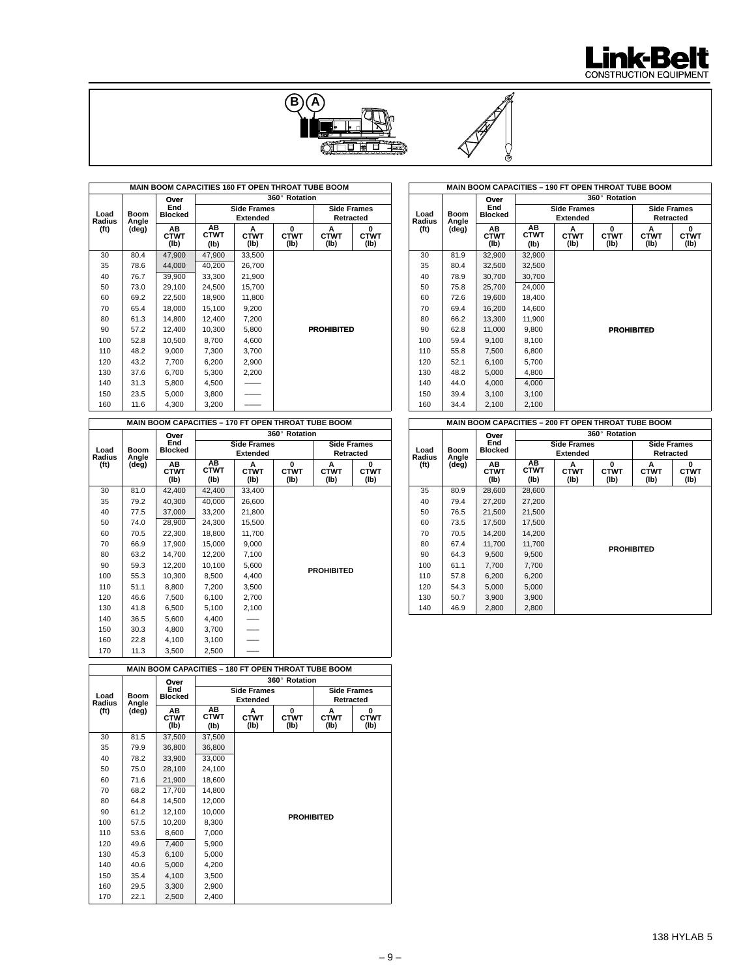





|                |                      |                           |                           | <b>MAIN BOOM CAPACITIES 160 FT OPEN THROAT TUBE BOOM</b> |                          |                                 |                          |  |  |  |  |  |  |
|----------------|----------------------|---------------------------|---------------------------|----------------------------------------------------------|--------------------------|---------------------------------|--------------------------|--|--|--|--|--|--|
|                |                      | Over                      |                           |                                                          | 360° Rotation            |                                 |                          |  |  |  |  |  |  |
| Load<br>Radius | <b>Boom</b><br>Angle | End<br><b>Blocked</b>     |                           | <b>Side Frames</b><br>Extended                           |                          | <b>Side Frames</b><br>Retracted |                          |  |  |  |  |  |  |
| (ft)           | (deg)                | АB<br><b>CTWT</b><br>(lb) | AВ<br><b>CTWT</b><br>(lb) | А<br><b>CTWT</b><br>(lb)                                 | 0<br><b>CTWT</b><br>(lb) | А<br><b>CTWT</b><br>(lb)        | 0<br><b>CTWT</b><br>(lb) |  |  |  |  |  |  |
| 30             | 80.4                 | 47.900                    | 47,900                    | 33,500                                                   |                          |                                 |                          |  |  |  |  |  |  |
| 35             | 78.6                 | 44,000                    | 40,200                    | 26,700                                                   |                          |                                 |                          |  |  |  |  |  |  |
| 40             | 76.7                 | 39,900                    | 33,300                    | 21,900                                                   |                          |                                 |                          |  |  |  |  |  |  |
| 50             | 73.0                 | 29.100                    | 24.500                    | 15.700                                                   |                          |                                 |                          |  |  |  |  |  |  |
| 60             | 69.2                 | 22,500                    | 11,800<br>18,900          |                                                          |                          |                                 |                          |  |  |  |  |  |  |
| 70             | 65.4                 | 18.000                    | 15.100                    | 9,200                                                    |                          |                                 |                          |  |  |  |  |  |  |
| 80             | 61.3                 | 14.800                    | 12.400                    | 7.200                                                    |                          |                                 |                          |  |  |  |  |  |  |
| 90             | 57.2                 | 12,400                    | 10,300                    | 5,800                                                    |                          | <b>PROHIBITED</b>               |                          |  |  |  |  |  |  |
| 100            | 52.8                 | 10.500                    | 8.700                     | 4,600                                                    |                          |                                 |                          |  |  |  |  |  |  |
| 110            | 48.2                 | 9,000                     | 7,300                     | 3,700                                                    |                          |                                 |                          |  |  |  |  |  |  |
| 120            | 43.2                 | 7,700                     | 6,200                     | 2,900                                                    |                          |                                 |                          |  |  |  |  |  |  |
| 130            | 37.6                 | 6,700                     | 5,300                     | 2,200                                                    |                          |                                 |                          |  |  |  |  |  |  |
| 140            | 31.3                 | 5,800                     | 4,500                     |                                                          |                          |                                 |                          |  |  |  |  |  |  |
| 150            | 23.5                 | 5,000                     | 3,800                     |                                                          |                          |                                 |                          |  |  |  |  |  |  |
| 160            | 11.6                 | 4,300                     | 3,200                     |                                                          |                          |                                 |                          |  |  |  |  |  |  |

|                | <b>MAIN BOOM CAPACITIES - 190 FT OPEN THROAT TUBE BOOM</b> |                           |                           |                                       |                          |                          |                          |  |  |  |  |  |  |  |
|----------------|------------------------------------------------------------|---------------------------|---------------------------|---------------------------------------|--------------------------|--------------------------|--------------------------|--|--|--|--|--|--|--|
|                |                                                            | Over                      |                           |                                       | 360° Rotation            |                          |                          |  |  |  |  |  |  |  |
| Load<br>Radius | <b>Boom</b><br>Angle                                       | End<br><b>Blocked</b>     |                           | <b>Side Frames</b><br><b>Extended</b> |                          | Retracted                | <b>Side Frames</b>       |  |  |  |  |  |  |  |
| (ft)           | (deg)                                                      | AВ<br><b>CTWT</b><br>(lb) | AB<br><b>CTWT</b><br>(lb) | A<br><b>CTWT</b><br>(lb)              | 0<br><b>CTWT</b><br>(lb) | А<br><b>CTWT</b><br>(lb) | 0<br><b>CTWT</b><br>(lb) |  |  |  |  |  |  |  |
| 30             | 81.9                                                       | 32,900                    | 32,900                    |                                       |                          |                          |                          |  |  |  |  |  |  |  |
| 35             | 80.4                                                       | 32,500                    | 32,500                    |                                       |                          |                          |                          |  |  |  |  |  |  |  |
| 40             | 78.9                                                       | 30,700                    | 30,700                    |                                       |                          |                          |                          |  |  |  |  |  |  |  |
| 50             | 75.8                                                       | 25,700                    | 24,000                    |                                       |                          |                          |                          |  |  |  |  |  |  |  |
| 60             | 72.6                                                       | 19,600                    | 18,400                    |                                       |                          |                          |                          |  |  |  |  |  |  |  |
| 70             | 69.4                                                       | 16,200                    | 14,600                    |                                       |                          |                          |                          |  |  |  |  |  |  |  |
| 80             | 66.2                                                       | 13,300                    | 11,900                    |                                       |                          |                          |                          |  |  |  |  |  |  |  |
| 90             | 62.8                                                       | 11,000                    | 9,800                     |                                       | <b>PROHIBITED</b>        |                          |                          |  |  |  |  |  |  |  |
| 100            | 59.4                                                       | 9,100                     | 8,100                     |                                       |                          |                          |                          |  |  |  |  |  |  |  |
| 110            | 55.8                                                       | 7,500                     | 6,800                     |                                       |                          |                          |                          |  |  |  |  |  |  |  |
| 120            | 52.1                                                       | 6,100                     | 5,700                     |                                       |                          |                          |                          |  |  |  |  |  |  |  |
| 130            | 48.2                                                       | 5,000                     | 4,800                     |                                       |                          |                          |                          |  |  |  |  |  |  |  |
| 140            | 44.0                                                       | 4,000                     | 4,000                     |                                       |                          |                          |                          |  |  |  |  |  |  |  |
| 150            | 39.4                                                       | 3,100                     | 3,100                     |                                       |                          |                          |                          |  |  |  |  |  |  |  |
| 160            | 34.4                                                       | 2,100                     | 2,100                     |                                       |                          |                          |                          |  |  |  |  |  |  |  |

|                   |                      |                           |                           |                                |                          | <b>MAIN BOOM CAPACITIES - 170 FT OPEN THROAT TUBE BOOM</b> |                          |  |  |  |  |  |  |  |
|-------------------|----------------------|---------------------------|---------------------------|--------------------------------|--------------------------|------------------------------------------------------------|--------------------------|--|--|--|--|--|--|--|
|                   |                      | Over                      | 360° Rotation             |                                |                          |                                                            |                          |  |  |  |  |  |  |  |
| Load<br>Radius    | <b>Boom</b><br>Angle | End<br><b>Blocked</b>     |                           | <b>Side Frames</b><br>Extended |                          | <b>Side Frames</b><br>Retracted                            |                          |  |  |  |  |  |  |  |
| (f <sub>t</sub> ) | (deg)                | AB<br><b>CTWT</b><br>(lb) | AB<br><b>CTWT</b><br>(lb) | A<br><b>CTWT</b><br>(lb)       | 0<br><b>CTWT</b><br>(lb) | A<br><b>CTWT</b><br>(lb)                                   | 0<br><b>CTWT</b><br>(lb) |  |  |  |  |  |  |  |
| 30                | 81.0                 | 42,400                    | 42,400                    | 33,400                         |                          |                                                            |                          |  |  |  |  |  |  |  |
| 35                | 79.2                 | 40,300                    | 40,000                    | 26,600                         |                          |                                                            |                          |  |  |  |  |  |  |  |
| 40                | 77.5                 | 37,000                    | 33,200                    | 21,800                         |                          |                                                            |                          |  |  |  |  |  |  |  |
| 50                | 74.0                 | 28,900                    | 24,300                    | 15,500                         |                          |                                                            |                          |  |  |  |  |  |  |  |
| 60                | 70.5                 | 22,300                    | 18,800                    | 11,700                         |                          |                                                            |                          |  |  |  |  |  |  |  |
| 70                | 66.9                 | 17,900                    | 15,000                    | 9,000                          |                          |                                                            |                          |  |  |  |  |  |  |  |
| 80                | 63.2                 | 14,700                    | 12,200                    | 7,100                          |                          |                                                            |                          |  |  |  |  |  |  |  |
| 90                | 59.3                 | 12,200                    | 10,100                    | 5,600                          |                          | <b>PROHIBITED</b>                                          |                          |  |  |  |  |  |  |  |
| 100               | 55.3                 | 10,300                    | 8,500                     | 4,400                          |                          |                                                            |                          |  |  |  |  |  |  |  |
| 110               | 51.1                 | 8,800                     | 7,200                     | 3,500                          |                          |                                                            |                          |  |  |  |  |  |  |  |
| 120               | 46.6                 | 7,500                     | 6,100                     | 2,700                          |                          |                                                            |                          |  |  |  |  |  |  |  |
| 130               | 41.8                 | 6,500                     | 5,100                     | 2,100                          |                          |                                                            |                          |  |  |  |  |  |  |  |
| 140               | 36.5                 | 5,600                     | 4,400                     |                                |                          |                                                            |                          |  |  |  |  |  |  |  |
| 150               | 30.3                 | 4,800                     | 3,700                     |                                |                          |                                                            |                          |  |  |  |  |  |  |  |
| 160               | 22.8                 | 4,100                     | 3,100                     |                                |                          |                                                            |                          |  |  |  |  |  |  |  |
| 170               | 11.3                 | 3,500                     | 2,500                     |                                |                          |                                                            |                          |  |  |  |  |  |  |  |

| 170               | 11.3                 | 3.500                     | 2,500                      |                                                            |                          |                          |                          |  |  |  |  |  |  |  |
|-------------------|----------------------|---------------------------|----------------------------|------------------------------------------------------------|--------------------------|--------------------------|--------------------------|--|--|--|--|--|--|--|
|                   |                      |                           |                            | <b>MAIN BOOM CAPACITIES - 180 FT OPEN THROAT TUBE BOOM</b> |                          |                          |                          |  |  |  |  |  |  |  |
|                   |                      | Over                      |                            |                                                            | 360° Rotation            |                          |                          |  |  |  |  |  |  |  |
| Load<br>Radius    | <b>Boom</b><br>Angle | End<br><b>Blocked</b>     |                            | <b>Side Frames</b><br><b>Extended</b>                      |                          | Retracted                | <b>Side Frames</b>       |  |  |  |  |  |  |  |
| (f <sub>t</sub> ) | (deg)                | AB<br><b>CTWT</b><br>(lb) | AB.<br><b>CTWT</b><br>(lb) | A<br><b>CTWT</b><br>(lb)                                   | 0<br><b>CTWT</b><br>(lb) | A<br><b>CTWT</b><br>(lb) | 0<br><b>CTWT</b><br>(lb) |  |  |  |  |  |  |  |
| 30                | 81.5                 | 37,500                    | 37,500                     |                                                            |                          |                          |                          |  |  |  |  |  |  |  |
| 35                | 79.9                 | 36.800                    | 36,800                     |                                                            |                          |                          |                          |  |  |  |  |  |  |  |
| 40                | 78.2                 | 33,900                    | 33,000                     |                                                            |                          |                          |                          |  |  |  |  |  |  |  |
| 50                | 75.0                 | 28,100                    | 24.100                     |                                                            |                          |                          |                          |  |  |  |  |  |  |  |
| 60                | 71.6                 | 21,900                    | 18,600                     |                                                            |                          |                          |                          |  |  |  |  |  |  |  |
| 70                | 68.2                 | 17,700                    | 14,800                     |                                                            |                          |                          |                          |  |  |  |  |  |  |  |
| 80                | 64.8                 | 14,500                    | 12,000                     |                                                            |                          |                          |                          |  |  |  |  |  |  |  |
| 90                | 61.2                 | 12,100                    | 10,000                     |                                                            | <b>PROHIBITED</b>        |                          |                          |  |  |  |  |  |  |  |
| 100               | 57.5                 | 10,200                    | 8,300                      |                                                            |                          |                          |                          |  |  |  |  |  |  |  |
| 110               | 53.6                 | 8,600                     | 7,000                      |                                                            |                          |                          |                          |  |  |  |  |  |  |  |
| 120               | 49.6                 | 7.400                     | 5.900                      |                                                            |                          |                          |                          |  |  |  |  |  |  |  |
| 130               | 45.3                 | 6,100                     | 5,000                      |                                                            |                          |                          |                          |  |  |  |  |  |  |  |
| 140               | 40.6                 | 5,000                     | 4,200                      |                                                            |                          |                          |                          |  |  |  |  |  |  |  |
| 150               | 35.4                 | 4,100                     | 3,500                      |                                                            |                          |                          |                          |  |  |  |  |  |  |  |
| 160               | 29.5                 | 3,300                     | 2,900                      |                                                            |                          |                          |                          |  |  |  |  |  |  |  |
| 170               | 22.1                 | 2.500                     | 2.400                      |                                                            |                          |                          |                          |  |  |  |  |  |  |  |

|                   | <b>MAIN BOOM CAPACITIES - 200 FT OPEN THROAT TUBE BOOM</b> |                           |                            |                                |                                 |                          |                                     |  |  |  |  |  |  |  |
|-------------------|------------------------------------------------------------|---------------------------|----------------------------|--------------------------------|---------------------------------|--------------------------|-------------------------------------|--|--|--|--|--|--|--|
|                   |                                                            | Over                      |                            |                                | 360° Rotation                   |                          |                                     |  |  |  |  |  |  |  |
| Load<br>Radius    | Boom<br>Angle                                              | End<br><b>Blocked</b>     |                            | <b>Side Frames</b><br>Extended |                                 |                          | Side Frames<br>Retracted            |  |  |  |  |  |  |  |
| (f <sub>t</sub> ) | (deg)                                                      | AВ<br><b>CTWT</b><br>(lb) | AB.<br><b>CTWT</b><br>(lb) | A<br><b>CTWT</b><br>(lb)       | $\Omega$<br><b>CTWT</b><br>(lb) | А<br><b>CTWT</b><br>(lb) | <sup>0</sup><br><b>CTWT</b><br>(lb) |  |  |  |  |  |  |  |
| 35                | 80.9                                                       | 28,600                    | 28,600                     |                                |                                 |                          |                                     |  |  |  |  |  |  |  |
| 40                | 79.4                                                       | 27,200                    | 27,200                     |                                |                                 |                          |                                     |  |  |  |  |  |  |  |
| 50                | 76.5                                                       | 21,500                    | 21,500                     |                                |                                 |                          |                                     |  |  |  |  |  |  |  |
| 60                | 73.5                                                       | 17,500                    | 17,500                     |                                |                                 |                          |                                     |  |  |  |  |  |  |  |
| 70                | 70.5                                                       | 14,200                    | 14,200                     |                                |                                 |                          |                                     |  |  |  |  |  |  |  |
| 80                | 67.4                                                       | 11,700                    | 11,700                     |                                |                                 | <b>PROHIBITED</b>        |                                     |  |  |  |  |  |  |  |
| 90                | 64.3                                                       | 9,500                     | 9,500                      |                                |                                 |                          |                                     |  |  |  |  |  |  |  |
| 100               | 61.1                                                       | 7,700                     | 7,700                      |                                |                                 |                          |                                     |  |  |  |  |  |  |  |
| 110               | 57.8                                                       | 6,200                     | 6,200                      |                                |                                 |                          |                                     |  |  |  |  |  |  |  |
| 120               | 54.3                                                       | 5,000                     | 5,000                      |                                |                                 |                          |                                     |  |  |  |  |  |  |  |
| 130               | 50.7                                                       | 3,900                     | 3,900                      |                                |                                 |                          |                                     |  |  |  |  |  |  |  |
| 140               | 46.9                                                       | 2,800                     | 2,800                      |                                |                                 |                          |                                     |  |  |  |  |  |  |  |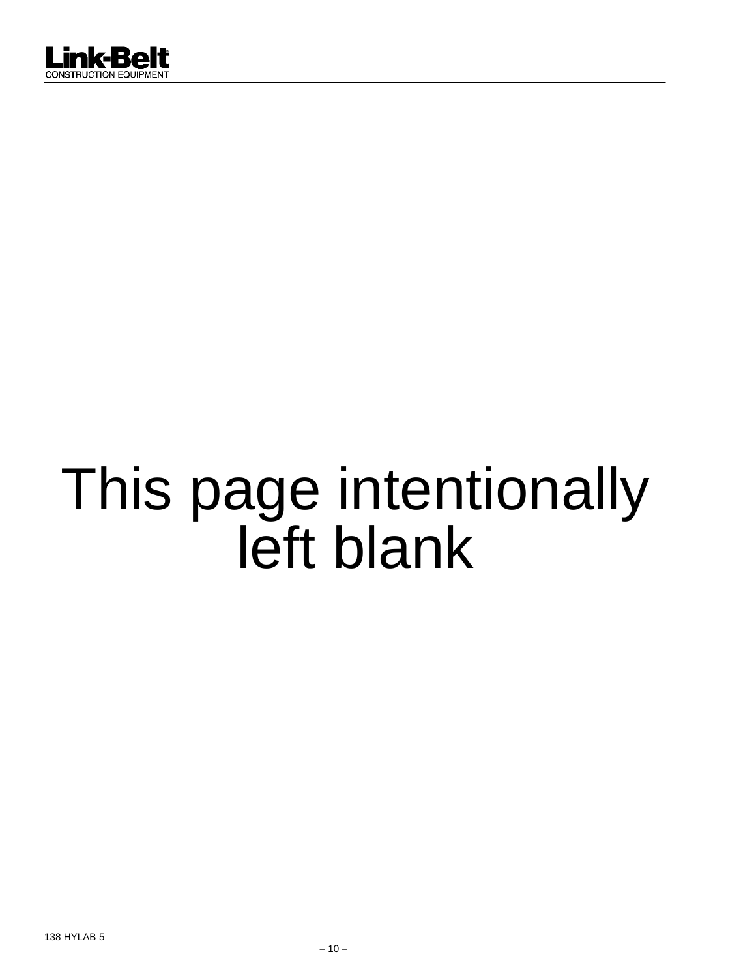

# This page intentionally left blank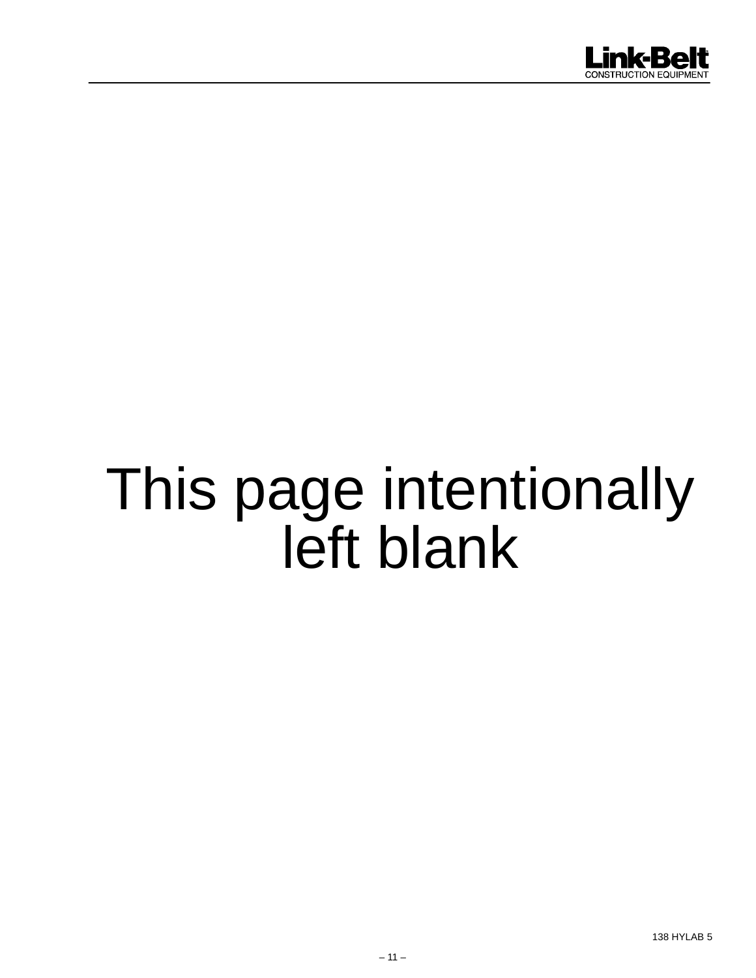

# This page intentionally left blank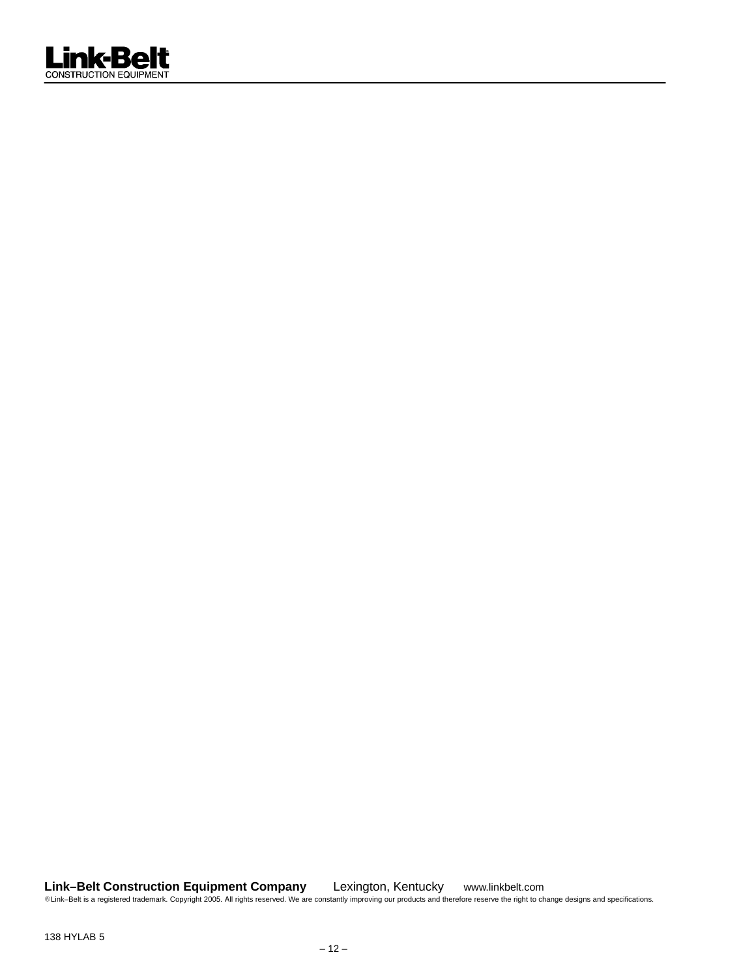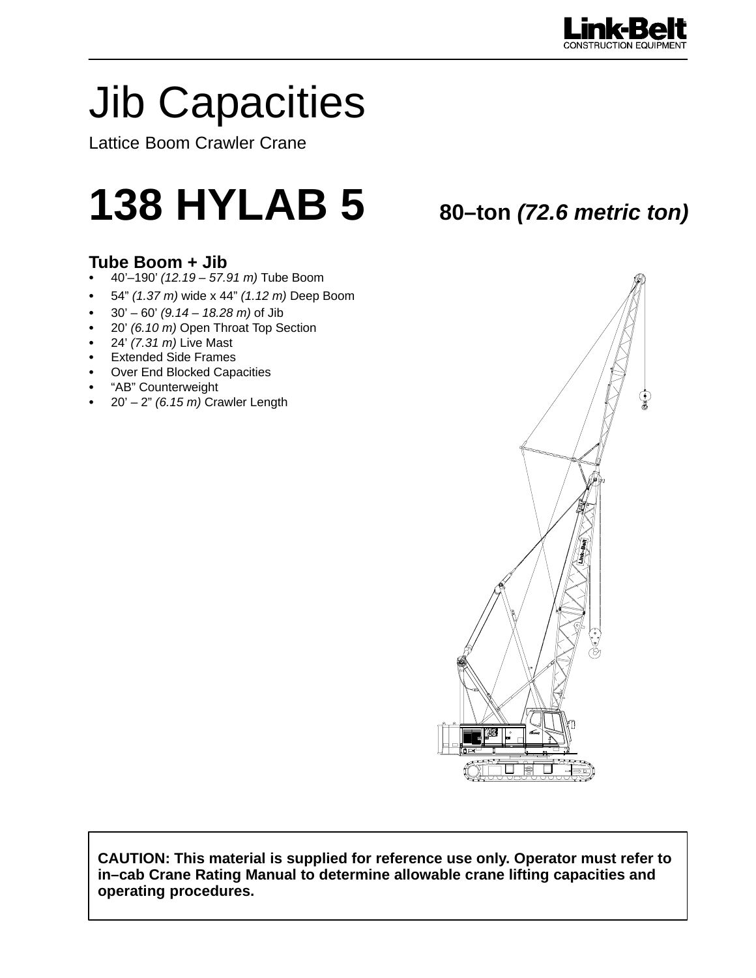

# Jib Capacities

Lattice Boom Crawler Crane

# **138 HYLAB 5 80–ton (72.6 metric ton)**

#### **Tube Boom + Jib**

- 40'–190' (12.19 57.91 m) Tube Boom
- 54" (1.37 m) wide x 44" (1.12 m) Deep Boom
- 30' 60' (9.14 18.28 m) of Jib
- $\cdot$  20' (6.10 m) Open Throat Top Section
- 24'  $(7.31 \, \text{m})$  Live Mast
- Extended Side Frames
- Over End Blocked Capacities
- "AB" Counterweight
- $20' 2"$  (6.15 m) Crawler Length



**CAUTION: This material is supplied for reference use only. Operator must refer to in–cab Crane Rating Manual to determine allowable crane lifting capacities and operating procedures.**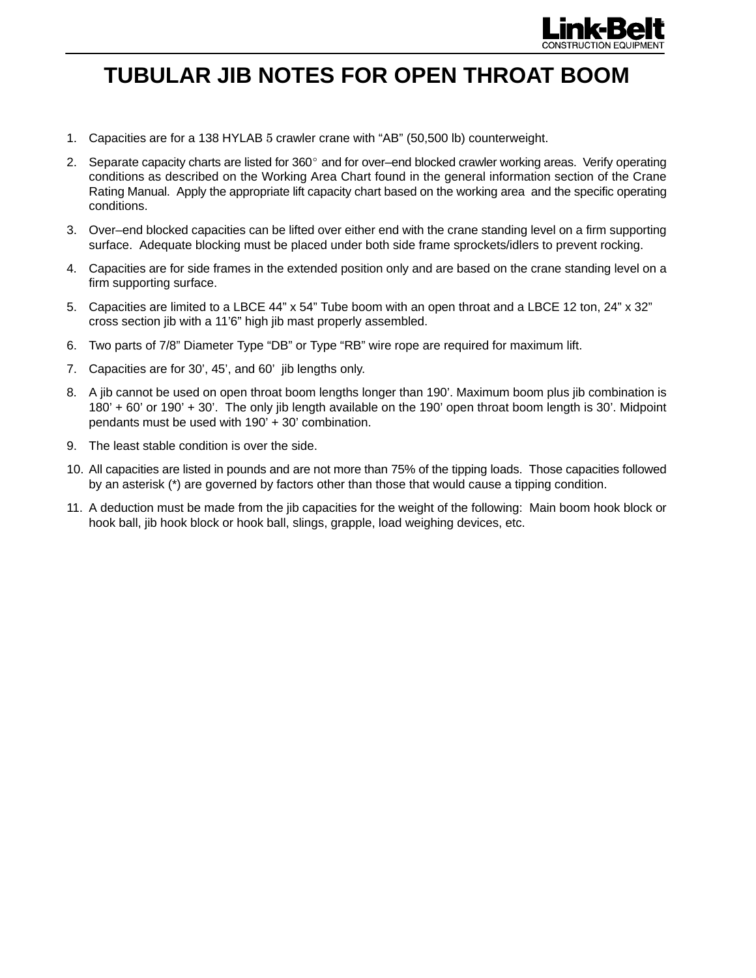

## **TUBULAR JIB NOTES FOR OPEN THROAT BOOM**

- 1. Capacities are for a 138 HYLAB 5 crawler crane with "AB" (50,500 lb) counterweight.
- 2. Separate capacity charts are listed for 360° and for over–end blocked crawler working areas. Verify operating conditions as described on the Working Area Chart found in the general information section of the Crane Rating Manual. Apply the appropriate lift capacity chart based on the working area and the specific operating conditions.
- 3. Over–end blocked capacities can be lifted over either end with the crane standing level on a firm supporting surface. Adequate blocking must be placed under both side frame sprockets/idlers to prevent rocking.
- 4. Capacities are for side frames in the extended position only and are based on the crane standing level on a firm supporting surface.
- 5. Capacities are limited to a LBCE 44" x 54" Tube boom with an open throat and a LBCE 12 ton, 24" x 32" cross section jib with a 11'6" high jib mast properly assembled.
- 6. Two parts of 7/8" Diameter Type "DB" or Type "RB" wire rope are required for maximum lift.
- 7. Capacities are for 30', 45', and 60' jib lengths only.
- 8. A jib cannot be used on open throat boom lengths longer than 190'. Maximum boom plus jib combination is 180' + 60' or 190' + 30'. The only jib length available on the 190' open throat boom length is 30'. Midpoint pendants must be used with 190' + 30' combination.
- 9. The least stable condition is over the side.
- 10. All capacities are listed in pounds and are not more than 75% of the tipping loads. Those capacities followed by an asterisk (\*) are governed by factors other than those that would cause a tipping condition.
- 11. A deduction must be made from the jib capacities for the weight of the following: Main boom hook block or hook ball, jib hook block or hook ball, slings, grapple, load weighing devices, etc.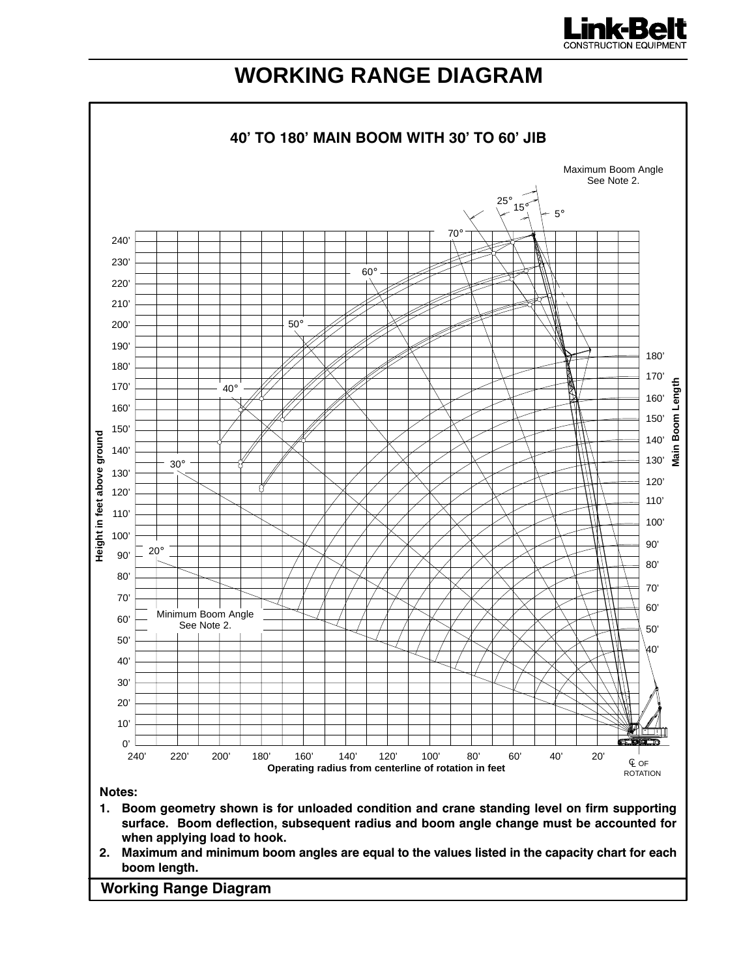

### **WORKING RANGE DIAGRAM**



Notes:

- 1. Boom geometry shown is for unloaded condition and crane standing level on firm supporting surface. Boom deflection, subsequent radius and boom angle change must be accounted for when applying load to hook.
- 2. Maximum and minimum boom angles are equal to the values listed in the capacity chart for each boom length.

Working Range Diagram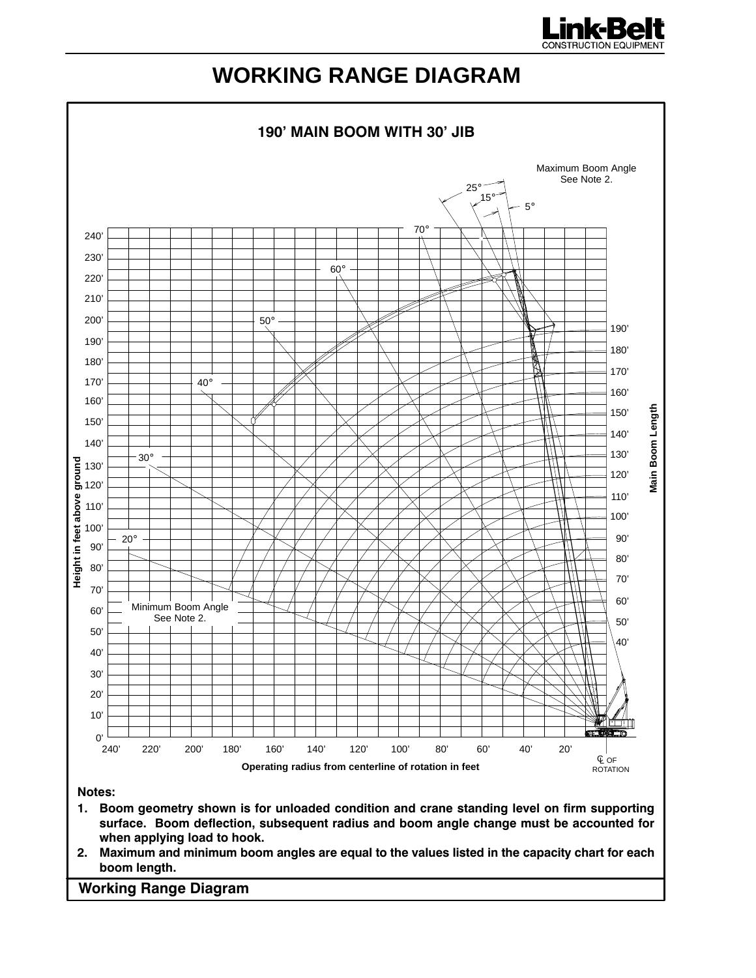

## **WORKING RANGE DIAGRAM**



Notes:

- 1. Boom geometry shown is for unloaded condition and crane standing level on firm supporting surface. Boom deflection, subsequent radius and boom angle change must be accounted for when applying load to hook.
- 2. Maximum and minimum boom angles are equal to the values listed in the capacity chart for each boom length.

Working Range Diagram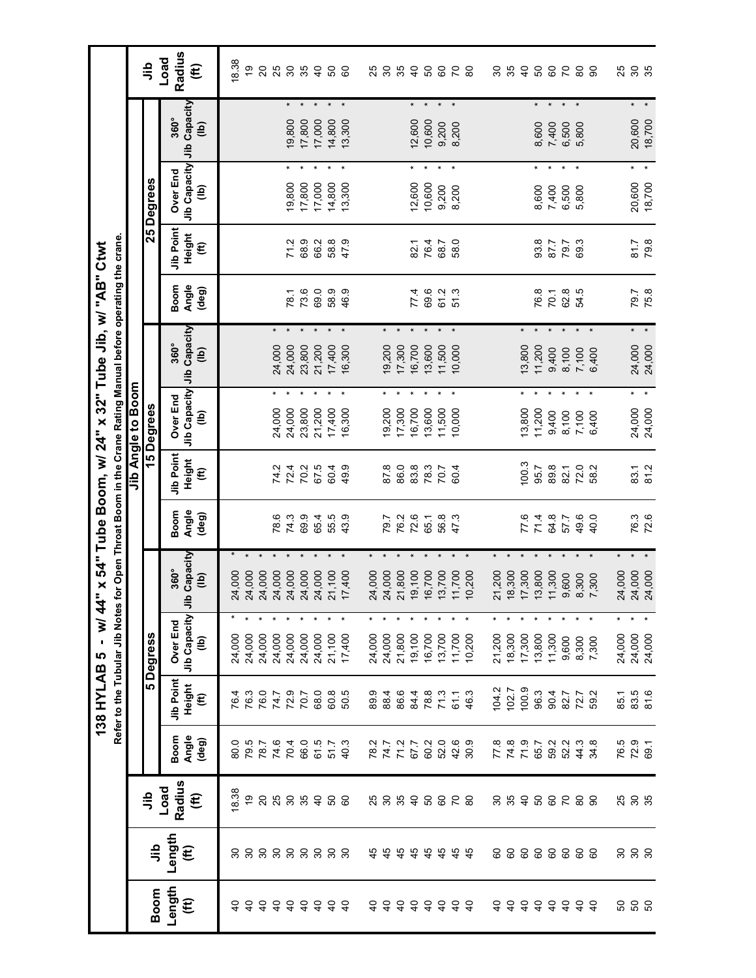|                                                                                                                                       |                   | ݠڗ         | Radius<br>Load<br>E                        | 18.38<br>စ္                      | $\mathsf{S}$<br>25               | $30\,$         | $\overline{4}$<br>35                       | SO               | 8                 |                | <b>25</b><br>30  | 35             | $\overline{a}$         | <b>80</b>      |                 | $\mathcal{L}$<br>င္ထ             |                | 888            |                | င္ဟ                              | 8                                | 288                      |                 | 25               |                  | 86<br>95          |
|---------------------------------------------------------------------------------------------------------------------------------------|-------------------|------------|--------------------------------------------|----------------------------------|----------------------------------|----------------|--------------------------------------------|------------------|-------------------|----------------|------------------|----------------|------------------------|----------------|-----------------|----------------------------------|----------------|----------------|----------------|----------------------------------|----------------------------------|--------------------------|-----------------|------------------|------------------|-------------------|
|                                                                                                                                       |                   |            | $360^\circ$<br>(al)                        |                                  |                                  | 19,800         | $\pmb{\ast}$<br>$\ast$<br>17,800<br>17,000 | $\ast$<br>14,800 | $\star$<br>13,300 |                |                  |                | $\pmb{\ast}$<br>12,600 | 10,600         | $\ast$<br>9,200 | $\ast$<br>8,200                  |                |                |                | $\pmb{\ast}$<br>$\star$<br>8,600 | $\star$<br>7,400                 | $\ast$<br>6,500<br>5,800 |                 |                  | $\ast$<br>20,600 | $\ast$<br>18,700  |
|                                                                                                                                       |                   | 25 Degrees | Jib Capacity Jib Capacity<br>Over End<br>ê |                                  |                                  | 19,800         | 17,800<br>17,000                           | 14,800           | 13,300            |                |                  |                | 12,600                 | 10,600         | 9,200           | 8,200                            |                |                |                | 8,600                            | 7,400<br>6,500                   | 5,800                    |                 |                  | $\ast$<br>20,600 | $\star$<br>18,700 |
|                                                                                                                                       |                   |            | Jib Point<br>Height<br>E                   |                                  |                                  | 71.2           | 68.9<br>66.2                               | 58.8             | 47.9              |                |                  |                | 82.1                   | 76.4           | 68.7            | 58.0                             |                |                |                | 93.8                             | 87.7<br>79.7                     | 69.3                     |                 |                  | 81.7             | 79.8              |
|                                                                                                                                       |                   |            | Angle<br>Boom<br>$(\text{deg})$            |                                  |                                  | 78.1           | 73.6<br>69.0                               | 58.9             | 46.9              |                |                  |                | 4<br>ド                 | 69.6           | 61.2            | 51.3                             |                |                |                | 76.8                             | 62.8<br>70.1                     | 54.5                     |                 |                  | 79.7             | 75.8              |
| for Open Throat Boom in the Crane Rating Manual before operating the crane<br>I" x 54" Tube Boom, w/ 24" x 32" Tube Jib, w/ "AB" Ctwt |                   |            | 360°<br>$\widehat{a}$                      |                                  | 24,000                           | 24,000         | 23,800<br>21,200                           | 17,400           | 16,300            |                | 19,200           | 17,300         | 16,700                 | 13,600         | 11,500          | 10,000                           |                |                | 13,800         | 11,200                           | 9,400<br>8,100                   | 7,100                    | 6,400           |                  | 24,000           | 24,000            |
|                                                                                                                                       | Jib Angle to Boom | 15 Degrees | Jib Capacity Jib Capacity<br>Over End<br>ê |                                  | ¥<br>24,000                      | 24,000         | 23,800<br>21,200                           | 17,400           | 16,300            |                | $\ast$<br>19,200 | 17,300         | 16,700                 | 13,600         | 11,500          | 10,000                           |                |                | 13,800         | 11,200                           | 9,400<br>8,100                   | 7,100                    | $\ast$<br>6,400 |                  | $\ast$<br>24,000 | $\star$<br>24,000 |
|                                                                                                                                       |                   |            | Jib Point<br>Height<br>$\mathbf{f}$        |                                  | 74.2                             | 72.4           | 70.2<br>67.5                               | 60.4             | 49.9              |                | 87.8             | 86.0           | 83.8                   | 78.3           | 70.7            | 60.4                             |                |                | 100.3          | 95.7                             | 89.8<br>82.1                     | 72.0                     | 58.2            |                  | 83.1             | 81.2              |
|                                                                                                                                       |                   |            | Angle<br>Boom<br>$(\text{deg})$            |                                  |                                  | 78.6<br>74.3   | 69.9<br>65.4                               | 55.5             | 43.9              |                | 797              | 76.2           | 72.6                   | 65.1           | 56.8            | 47.3                             |                |                | 77.6           | 71.4                             | 64.8<br>57.7                     |                          | 49.0<br>40.0    |                  | 76.3             | 72.6              |
|                                                                                                                                       |                   |            | <b>b Capacity</b><br>360°<br>(al)<br>∍     | $\ast$<br>24,000<br>24,000       | 24,000<br>24,000                 | 24,000         | 24,000                                     | 21,100<br>24,000 | 17,400            | 24,000         | 24,000           | 21,800         | 19,100                 | 16,700         | 13,700          | 11,700<br>10,200                 | 21,200         | 18,300         | 17,300         | 13,800                           | 11,300<br>9,600                  | 8,300                    | 7,300           | $\ast$<br>24,000 | 24,000           | 24,000            |
| $-$ W/ 44<br>Refer to the Tubular Jib Notes                                                                                           |                   | 5 Degress  | Jib Capacity<br>Over End<br>ê              | 24,000<br>24,000                 | 24,000<br>24,000                 | 24,000         | 24,000<br>24,000                           | 21,100           | 17,400            | 24,000         | 24,000           | 21,800         | 19,100                 | 16,700         | 13,700          | 11,700<br>10,200                 | 21,200         | 18,300         | 17,300         | 13,800                           | 11,300<br>9,600                  |                          | 8,300<br>7,300  | 24,000           |                  | 24,000<br>24,000  |
| <b>138 HYLAB 5</b>                                                                                                                    |                   |            | Jib Point<br>Height<br>$\mathbf{f}$        | 76.4                             | 76.3<br>76.0<br>74.7             | 72.9<br>70.7   | 68.0                                       | 60.8             | 50.5              | 89.9           | 88.6<br>86.6     |                | 84.4                   | 78.8           | 71.3            | 46.3<br>61.1                     | 104.2          | 102.7          | 100.9          | 96.3                             | 90.4                             | 82.7<br>72.7<br>59.2     |                 | 85.1             |                  | 83.5<br>81.6      |
|                                                                                                                                       |                   |            | Boom<br>Angle<br>$(\text{deg})$            | 79.5<br>80.0                     | 74.6<br>787                      | 70.4           | 66.0<br>61.5                               | 51.7             | 40.3              | 78.2           | 74.7             | 71.2           | 677                    | 60.2           | 52.0            | 42.6<br>30.9                     | 77.8           | 74.8           | 71.9           | 65.7                             | 59.2<br>52.2                     |                          | $44.3$<br>34.8  | 76.5             | 72.9             | 69.1              |
|                                                                                                                                       |                   | هاز        | Radius<br>Load<br>E                        | 18.38<br>ë                       | $\rm 20$<br>25                   | $\rm ^{8}$     | 35<br>$\overline{a}$                       | 69               | 8                 |                | 88               | 35             | $\overline{a}$         | ន              | 8               | 5 8                              |                | 888            |                | င္ဟ                              | 8 S                              |                          | ន ន             |                  | <b>25 35</b>     |                   |
|                                                                                                                                       |                   | ٩i         | Length<br>€                                | 30<br>౭                          | 30<br>SO.                        |                | ននន                                        | $\boldsymbol{S}$ | 30                | 45             | 45               | 45             | 45                     | 45             | $\frac{45}{4}$  | 45                               | 80             | 60             | 60             | 8                                | 60<br>60                         |                          | $rac{6}{6}$     | S.               |                  | 8 S               |
|                                                                                                                                       |                   | Boom       | Length<br>E                                | $\overline{4}$<br>$\overline{a}$ | $\overline{a}$<br>$\overline{4}$ | $\overline{4}$ | $\overline{4}$<br>$\overline{4}$           | $\overline{4}$   | $\overline{a}$    | $\overline{a}$ | $\overline{4}$   | $\overline{4}$ | $\overline{4}$         | $\overline{4}$ | $\overline{4}$  | $\overline{4}$<br>$\overline{4}$ | $\overline{a}$ | $\overline{4}$ | $\overline{4}$ | $\overline{4}$                   | $\overline{4}$<br>$\overline{a}$ | $\overline{a}$           | $\theta$        | 50               |                  | <b>88</b>         |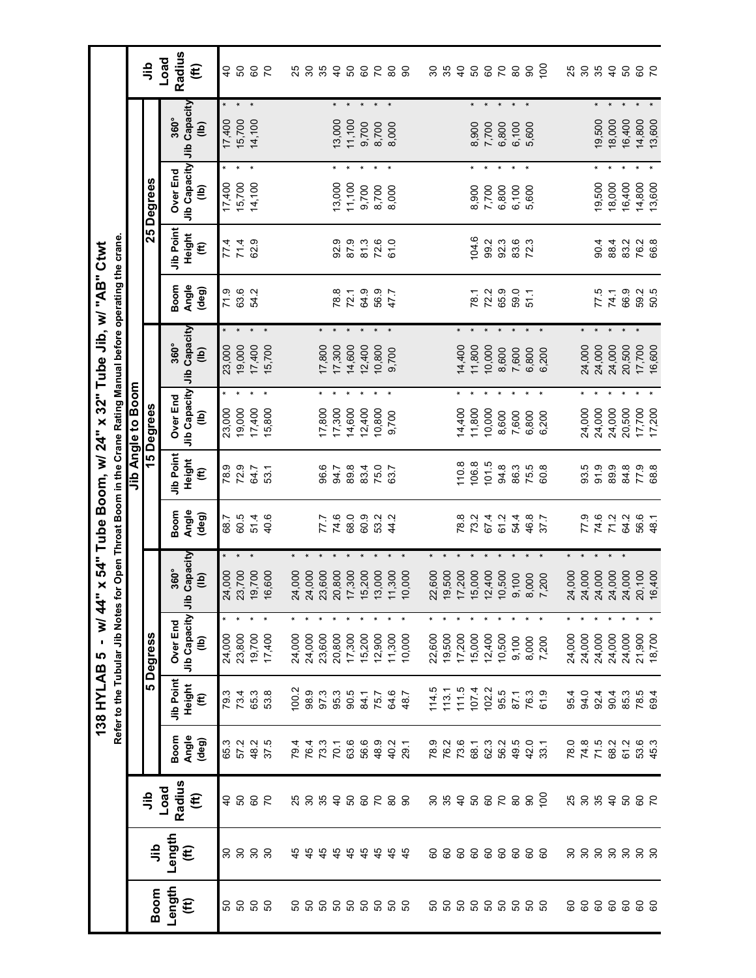|                                                                                                           |                   | هاز        | Radius<br>Load<br>E                             | 60<br>$\overline{a}$<br>SO<br>$\overline{C}$        | 8<br>25<br>35<br>90                                       | 60<br>$\overline{r}$<br>8 S                                 | $\frac{8}{2}$<br>888<br>င္ဟ<br>8<br>$\mathcal{L}$<br>80<br>$\rm ^{\rm o}$           | 25<br>$\boldsymbol{\mathcal{S}}$<br>35<br>$\overline{4}$<br>SO<br>$\mbox{S}$<br>R                            |
|-----------------------------------------------------------------------------------------------------------|-------------------|------------|-------------------------------------------------|-----------------------------------------------------|-----------------------------------------------------------|-------------------------------------------------------------|-------------------------------------------------------------------------------------|--------------------------------------------------------------------------------------------------------------|
|                                                                                                           |                   |            | Jib Capacity<br>360°<br>$\widehat{=}$           | $\ast$<br>17,400<br>15,700<br>14,100                | $\ast$<br>13,000<br>11,100                                | $\pmb{\ast}$<br>$\ast$<br>$\ast$<br>9,700<br>8,700<br>8,000 | $\ast$<br>$\star$<br>8,900<br>7,700<br>6,100<br>6,800<br>5,600                      | $\star$<br>$\ast$<br>$\star$<br>16,400<br>19,500<br>18,000<br>14,800<br>13,600                               |
|                                                                                                           |                   | 25 Degrees | Jib Capacity<br>Over End<br>(al)                | ¥<br>17,400<br>15,700<br>14,100                     | 13,000<br>11,100                                          | 9,700<br>8,700<br>8,000                                     | 8,900<br>7,700<br>6,800<br>6,100<br>5,600                                           | 18,000<br>14,800<br>19,500<br>16,400<br>13,600                                                               |
|                                                                                                           |                   |            | Jib Point<br>Height<br>€                        | 62.9<br>77.4<br>71.4                                | 87.9<br>92.9                                              | 81.3<br>72.6<br>61.0                                        | 104.6<br>99.2<br>92.3<br>83.6<br>72.3                                               | 76.2<br>66.8<br>90.4<br>88.4<br>83.2                                                                         |
|                                                                                                           |                   |            | Angle<br>Boom<br>$(\text{deg})$                 | 63.6<br>54.2<br>71.9                                | 78.8<br>72.1                                              | 64.9<br>56.9<br>47.7                                        | 65.9<br>72.2<br>59.0<br>78.1<br>51.1                                                | 77.5<br>66.9<br>50.5<br>59.2<br>74.1                                                                         |
| i" x 54" Tube Boom, w/ 24" x 32" Tube Jib, w/ "AB" Ctwt                                                   |                   |            | 360°<br>$\widehat{a}$                           | 19,000<br>17,400<br>15,700<br>23,000                | 17,800<br>17,300<br>14,600                                | 10,800<br>12,400<br>9,700                                   | 11,800<br>14,400<br>10,000<br>8,600<br>7,600<br>6,800<br>6,200                      | 24,000<br>20,500<br>17,700<br>16,600<br>24,000<br>24,000                                                     |
|                                                                                                           | Jib Angle to Boom | 15 Degrees | Jib Capacity Jib Capacity<br>Over End<br>ê      | $\ast$<br>23,000<br>19,000<br>17,400<br>15,800      | ¥<br>17,300<br>17,800<br>14,600                           | $\ast$<br>12,400<br>10,800<br>9,700                         | $\star$<br>14,400<br>11,800<br>10,000<br>8,600<br>7,600<br>6,800<br>6,200           | ¥<br>20,500<br>17,700<br>24,000<br>24,000<br>24,000<br>17,200                                                |
|                                                                                                           |                   |            | Jib Point<br>Height<br>$\widehat{\epsilon}$     | တ<br>72.9<br>64.7<br>53.1<br>χö.                    | 96.6<br>94.7<br>89.8                                      | 83.4<br>75.0<br>63.7                                        | 110.8<br>106.8<br>101.5<br>94.8<br>86.3<br>75.5<br>60.8                             | 68.8<br>ю<br>91.9<br>89.9<br>84.8<br>77.9<br><u>တွ</u>                                                       |
|                                                                                                           |                   |            | Angle<br>Boom<br>$(\text{deg})$                 | 60.5<br>51.4<br>40.6<br>68.7                        | 74.6<br>68.0<br>77.7                                      | 60.9<br>53.2<br>44.2                                        | 78.8<br>73.2<br>674<br>54.4<br>61.2<br>46.8<br>37.7                                 | 77.9<br>74.6<br>71.2<br>64.2<br>56.6<br>48.1                                                                 |
| Refer to the Tubular Jib Notes for Open Throat Boom in the Crane Rating Manual before operating the crane |                   |            | <b>b Capacity</b><br>360°<br>$\widehat{a}$<br>⋾ | ¥<br>$\ast$<br>23,700<br>19,700<br>16,600<br>24,000 | $\star$<br>23,600<br>20,800<br>24,000<br>17,300<br>24,000 | 15,200<br>13,000<br>11,300<br>10,000                        | 15,000<br>19,500<br>17,200<br>12,400<br>22,600<br>10,500<br>9,100<br>8,000<br>7,200 | $\ast$<br>$\ast$<br>$\star$<br>$\star$<br>24,000<br>20,100<br>24,000<br>24,000<br>24,000<br>24,000<br>16,400 |
| $- w/44$                                                                                                  |                   | 5 Degress  | Jib Capacity<br>Over End<br>ê                   | 17,400<br>24,000<br>23,800<br>19,700                | 24,000<br>23,600<br>20,800<br>17,300<br>24,000            | 15,200<br>12,900<br>11,300<br>10,000                        | 19,500<br>15,000<br>22,600<br>17,200<br>12,400<br>10,500<br>9,100<br>8,000<br>7,200 | 24,000<br>24,000<br>24,000<br>24,000<br>24,000<br>21,900<br>18,700                                           |
| <b>138 HYLAB 5</b>                                                                                        |                   |            | Jib Point<br>Height<br>€                        | 73.4<br>65.3<br>53.8<br>79.3                        | 100.2<br>98.9<br>97.3<br>95.3<br>90.5                     | 64.6<br>75.7<br>48.7<br>84.1                                | 114.5<br>111.5<br>107.4<br>102.2<br>113.1<br>95.5<br>87.1<br>76.3<br>61.9           | 78.5<br>69.4<br>95.4<br>94.0<br>92.4<br>90.4<br>85.3                                                         |
|                                                                                                           |                   |            | Boom<br>Angle<br>$(\text{deg})$                 | 48.2<br>65.3<br>57.2<br>37.5                        | 76.4<br>63.6<br>79.4<br>73.3<br>70.1                      | 56.6<br>48.9<br>40.2<br>29.1                                | 78.9<br>73.6<br>62.3<br>49.5<br>42.0<br>76.2<br>56.2<br>68.1<br>33.1                | 71.5<br>53.6<br>45.3<br>78.0<br>74.8<br>68.2<br>61.2                                                         |
|                                                                                                           |                   | هاز        | Radius<br>Load<br>E                             | <u>ន ខ ឧ</u><br>ਰੇ<br>ਟਿ                            | ង ន ន ទ<br>င္ဟ                                            | 8<br>50<br>88                                               | $\frac{8}{2}$<br>888<br>င္ဟ<br>8<br>58<br>8                                         | 8<br>35<br>$\triangleq$<br>25<br>ន<br>88                                                                     |
|                                                                                                           |                   | هاز        | Length<br>$\mathbf{\widehat{E}}$                | 30<br>SO<br>္တ<br>္တ                                | $\frac{4}{9}$<br>45<br>45<br>45<br>45                     | $\frac{4}{5}$<br>$\frac{4}{5}$<br>45<br>45                  | 8<br>60<br>8<br>8<br>60<br>$rac{60}{60}$<br>8<br>င္စ                                | ೫<br>$\boldsymbol{\mathcal{S}}$<br>္က<br>$\boldsymbol{S}$<br>8 g<br><u>င</u> ္က                              |
|                                                                                                           |                   | Boom       | Length<br>€                                     | 50<br>SO<br>င္ဟ<br>SO                               | င္ပ<br>SO<br>SO,<br>50<br>50                              | SO<br>SO<br><b>ទ</b> ទ                                      | SO<br>SO<br>SO<br>SO<br>50<br><b>80</b><br>50<br>SO                                 | $\rm ^{6}$<br>8<br>$\mbox{S}$<br>80<br>80<br>60<br>60                                                        |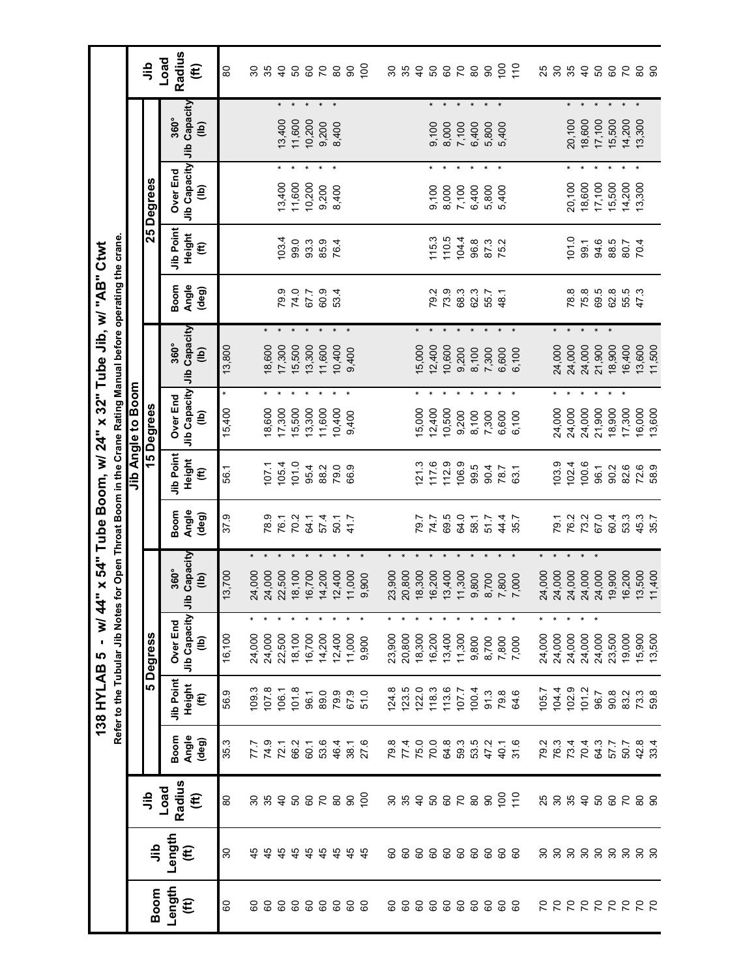|                                                                                                           |                   | ءِ         | Radius<br>Load<br>E                        | 80          | 30                     | 35<br>$\overline{a}$           | 50                | $\mathsf{S} \mathsf{O}$     | $\overline{r}$<br>$80$   | 8               | $\frac{5}{2}$ |                  | ೫ ಜ    | $\overline{4}$ | SO                    | $\mbox{6}$ | $\overline{C}$  | $\rm ^{\circ}$        | $\frac{6}{2}$<br>8        | $\frac{1}{2}$   | 25     | $\rm ^{30}$ | 35                     | $\overline{a}$ | 50                     | $\mbox{ }_{\mathbf{60}}$ | $\mathcal{L}$    | 8 S              |
|-----------------------------------------------------------------------------------------------------------|-------------------|------------|--------------------------------------------|-------------|------------------------|--------------------------------|-------------------|-----------------------------|--------------------------|-----------------|---------------|------------------|--------|----------------|-----------------------|------------|-----------------|-----------------------|---------------------------|-----------------|--------|-------------|------------------------|----------------|------------------------|--------------------------|------------------|------------------|
|                                                                                                           |                   |            | $360^\circ$<br>(dil)                       |             |                        | $\ast$<br>13,400               | $\star$<br>11,600 | $\ast$<br>$\star$<br>10,200 | $\ast$<br>9,200<br>8,400 |                 |               |                  |        |                | 9,100                 | 8,000      | $\ast$<br>7,100 | $\pmb{\ast}$<br>6,400 | $\star$<br>5,800<br>5,400 |                 |        |             | $\pmb{\ast}$<br>20,100 | 18,600         | $\pmb{\ast}$<br>17,100 | $\star$<br>15,500        | $\ast$<br>14,200 | 13,300           |
|                                                                                                           |                   | 25 Degrees | Jib Capacity Jib Capacity<br>Over End<br>€ |             |                        | 13,400                         | 11,600            | 10,200                      | 9,200<br>8,400           |                 |               |                  |        |                | 9,100                 | 8,000      | 7,100           | 6,400                 | 5,800<br>5,400            |                 |        |             | 20,100                 | 18,600         | 17,100                 | 15,500                   | 14,200           | 13,300           |
|                                                                                                           |                   |            | Jib Point<br>Height<br>E                   |             |                        | 103.4                          | 99.0              | 93.3                        | 85.9<br>76.4             |                 |               |                  |        |                | 115.3                 | 110.5      | 104.4           | 96.8                  | 87.3<br>75.2              |                 |        |             | 101.0                  | 99.1           | 94.6                   | 88.5                     | 80.7             | 70.4             |
|                                                                                                           |                   |            | Boom<br>Angle<br>$(\text{deg})$            |             |                        | 79.9                           | 74.0              | 67.7                        | 60.9<br>53.4             |                 |               |                  |        |                | 79.2                  | 73.9       | 68.3            | 62.3                  | 55.7<br>48.1              |                 |        |             | 78.8                   | 75.8           | 69.5                   | 62.8                     | 55.5             | 47.3             |
| I" x 54" Tube Boom, w/ 24" x 32" Tube Jib, w/ "AB" Ctwt                                                   |                   |            | 360°<br>ê                                  | 13,800      |                        | 18,600<br>17,300               | 15,500            | 13,300                      | 11,600<br>10,400         | 9,400           |               |                  |        | 15,000         | 12,400                | 10,600     | 9,200           | 8,100                 | 7,300<br>6,600            | 6,100           |        | 24,000      | 24,000                 | 24,000         | 21,900                 | 18,900                   | 16,400           | 13,600<br>11,500 |
|                                                                                                           | Jib Angle to Boom | 15 Degrees | Jib Capacity Jib Capacity<br>Over End<br>€ | ×<br>15,400 |                        | ¥<br>18,600<br>17,300          | 15,500            | 13,300                      | 11,600<br>10,400         | $\ast$<br>9,400 |               |                  |        | 15,000         | 12,400                | 10,500     | 9,200           | $\ast$<br>8,100       | 7,300<br>6,600            | $\ast$<br>6,100 |        | 24,000      | 24,000                 | 24,000         | 21,900                 | $\ast$<br>18,900         | 17,300           | 16,000<br>13,600 |
|                                                                                                           |                   |            | Jib Point<br>Height<br>E                   | 56.1        |                        | 105.4<br>107.1                 | 101.0             | 954                         | 88.2<br>79.0             | 66.9            |               |                  |        | 121.3          | 117.6                 | 112.9      | 106.9           | 99.5                  | 90.4<br>78.7              | 63.1            |        | 103.9       | 102.4                  | 100.6          | 96.1                   | 90.2                     | 82.6             | 72.6<br>58.9     |
|                                                                                                           |                   |            | Angle<br>Boom<br>$(\text{deg})$            | 37.9        |                        | 78.9<br>76.1                   | 70.2              | 64.1                        | 57.4<br>50.1             | 41.7            |               |                  |        | 79.7           | 74.7                  | 69.5       | 64.0            | 58.1                  | 51.7                      | 44.7<br>35.7    |        | 79.1        | 76.2                   | 73.2           | 67.0                   | 60.4                     | 53.3             | 45.3<br>35.7     |
| Refer to the Tubular Jib Notes for Open Throat Boom in the Crane Rating Manual before operating the crane |                   |            | <b>b Capacity</b><br>360°<br>ê<br>っ        | 13,700      | $\pmb{\ast}$<br>24,000 | 24,000<br>22,500               | 18,100            | 16,700                      | 14,200<br>12,400         | 11,000          | 9,900         | $\ast$<br>23,900 | 20,800 | 18,300         | 16,200                | 13,400     | 11,300          | 9,800                 | 8,700<br>7,800            | 7,000           | 24,000 | 24,000      | $\ast$<br>24,000       | 24,000         | 24,000                 | 19,900                   | 16,200           | 13,500<br>11,400 |
| $- w / 44$                                                                                                |                   | 5 Degress  | <b>Jib Capacity</b><br>Over End<br>€       | 16,100      | 24,000                 | 24,000<br>22,500               | 18,100            | 16,700                      | 14,200<br>12,400         | 11,000          | 9,900         | 23,900           | 20,800 | 18,300         | 16,200                | 13,400     | 11,300          | 9,800                 | 8,700                     | 7,000<br>7,000  | 24,000 | 24,000      | 24,000                 | 24,000         | 24,000                 | 23,500                   | 19,000           | 15,900<br>13,500 |
| <b>138 HYLAB 5</b>                                                                                        |                   |            | Jib Point<br>Height<br>E                   | 56.9        | 109.3                  | 107.8<br>106.1                 | 101.8             | 96.1                        | 89.0<br>79.9             | 67.9            | 51.0          | 124.8            | 123.5  | 122.0          | 118.3                 | 113.6      | 107.7           | 100.4                 | 91.3                      | 79.8<br>64.6    | 105.7  | 104.4       | 102.9                  | 101.2          | 96.7                   | 90.8                     | 83.2             | 73.3<br>59.8     |
|                                                                                                           |                   |            | Angle<br>Boom<br>$(\text{deg})$            | 35.3        | 77.7                   | 74.9<br>72.1                   | 66.2              | 60.1                        | 53.6<br>46.4             | 38.1            | 27.6          | 79.8             | 77.4   | 75.0           | 70.0                  | 64.8       | 59.3            | 53.5                  | 47.2<br>40.1              | 31.6            | 79.2   | 76.3        | 73.4                   | 70.4           | 64.3                   | 57.7                     | 50.7             | $42.8$<br>33.4   |
|                                                                                                           |                   | هاز        | Radius<br>Load<br>E                        | 8           | న్                     | 35<br>$\theta$                 | င္ဟ               | $888$                       |                          | 8               | $\frac{8}{2}$ |                  | ೫ ಜ    | $\overline{a}$ | SO                    | 8 2        |                 | $\rm 8$               | $\frac{8}{2}$<br>8        | $\frac{1}{2}$   | 25     | င္က         | 35                     | $\theta$       | ន ន                    |                          | S                | ន ន              |
|                                                                                                           |                   | ء<br>آل    | Length<br>E                                | 30          | 45                     | 45<br>45                       | 45                | $\frac{4}{5}$               | 45<br>45                 | 45              | 45            | 60               | 8      | 8              | 60                    | 60         | 60              | 8                     | 60                        | 88              |        | 8 S         | ೫                      |                | ននន                    |                          | င္က              | ೫ ೫              |
|                                                                                                           |                   | Boom       | Length<br>Ê                                | 8           | 8                      | $\mbox{ }_{\mathbf{60}}$<br>80 | 60                | $\mbox{S}$                  | 60<br>60                 | 60              | 60            | 8                | 60     | $\rm ^{\circ}$ | $\mbox{ }^\mathrm{O}$ | 60         | 60              | 80                    | 60                        | 88              |        |             | 222                    |                | 772                    |                          | $\overline{r}$   | 20               |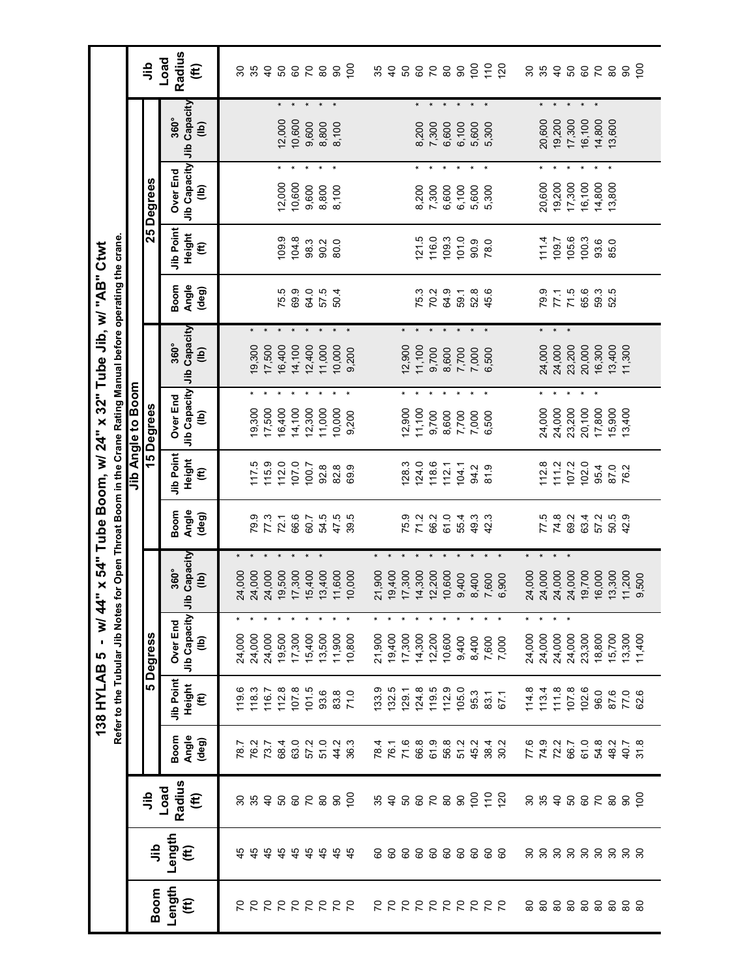|                                                                                                                                       |                   | <u>م</u> اڑ | Radius<br>Load<br>E                              | 30               | 35<br>$\overline{4}$       | 50                           | $\mbox{S}$<br>$\overline{r}$    | $80$                     | $\mathbf{S}$ | $\frac{8}{2}$  | 35                     | $\overline{4}$ | 50                | $\mbox{ }^\mathsf{O}$ | $\sim$        | $80$   | 8                | $\frac{1}{2}$   | $\frac{1}{2}$<br>$\frac{5}{2}$           | $30\,$<br>35                                | $\overline{4}$   |              | <b>88</b>        | $\mathcal{L}$    | $\rm ^{\rm o}$ | $\mathsf{S}$ | $\frac{6}{5}$  |
|---------------------------------------------------------------------------------------------------------------------------------------|-------------------|-------------|--------------------------------------------------|------------------|----------------------------|------------------------------|---------------------------------|--------------------------|--------------|----------------|------------------------|----------------|-------------------|-----------------------|---------------|--------|------------------|-----------------|------------------------------------------|---------------------------------------------|------------------|--------------|------------------|------------------|----------------|--------------|----------------|
|                                                                                                                                       |                   |             | $360^\circ$<br>(dil)                             |                  |                            | 12,000                       | $\pmb{\ast}$<br>10,600<br>9,600 | $\ast$<br>8,800<br>8,100 | $\ast$       |                |                        |                |                   | 8,200                 | 7,300         | 6,600  | $\star$<br>6,100 | 5,600           | 5,300                                    | $\pmb{\ast}$<br>20,600                      | $\ast$<br>19,200 | 17,300       | $\ast$<br>16,100 | $\ast$<br>14,800 | 13,600         |              |                |
|                                                                                                                                       |                   | 25 Degrees  | Jib Capacity Jib Capacity<br>Over End<br>€       |                  |                            | 12,000                       | 10,600<br>9,600                 | 8,800<br>8,100           |              |                |                        |                |                   | 8,200                 | 7,300         | 6,600  | 6,100            | 5,600           | 5,300                                    | 20,600                                      | 19,200           | 17,300       | 16,100           | 14,800           | 13,800         |              |                |
|                                                                                                                                       |                   |             | Jib Point<br>Height<br>$\boldsymbol{\epsilon}$   |                  |                            | 109.9                        | 104.8<br>98.3                   | 90.2                     | 80.0         |                |                        |                |                   | 121.5                 | 116.0         | 109.3  | 101.0            | 90.9            | 78.0                                     | 111.4                                       | 109.7            | 105.6        | 100.3            | 93.6             | 85.0           |              |                |
|                                                                                                                                       |                   |             | Boom<br>Angle<br>$(\text{deg})$                  |                  |                            | ဖာ<br>75.                    | 69.9<br>64.0                    | 57.5                     | 50.4         |                |                        |                |                   | 75.3                  | 70.2          | 64.9   | 59.1             | 52.8            | 45.6                                     | 79.9                                        | 77.1             | 71.5         | 65.6             | 59.3<br>52.5     |                |              |                |
| for Open Throat Boom in the Crane Rating Manual before operating the crane<br>I" x 54" Tube Boom, w/ 24" x 32" Tube Jib, w/ "AB" Ctwt |                   |             | Jib Capacity Jib Capacity<br>$360^\circ$<br>(dl) |                  | 9,300<br>17,500            | 16,400                       | 14,100<br>12,400                | 11,000                   | 10,000       | 9,200          |                        |                | 12,900            | 11,100                | 9,700         | 8,600  | 7,700            | 7,000           | 6,500                                    | 24,000                                      | 24,000           | 23,200       | 20,000           | 16,300           | 13,400         | 11,300       |                |
|                                                                                                                                       | Jib Angle to Boom | 15 Degrees  | Over End<br>€                                    |                  | $\ast$<br>19,300<br>17,500 | 16,400                       | 12,300<br>14,100                | 11,000                   | 10,000       | 9,200          |                        |                | $\star$<br>12,900 | 11,100                | 9,700         | 8,600  | $\ast$<br>7,700  | $\ast$<br>7,000 | $\ast$<br>6,500                          | $\ast$<br>24,000                            | 24,000           | 23,200       | 20,100           | $\ast$<br>17,800 | 15,900         | 13,400       |                |
|                                                                                                                                       |                   |             | Jib Point<br>Height<br>E                         |                  | 117.5<br>115.9             | 112.0                        | 107.0<br>100.7                  | 92.8                     | 82.9<br>69.9 |                |                        |                | 128.3             | 124.0                 | 118.6         | 112.1  | 104.1            | 94.2            | 81.9                                     | 112.8                                       | 111.2            | 107.2        | 102.0            | 95.4             | 87.0<br>76.2   |              |                |
|                                                                                                                                       |                   |             | Angle<br>Boom<br>$(\text{deg})$                  |                  | 79.9<br>77.3               | 72.1                         | 66.6<br>60.7                    | 54.5                     | 47.5<br>39.5 |                |                        |                | 75.9              | 71.2                  | 66.2          | 61.0   | 55.4             | 49.3<br>42.3    |                                          | 77.5                                        |                  | 74.8<br>69.2 | 63.4<br>57.2     |                  | 50.5<br>42.9   |              |                |
|                                                                                                                                       |                   |             | <b>b Capacity</b><br>$360^\circ$<br>ê<br>っ       | $\ast$<br>24,000 | $\ast$<br>24,000<br>24,000 | $\star$<br>$\star$<br>19,500 | $\ast$<br>17,300<br>15,400      | 13,400                   | 11,600       | 10,000         | $\pmb{\ast}$<br>21,900 | 19,400         | $\star$<br>17,300 | 14,300                | 12,200        | 10,600 | 9,400            | 8,400           | $\pmb{\ast}$<br>$\ast$<br>7,600<br>6,900 | $\star$<br>$\pmb{\ast}$<br>24,000<br>24,000 | $\ast$<br>24,000 | 24,000       | 19,700           | 16,000           | 13,300         | 11,200       | 9,500          |
| $-$ W/ 44<br>Refer to the Tubular Jib Notes                                                                                           |                   | 5 Degress   | Jib Capacity<br>Over End<br>ê                    | 24,000           | 24,000<br>24,000           | 19,500                       | 17,300<br>15,400                | 13,500                   | 11,900       | 10,800         | 21,900                 | 19,400         | 17,300            | 14,300                | 12,200        | 10,600 | 9,400            | 8,400           | 7,600<br>7,000                           | 24,000<br>24,000                            | 24,000           | 24,000       | 23,300           | 18,800           | 15,700         | 13,300       | 11,400         |
| <b>138 HYLAB 5</b>                                                                                                                    |                   |             | Jib Point<br>Height<br>E                         | 119.6            | 118.3<br>116.7             | 112.8                        | 107.8<br>101.5                  | 93.6                     | 83.8<br>71.0 |                | 133.9                  | 132.5          | 129.1             | 124.8                 | 119.5         | 112.9  | 105.0            | 95.3            | 83.1<br>67.1                             | 114.8<br>113.4                              | 111.8            | 107.8        | 102.6            | 96.0             | 87.6           | 77.0<br>62.6 |                |
|                                                                                                                                       |                   |             | Boom<br>Angle<br>$(\text{deg})$                  | 78.7             | 76.2<br>73.7               | 68.4                         | 63.0<br>57.2                    | 51.0                     | 44.2<br>36.3 |                | 78.4                   | 76.1           | 71.6              | 66.8                  | 61.9          | 56.8   | 51.2             | 45.2            | 30.2<br>38.4                             | 74.9<br>77.6                                | 72.2             | 66.7         | 61.0             | 54.8             | 48.2           | 40.7         | 31.8           |
|                                                                                                                                       |                   | ء<br>آ      | Radius<br>Load<br>E                              | ౭                | 35<br>$\theta$             |                              | ន ខ ខ ខ                         |                          | $\mathbf{g}$ | $\overline{5}$ | 8 <del>8</del>         |                | 50                | 8                     | $\mathcal{L}$ | 8      | 8                | $\frac{8}{2}$   | $\frac{5}{12}$                           | ೫ ಜ                                         | $\overline{a}$   |              | <b>288</b>       |                  | 80             | 8            | $\overline{5}$ |
|                                                                                                                                       |                   | هڙ          | Length<br>€                                      | 45               | 45<br>45                   | 45                           | $\frac{4}{9}$<br>$\frac{4}{9}$  | 45                       | 45           | $\frac{45}{4}$ | 60                     | 60             | 60                | 80                    | 8             | 888    |                  |                 | $rac{60}{60}$                            | ೫ ೫                                         |                  | ននននន        |                  |                  |                | ೫ ೫          |                |
|                                                                                                                                       |                   | Boom        | Length<br>E                                      | 50               | $\overline{r}$             | 28                           | $\mathcal{L}$<br>$\mathcal{L}$  | 282                      |              |                | 5                      | 28             |                   | $\mathcal{L}$         | $\mathcal{L}$ | 282    |                  |                 | 20                                       | $80$<br>80                                  | $\rm ^{80}$      | 8            | 80               | 80               | $80$           | $80$         | 80             |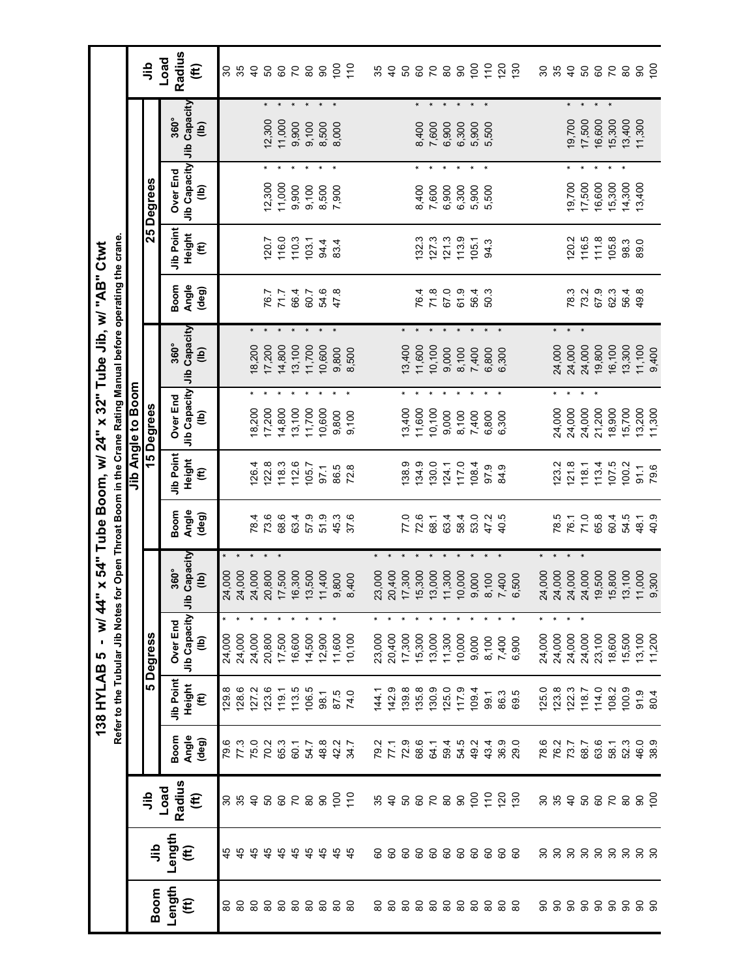|                                                                                                                                                                      |                   | <u>م</u> اڑ | Radius<br>Load<br>E                          | 30     | 35<br>$\overline{4}$                   | SO                     | $\mbox{ }^\mathrm{O}$ | $\overline{2}$<br>$\rm{8}$                | 8                     | $\frac{8}{2}$   | $\tilde{=}$   | 35               | $\overline{4}$ | SO     | $\mbox{ }_{\mathbf{60}}$ | $\overline{C}$        | $80$            | 8               | $\overline{5}$                  | 110<br>$\overline{20}$    | $\frac{6}{2}$ | $\rm ^{30}$            | 35                | $\overline{4}$         | SO               | $\mbox{ }_{\mathcal{O}}$ | $\mathcal{L}$    | $\rm ^{\rm o}$ | $\frac{8}{2}$<br>$8$  |
|----------------------------------------------------------------------------------------------------------------------------------------------------------------------|-------------------|-------------|----------------------------------------------|--------|----------------------------------------|------------------------|-----------------------|-------------------------------------------|-----------------------|-----------------|---------------|------------------|----------------|--------|--------------------------|-----------------------|-----------------|-----------------|---------------------------------|---------------------------|---------------|------------------------|-------------------|------------------------|------------------|--------------------------|------------------|----------------|-----------------------|
|                                                                                                                                                                      |                   |             | $360^\circ$<br>ê                             |        |                                        | ¥<br>12,300            | $\star$<br>11,000     | $\pmb{\ast}$<br>$\star$<br>9,900<br>9,100 | $\pmb{\ast}$<br>8,500 | $\ast$<br>8,000 |               |                  |                |        | 8,400                    | $\pmb{\ast}$<br>7,600 | $\ast$<br>6,900 | $\ast$<br>6,300 | $\pmb{\ast}$<br>5,900           | 5,500                     |               |                        |                   | $\pmb{\ast}$<br>19,700 | $\ast$<br>17,500 | $\ast$<br>16,600         | $\ast$<br>15,300 | 13,400         | 11,300                |
|                                                                                                                                                                      |                   | 25 Degrees  | Jib Capacity Jib Capacity<br>Over End<br>ê   |        |                                        | 12,300                 | 11,000                | 9,900<br>9,100                            | 8,500                 | 7,900           |               |                  |                |        | 8,400                    | 7,600                 | 6,900           | 6,300           | 5,900<br>5,500                  |                           |               |                        |                   | 19,700                 | 17,500           | 16,600                   | 15,300           | 14,300         | 13,400                |
|                                                                                                                                                                      |                   |             | Jib Point<br>Height<br>E                     |        |                                        | 120.7                  | 116.0                 | 110.3<br>103.1                            | 94.4                  | 83.4            |               |                  |                |        | 132.3                    | 127.3                 | 121.3           | 113.9           | 105.1                           | 94.3                      |               |                        |                   | 120.2                  | 116.5            | 111.8                    | 105.8            | 98.3           | 89.0                  |
|                                                                                                                                                                      |                   |             | Boom<br>Angle<br>$(\text{deg})$              |        |                                        | 76.7                   | 71.7                  | 66.4<br>60.7                              | 54.6                  | 47.8            |               |                  |                |        | 764                      | 71.8                  | 67.0            | 61.9            | 56.4<br>50.3                    |                           |               |                        |                   | 78.3                   | 73.2             | 67.9                     | 62.3             | 56.4           | 49.8                  |
| Refer to the Tubular Jib Notes for Open Throat Boom in the Crane Rating Manual before operating the crane<br>i" x 54" Tube Boom, w/ 24" x 32" Tube Jib, w/ "AB" Ctwt |                   |             | 360°<br>(al)                                 |        | 18,200                                 | 17,200                 | 14,800                | 13,100<br>11,700                          | 10,600                | 9,800           | 8,500         |                  |                | 13,400 | 11,600                   | 10,100                | 9,000           | 8,100           | 7,400                           | 6,800<br>6,300            |               |                        | $\ast$<br>24,000  | 24,000                 | 24,000           | 19,800                   | 16,100           | 13,300         | 11,100<br>9,400       |
|                                                                                                                                                                      | Jib Angle to Boom | 15 Degrees  | Jib Capacity Jib Capacity<br>Over End<br>(al |        | $\ast$<br>18,200                       | 17,200                 | 14,800                | 11,700<br>13,100                          | 10,600                | 9,800           | 9,100         |                  |                | 13,400 | 11,600                   | 10,100                | 9,000           | 8,100           | $\ast$<br>$\ast$<br>7,400       | $\star$<br>6,800<br>6,300 |               |                        | $\star$<br>24,000 | 24,000                 | $\ast$<br>24,000 | $\ast$<br>21,200         | 18,900           | 15,700         | 13,200<br>11,300      |
|                                                                                                                                                                      |                   |             | Jib Point<br>Height<br>$\mathbf{\hat{E}}$    |        | 126.4                                  | 122.8                  | 118.3                 | 112.6<br>105.7                            | 97.1                  | 86.5            | 72.8          |                  |                | 138.9  | 134.9                    | 130.0                 | 124.1           | 117.0           | 108.4                           | 97.9<br>84.9              |               |                        | 123.2             | 121.8                  | 118.1            | 113.4                    | 107.5            | 100.2          | 79.6<br>$\frac{1}{9}$ |
|                                                                                                                                                                      |                   |             | Angle<br>Boom<br>(deg)                       |        | 78.4                                   | 73.6                   | 68.6                  | 57.9<br>63.4                              | 51.9                  | 45.3            | 37.6          |                  |                | 77.0   | 72.6                     | 68.1                  | 63.4            | 58.4            | 53.0<br>47.2                    | 40.5                      |               |                        | 78.5              | 76.1                   | 71.0             | 65.8                     | 60.4             | 54.5           | 40.9<br>48.1          |
|                                                                                                                                                                      |                   |             | b Capacity<br>360°<br>ê<br>っ                 | 24,000 | $\star$<br>$\star$<br>24,000<br>24,000 | $\pmb{\ast}$<br>20,800 | $\ast$<br>17,500      | 13,500<br>16,300                          | 11,400                | 9,800           | 8,400         | $\ast$<br>23,000 | 20,400         | 17,300 | 15,300                   | 13,000                | 11,300          | 10,000          | $\pmb{\ast}$<br>$\ast$<br>9,000 | 8,100<br>7,400            | 6,500         | $\pmb{\ast}$<br>24,000 | 24,000            | $\ast$<br>24,000       | 24,000           | 19,500                   | 15,800           | 13,100         | 11,000<br>9,300       |
| $-$ W/ 44                                                                                                                                                            |                   | 5 Degress   | Jib Capacity<br>Over End<br>ंड               | 24,000 | 24,000<br>24,000                       | 20,800                 | 17,500                | 16,600<br>14,500                          | 12,900                | 11,600          | 10,100        | 23,000           | 20,400         | 17,300 | 15,300                   | 13,000                | 11,300          | 10,000          | 9,000                           | 8,100<br>7,400            | 6,900         | 24,000                 | 24,000            | 24,000                 | 24,000           | 23,100                   | 18,600           | 15,500         | 13,100<br>11,200      |
| <b>138 HYLAB 5</b>                                                                                                                                                   |                   |             | Jib Point<br>Height<br>$\widehat{\epsilon}$  | 129.8  | 128.6<br>127.2                         | 123.6                  | 119.1                 | 113.5<br>106.5                            | 98.1                  | 87.5            | 74.0          | 144.1            | 142.9          | 139.8  | 135.8                    | 130.9                 | 125.0           | 117.9           | 109.4                           | 99.1                      | 86.3<br>69.5  | 125.0                  | 123.8             | 122.3                  | 118.7            | 114.0                    | 108.2            | 100.9          | 91.9<br>80.4          |
|                                                                                                                                                                      |                   |             | Angle<br>Boom<br>$(\text{deg})$              | 79.6   | 77.3<br>75.0                           | 70.2                   | 65.3                  | 60.1<br>54.7                              | 48.8                  | 42.2            | 34.7          | 79.2             | 77.1           | 72.9   | 68.6                     | 64.1                  | 59.4            | 54.5            | 49.2                            | 43.4<br>36.9              | 29.0          | 78.6                   | 76.2              | 73.7                   | 68.7             | 63.6                     | 58.1             | 52.3           | 46.0<br>38.9          |
|                                                                                                                                                                      |                   | ء<br>آ      | Radius<br>Load<br>E                          | ೫ ಜ    | $\overline{a}$                         |                        | <b>288</b>            | 8                                         | 8                     |                 | a s           |                  | 8 <del>4</del> | S.     | 8                        | $\mathcal{L}$         | $\rm 8$         | 8               | $\frac{8}{2}$                   | $\tilde{=}$               | <u>នី ទ</u>   | ೫ ಜ                    |                   | $\overline{a}$         |                  |                          |                  | င္ထ            | $\overline{5}$<br>8   |
|                                                                                                                                                                      |                   | ٩i          | Length<br>€                                  | 45     | 45<br>45                               | $\frac{4}{5}$          | 45                    | 45<br>$\frac{4}{9}$                       | 45                    | 45              | $\frac{4}{5}$ | 60               | 60             | 60     | 60                       | 8                     | 8               | 60              | 60                              | 60                        | 88            | ೫ ೫                    |                   | ೫                      |                  | ននន                      |                  | ႙              | . ೫                   |
|                                                                                                                                                                      |                   | Boom        | Length<br>E                                  | 80     | $\rm{8}$<br>$\infty$                   | $\rm{8}$               | $\rm{8}$              | 80<br>$\rm{8}$                            | 80                    |                 | 88            | 80               | 80             | 80     | 80                       | $\rm{8}$              | 80              | $80$            | $80$                            | 80                        | 88            | 8                      | 8                 | 8                      | 90               | 8                        | 8                | 8              | 90<br>္တ              |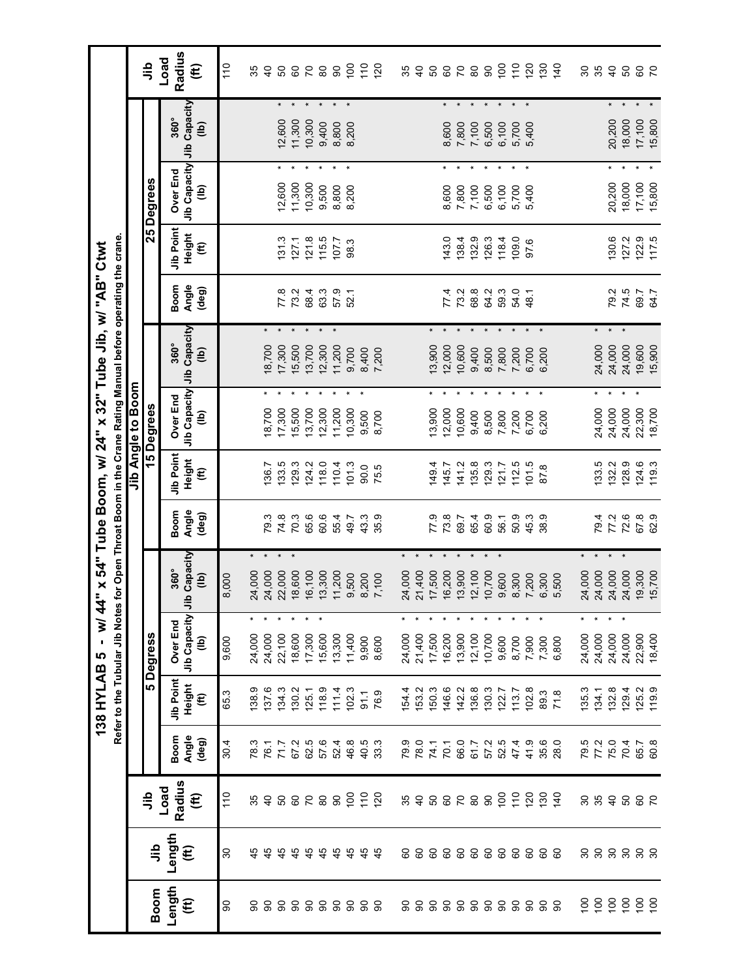|                                                                                                                                                                      |                   | هڙ         | Radius<br>Load<br>E                             | 110   | 35                     | SO<br>$\overline{a}$                       | $\mbox{6}$        | $\overline{C}$         | $80$                                  | $\frac{5}{2}$<br>8       | $\frac{1}{2}$ | $\overline{5}$ | 35               | $\overline{4}$             | SO                     | $\mbox{S}$        | $\overline{C}$  | $\rm{8}$                  | $\frac{6}{2}$<br>$\mathsf{S}$  | 110           | $\overline{5}$ | $\frac{6}{2}$                 | $\frac{40}{5}$ | $\mathcal{S}^{\mathcal{O}}$ | 35                     | $\overline{4}$   | SO                     | $\mbox{S}$<br>PS                 |  |
|----------------------------------------------------------------------------------------------------------------------------------------------------------------------|-------------------|------------|-------------------------------------------------|-------|------------------------|--------------------------------------------|-------------------|------------------------|---------------------------------------|--------------------------|---------------|----------------|------------------|----------------------------|------------------------|-------------------|-----------------|---------------------------|--------------------------------|---------------|----------------|-------------------------------|----------------|-----------------------------|------------------------|------------------|------------------------|----------------------------------|--|
|                                                                                                                                                                      |                   |            | 360°<br>(dl)                                    |       |                        | $\ast$<br>12,600                           | 11,300            | $\pmb{\ast}$<br>10,300 | $\pmb{\ast}$<br>$\pmb{\ast}$<br>9,400 | $\ast$<br>8,800<br>8,200 |               |                |                  |                            |                        | 8,600             | $\ast$<br>7,800 | $\boldsymbol{*}$<br>7,100 | $\pmb{\ast}$<br>6,500<br>6,100 | 5,700         | 5,400          |                               |                |                             |                        | $\ast$<br>20,200 | $\ast$<br>18,000       | $\ast$<br>17,100<br>15,800       |  |
|                                                                                                                                                                      |                   | 25 Degrees | Jib Capacity Jib Capacity<br>Over End<br>ê      |       |                        | 12,600                                     | 11,300            | 10,300                 | 9,500                                 | 8,800<br>8,200           |               |                |                  |                            |                        | 8,600             | 7,800           | 7,100                     | 6,100<br>6,500                 | 5,700         | 5,400          |                               |                |                             |                        | 20,200           | 18,000                 | 17,100<br>15,800                 |  |
|                                                                                                                                                                      |                   |            | <b>Jib Point</b><br>Height<br>E                 |       |                        | 131.3                                      | 127.1             | 121.8                  | 115.5                                 | 107.7<br>98.3            |               |                |                  |                            |                        | 143.0             | 138.4           | 132.9                     | 126.3<br>118.4                 | 109.0         | 97.6           |                               |                |                             |                        | 130.6            |                        | $127.2$<br>$122.9$<br>$117.5$    |  |
|                                                                                                                                                                      |                   |            | Boom<br>Angle<br>$(\text{deg})$                 |       |                        | 77.8                                       | 73.2              | 68.4                   | 63.3                                  | 57.9<br>52.1             |               |                |                  |                            |                        | 77.4              | 73.2            | 68.8                      | 64.2<br>59.3                   | 54.0          | 48.1           |                               |                |                             |                        | 79.2             | 74.5<br>69.7           | 64.7                             |  |
| Refer to the Tubular Jib Notes for Open Throat Boom in the Crane Rating Manual before operating the crane<br>I" x 54" Tube Boom, w/ 24" x 32" Tube Jib, w/ "AB" Ctwt |                   |            | 360°<br>(al)                                    |       |                        | 18,700<br>17,300                           | 15,500            | 13,700                 | 12,300                                | 11,200<br>9,700          | 8,400         | 7,200          |                  |                            | 13,900                 | 12,000            | 10,600          | 9,400                     | 8,500<br>7,800                 | 7,200         | 6,700          | 6,200                         |                |                             | $\pmb{\ast}$<br>24,000 | $\ast$<br>24,000 | 24,000                 | 19,600<br>15,900                 |  |
|                                                                                                                                                                      | Jib Angle to Boom | 15 Degrees | Jib Capacity Jib Capacity<br>Over End<br>ê      |       |                        | 17,300<br>18,700                           | 15,500            | 13,700                 | 12,300                                | 11,200<br>10,300         | 9,500         | 8,700          |                  |                            | 13,900                 | 12,000            | 10,600          | 9,400                     | 8,500<br>7,800                 | 7,200         | 6,700          | $\ddot{\phantom{1}}$<br>6,200 |                |                             | $\ast$<br>24,000       | 24,000           | $\ast$<br>24,000       | $\ast$<br>22,300<br>18,700       |  |
|                                                                                                                                                                      |                   |            | Jib Point<br>Height<br>$\mathbf{\hat{E}}$       |       |                        | 133.5<br>136.7                             | 129.3             | 124.2                  | 118.0                                 | 110.4<br>101.3           | 0.06          | 75.5           |                  |                            | 149.4                  | 145.7             | 141.2           | 135.8                     | 129.3<br>121.7                 | 112.5         | 101.5          | 87.8                          |                |                             | 133.5                  | 132.2            | 128.9                  | 124.6<br>119.3                   |  |
|                                                                                                                                                                      |                   |            | Boom<br>Angle<br>(deg)                          |       |                        | 79.3<br>74.8                               | 70.3              | 65.6                   | 60.6                                  | 55.4<br>49.7             | 43.3          | 35.9           |                  |                            | 77.9                   | 73.8              | 69.7            | 65.4                      | 60.9<br>56.1                   | 50.9          | 45.3           | 38.9                          |                |                             | 79.4                   | 77.2             | 72.6                   | 67.8<br>62.9                     |  |
|                                                                                                                                                                      |                   |            | <b>b Capacity</b><br>360°<br>(dil)<br>⋾         | 8,000 | $\pmb{\ast}$<br>24,000 | $\ast$<br>$\pmb{\ast}$<br>24,000<br>22,000 | $\star$<br>18,600 | 16,100                 | 13,300                                | 11,200<br>9,500          | 8,200         | 7,100          | $\ast$<br>24,000 | $\boldsymbol{*}$<br>21,400 | $\pmb{\ast}$<br>17,500 | $\star$<br>16,200 | 13,900          | $\ast$<br>12,100          | $\ast$<br>10,700<br>9,600      | 8,300         | 7,200          | 6,300                         | 5,500          | $\star$<br>24,000           | $\ast$<br>24,000       | $\ast$<br>24,000 | $\pmb{\ast}$<br>24,000 | 19,300<br>15,700                 |  |
| $-$ W/ 44                                                                                                                                                            |                   | 5 Degress  | Jib Capacity<br>Over End<br>(al                 | 9,600 | 24,000                 | 22,100<br>24,000                           | 18,600            | 17,300                 | 15,600                                | 13,300<br>11,400         | 9,900         | 8,600          | 24,000           | 21,400                     | 17,500                 | 16,200            | 13,900          | 12,100                    | 10,700<br>9,600                | 8,700         | 7,900          | 7,300                         | 6,800          | 24,000                      | 24,000                 | 24,000           | 24,000                 | 22,900<br>18,400                 |  |
| <b>138 HYLAB 5</b>                                                                                                                                                   |                   |            | Jib Point<br>Height<br>$\mathbf{\widehat{\Xi}}$ | 65.3  | 138.9                  | 137.6<br>134.3                             | 130.2             | 125.1                  | 118.9                                 | 111.4<br>102.3           | 91.1          | 76.9           | 154.4            | 153.2                      | 150.3                  | 146.6             | 142.2           | 136.8                     | 130.3<br>122.7                 | 113.7         | 102.8          | 89.3                          | 71.8           | 135.3                       | 134.1                  | 132.8            | 129.4                  | 119.9<br>125.2                   |  |
|                                                                                                                                                                      |                   |            | Angle<br>Boom<br>$(\text{deg})$                 | 30.4  | 78.3                   | 71.7<br>76.1                               | 67.2              | 62.5                   | 57.6                                  | 52.4<br>46.8             | 40.5          | 33.3           | 79.9             | 78.0                       | 74.1                   | 70.1              | 66.0            | 61.7                      | 52.5<br>57.2                   | 47.4          | 41.9           | 35.6                          | 28.0           | 79.5                        | 77.2                   | 75.0             | 70.4                   | 60.8<br>65.7                     |  |
|                                                                                                                                                                      |                   | <u>م</u> ر | Radius<br>Load<br>E                             | 110   | స్                     | ន<br>$\triangleq$                          |                   | $888$                  |                                       | $\frac{8}{1}$<br>8       | $\frac{1}{2}$ | $\overline{5}$ | 35               | $\overline{a}$             | င္ဟ                    | 8                 | $\mathcal{S}$   | $\pmb{\mathbb{S}}$        | $\frac{8}{2}$<br>$\rm 8$       | $\frac{1}{2}$ | $\overline{5}$ | $\frac{8}{2}$                 | $\frac{40}{5}$ |                             | ೫ ಜ                    | $\overline{a}$   | ន                      | 88                               |  |
|                                                                                                                                                                      |                   | هڙ         | Length<br>$\mathbf{\widehat{E}}$                | 30    | 45                     | 45<br>45                                   | 45                | 45                     | 45                                    | 45<br>45                 | 45            | 45             | 8                | 8                          | 8                      | 60                | 60              | 60                        | 60<br>60                       | 60            | 60             | $\frac{6}{6}$                 |                | ೫                           | ္တ                     | င္က              | $\boldsymbol{S}$       | ೫ ಜ                              |  |
|                                                                                                                                                                      |                   | Boom       | Length<br>E                                     | 8     | 8                      | 8<br>8                                     | 8                 | 8                      | 8                                     | 8<br>$\mathsf{S}$        | 8             | 8              | 8                | 8                          | 8                      | 8                 | 8               | 8                         | 8<br>8                         | 8             | 8              | $\rm S$                       | 90             | $\overline{5}$              | $\overline{5}$         | $\overline{5}$   | $\overline{5}$         | $\overline{5}$<br>$\overline{5}$ |  |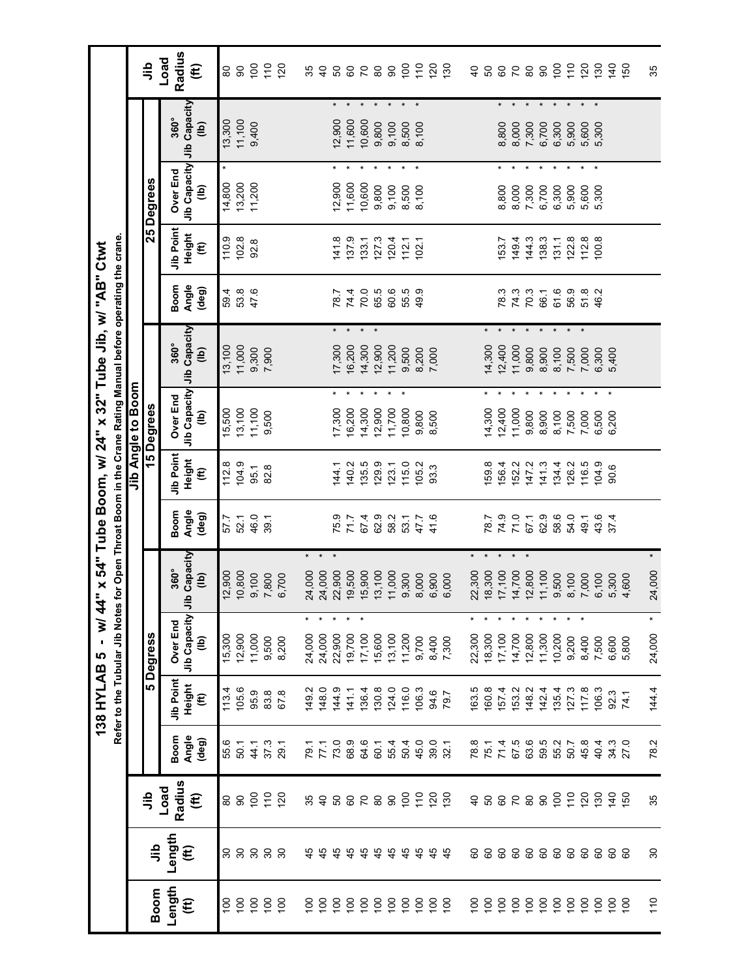|                                                                                                           |                   | ݠڗ         | Radius<br>Load<br>€                        | 80<br>8                            | $\overline{0}$          | $\frac{6}{11}$<br>$\overline{20}$ | 35             | $\overline{a}$  | SO               | $\mbox{S}$                     | $\overline{C}$<br>$80\,$         | $\mathbf{S}$   | $\frac{5}{2}$   | 110            | $\overline{20}$<br>$^{130}$      | $\overline{a}$         | 50               | $\mbox{6}$       | $\overline{r}$              | 80                        | $\overline{5}$<br>$\mathsf{S}$   | $\frac{10}{11}$ | $\overline{5}$  | $\frac{30}{2}$             | $\frac{40}{5}$<br>$\overline{50}$ | 35                     |
|-----------------------------------------------------------------------------------------------------------|-------------------|------------|--------------------------------------------|------------------------------------|-------------------------|-----------------------------------|----------------|-----------------|------------------|--------------------------------|----------------------------------|----------------|-----------------|----------------|----------------------------------|------------------------|------------------|------------------|-----------------------------|---------------------------|----------------------------------|-----------------|-----------------|----------------------------|-----------------------------------|------------------------|
|                                                                                                           |                   |            | $360^\circ$<br>(dil)                       | 13,300<br>11,100                   | 9,400                   |                                   |                |                 | 12,900           | $\pmb{\ast}$<br>11,600         | $\ast$<br>10,600<br>9,800        | 9,100          | $\ast$<br>8,500 | 8,100          |                                  |                        |                  | 8,800            | 8,000                       | $\ast$<br>$\ast$<br>7,300 | $\ast$<br>6,700<br>6,300         | 5,900           | 5,600<br>5,300  |                            |                                   |                        |
|                                                                                                           |                   | 25 Degrees | Jib Capacity Jib Capacity<br>Over End<br>ê | $\ast$<br>14,800<br>13,200         | 11,200                  |                                   |                |                 | 12,900           | 11,600                         | 10,600<br>9,800                  | 9,100          | 8,500           | 8,100          |                                  |                        |                  | 8,800            | 8,000                       | 7,300                     | 6,700<br>6,300                   | 5,900           | 5,600<br>5,300  |                            |                                   |                        |
|                                                                                                           |                   |            | Jib Point<br>Height<br>E                   | 110.9<br>102.8                     | 92.8                    |                                   |                |                 | 141.8            | 137.9                          | 127.3<br>133.1                   | 120.4          | 112.1           | 102.1          |                                  |                        |                  | 153.7            | 149.4                       | 144.3<br>138.3            | 131.1                            | 122.8           | 112.8           | 100.8                      |                                   |                        |
|                                                                                                           |                   |            | Boom<br>Angle<br>(deg)                     | 53.8<br>59.4                       | 47.6                    |                                   |                |                 | 78.7             | 74.4                           | 70.0<br>65.5                     | 60.6           | 55.5<br>49.9    |                |                                  |                        |                  | 78.3             | 74.3                        | 70.3                      | 61.6<br>66.1                     | 56.9            | 51.8            | 46.2                       |                                   |                        |
| I" x 54" Tube Boom, w/ 24" x 32" Tube Jib, w/ "AB" Ctwt                                                   |                   |            | Jib Capacity Jib Capacity<br>360°<br>ê     | 11,000<br>13,100                   | 9,300                   | 7,900                             |                |                 | 17,300           | $\star$<br>16,200              | $\star$<br>14,300<br>12,900      | 11,200         | 9,500           | 8,200          | 7,000                            |                        | 14,300           | 12,400           | 11,000                      | 9,800                     | 8,900<br>8,100                   | 7,500           | 7,000           | 6,300                      | 5,400                             |                        |
|                                                                                                           | Jib Angle to Boom | 15 Degrees | Over End<br>ê                              | 15,500<br>13,100                   | 11,100                  | 9,500                             |                |                 | $\ast$<br>17,300 | 16,200                         | 14,300<br>12,900                 | 11,700         | 10,800          | 9,800          | 8,500                            |                        | 14,300           | 12,400           | 11,000                      | 9,800                     | 8,900<br>8,100                   | 7,500           | 7,000           | $\star$<br>$\ast$<br>6,500 | 6,200                             |                        |
|                                                                                                           |                   |            | Jib Point<br>Height<br>E                   | 112.8<br>104.9                     | 95.1                    | 82.8                              |                |                 | 144.1            | 140.2                          | 135.5<br>129.9                   | 123.1          | 115.0           | 105.2          | 93.3                             |                        | 159.8            | 156.4            | 152.2                       | 147.2                     | 141.3<br>134.4                   | 126.2           | 116.5           | 104.9                      | 90.6                              |                        |
|                                                                                                           |                   |            | Angle<br>Boom<br>$(\deg)$                  | 57.7<br>52.1                       | 46.0                    | 39.1                              |                |                 | 75.9<br>71.7     |                                | 67.4<br>62.9                     | 58.2           | 53.1            | 47.7           | 41.6                             |                        | 78.7             | 74.9             | 71.0                        | 67.1                      | 62.9<br>58.6                     | 54.0            | 49.1            | 43.6                       | 37.4                              |                        |
| Refer to the Tubular Jib Notes for Open Throat Boom in the Crane Rating Manual before operating the crane |                   |            | <b>b Capacity</b><br>$360^\circ$<br>ê<br>っ | 10,800<br>12,900                   | 9,100                   | 7,800<br>6,700                    | 24,000         | $*$ *<br>24,000 | $\ast$<br>22,900 | 19,500                         | 15,900<br>13,100                 | 11,000         | 9,300           | 8,000          | 6,900<br>6,000                   | $\pmb{\ast}$<br>22,300 | $\ast$<br>18,300 | $\ast$<br>17,100 | $\ast$<br>$\star$<br>14,700 | 12,800                    | 11,100<br>9,500                  | 8,100           | 7,000           | 6,100                      | 5,300<br>4,600                    | $\pmb{\ast}$<br>24,000 |
| $- w / 44$                                                                                                |                   | 5 Degress  | <b>Jib Capacity</b><br>Over End<br>ê       | 15,300<br>12,900                   | 11,000                  | 9,500<br>8,200                    | 24,000         | 24,000          | 22,900           | 19,700                         | 17,100<br>15,600                 | 13,100         | 11,200          | 9,700          | 8,400<br>7,300                   | 22,300                 | 18,300           | 17,100           | 14,700                      | 12,800                    | 11,300<br>10,200                 | 9,200           | 8,400           | 7,500                      | 6,600<br>5,800                    | $\ast$<br>24,000       |
| <b>138 HYLAB 5</b>                                                                                        |                   |            | Jib Point<br>Height<br>E                   | 113.4<br>105.6                     | 95.9                    | 83.8<br>67.8                      | 149.2          | 148.0           | 144.9            | 141.1                          | 136.4<br>130.8                   | 124.0          | 116.0           | 106.3          | 94.6<br>79.7                     | 163.5                  | 160.8            | 157.4            | 153.2                       | 148.2                     | 142.4<br>135.4                   | 127.3           | 117.8           | 106.3                      | 92.3<br>74.1                      | 144.4                  |
|                                                                                                           |                   |            | Angle<br>Boom<br>(deg)                     | 55.6<br>50.1                       | 44.1                    | 37.3<br>29.1                      | 79.1           | 77.1            | 73.0             | 68.9                           | 64.6<br>60.1                     | 55.4           | 50.4            | 45.0           | 39.0<br>32.1                     | 78.8                   | 75.1             | 71.4             | 67.5                        | 63.6                      | 59.5<br>55.2                     | 50.7            | 45.8            | 40.4                       | 34.3<br>27.0                      | 78.2                   |
|                                                                                                           |                   | <u>م</u> ر | Radius<br>Load<br>E                        | $\pmb{\mathbb{S}}$<br>8            | $\overline{5}$          | $\frac{1}{2}$<br>$\overline{20}$  | 35             | $\overline{a}$  | <b>88</b>        | $\mathcal{R}$                  | $\pmb{\mathbb{S}}$               | 8              | 100             | $\frac{1}{1}$  | $\overline{20}$<br>$\frac{8}{2}$ | $\overline{a}$         | 69               | $\mbox{6}$       | $\mathcal{L}$               | $\rm{8}$                  | 100<br>8                         | 110             | $\overline{20}$ | 130                        | 140<br>$\overline{50}$            | 35                     |
|                                                                                                           |                   | هڙ         | Length<br>€                                | SO<br>೫                            | $\overline{\mathrm{S}}$ | $\overline{30}$<br>30             | 45             | 45              | 45               | $\frac{4}{9}$<br>$\frac{4}{5}$ | $\frac{4}{5}$                    | 45             | $\frac{4}{9}$   | 45             | 45<br>45                         | 8                      | 60               | $\rm ^{60}$      | 8                           | 8                         | 60<br>င္စ                        | 60              | 60              | 60                         | 80<br>8                           | $\mathcal{S}^{\circ}$  |
|                                                                                                           |                   | Boom       | Length<br>€                                | $\overline{100}$<br>$\overline{5}$ | $\overline{5}$          | $\overline{5}$<br>$\overline{5}$  | $\overline{5}$ | $\overline{5}$  | $\overline{5}$   | $\overline{5}$                 | $\overline{5}$<br>$\overline{5}$ | $\overline{5}$ | $\overline{5}$  | $\overline{5}$ | $\overline{5}$<br>$\overline{5}$ | $\overline{5}$         | $\overline{5}$   | $\overline{5}$   | $\overline{5}$              | $\overline{5}$            | $\overline{5}$<br>$\overline{5}$ | $\overline{5}$  | $\overline{5}$  | $\overline{5}$             | $\overline{5}$<br>$\overline{5}$  | $\frac{6}{11}$         |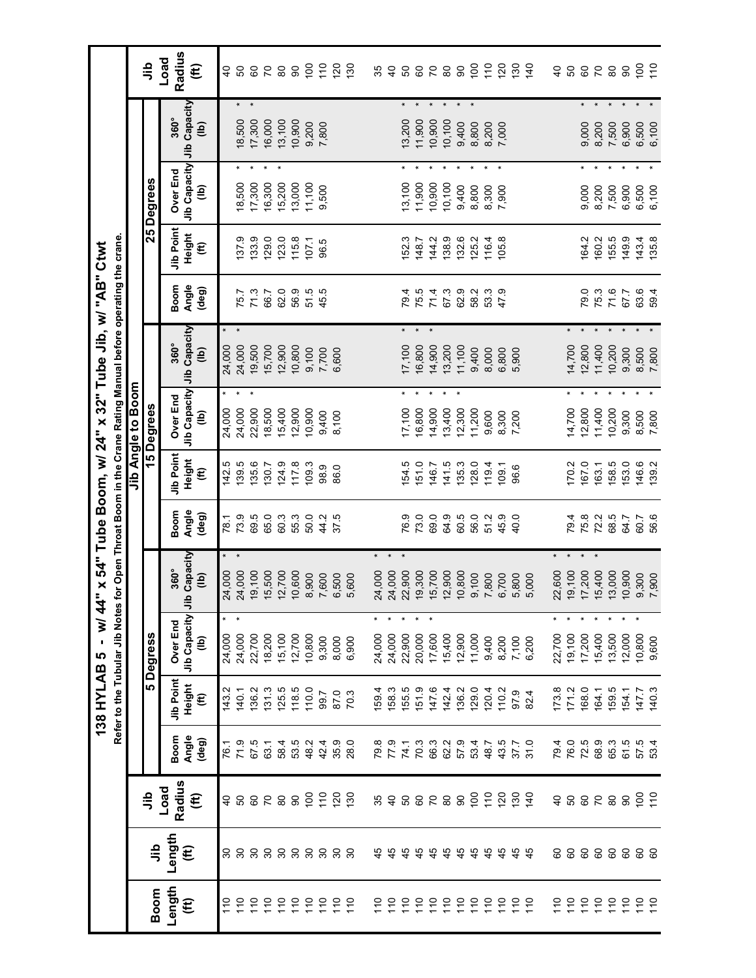|                                                                                                           |                   | هڙ         | Radius<br>Load<br>$\widehat{\mathbf{t}}$       | $\overline{a}$ | 50               | $\mbox{ }^\mathrm{O}$ | $\overline{C}$  | $80$<br>$\mathsf{S}$            | $\overline{5}$ | $\frac{1}{2}$    | $\overline{5}$          | $\frac{6}{2}$ | 35               | $\overline{4}$   | SO                             | $\mbox{S}$             | $\overline{C}$ | $80$               | 8                | $^{100}$         | $\frac{1}{2}$ | $\overline{5}$<br>$\frac{8}{2}$ | $\frac{40}{5}$ | $\overline{a}$         | SO                | 60               | $\overline{C}$                 | $\rm ^{\rm o}$     | $\rm S$     | $\frac{8}{2}$<br>$\tilde{=}$ |
|-----------------------------------------------------------------------------------------------------------|-------------------|------------|------------------------------------------------|----------------|------------------|-----------------------|-----------------|---------------------------------|----------------|------------------|-------------------------|---------------|------------------|------------------|--------------------------------|------------------------|----------------|--------------------|------------------|------------------|---------------|---------------------------------|----------------|------------------------|-------------------|------------------|--------------------------------|--------------------|-------------|------------------------------|
|                                                                                                           |                   |            | 360°<br>(dl)                                   |                | 18,500           | 17,300                | 16,000          | 13,100<br>10,900                | 9,200          | 7,800            |                         |               |                  |                  | 13,200                         | $\pmb{\ast}$<br>11,900 | 10,900         | 10,100             | $\star$<br>9,400 | 8,800            | 8,200         | 7,000                           |                |                        |                   | 9,000            | 8,200                          | 7,500              | 6,900       | 6,500<br>6,100               |
|                                                                                                           |                   | 25 Degrees | Jib Capacity Jib Capacity<br>Over End<br>(al   |                | 18,500           | 17,300                | 16,300          | 13,000<br>15,200                | 11,100         | 9,500            |                         |               |                  |                  | 13,100                         | 11,900                 | 10,900         | 10,100             | 9,400            | 8,800            | 8,300         | 7,900                           |                |                        |                   | 9,000            | 8,200                          | 7,500              | 6,900       | 6,500<br>6,100               |
|                                                                                                           |                   |            | Jib Point<br>Height<br>E                       |                | 137.9            | 133.9                 | 129.0           | 123.0<br>115.8                  | 107.1          | 96.5             |                         |               |                  |                  | 152.3<br>148.7                 |                        | 144.2          | 138.9              | 132.6            | 125.2            | 116.4         | 105.8                           |                |                        |                   | 164.2            | 160.2                          | 155.5              | 149.9       | 143.4<br>135.8               |
|                                                                                                           |                   |            | Boom<br>Angle<br>$(\text{deg})$                |                | 75.7             | 71.3                  | 66.7            | 56.9<br>62.0                    | 51.5           | 45.5             |                         |               |                  |                  | 79.4                           | 75.5                   | 71.4           | 67.3               | 62.9             | 58.2             | 53.3          | တ<br>$\frac{4}{7}$              |                |                        |                   | 79.0             | 753                            | 71.6               | 67.7        | 63.6<br>59.4                 |
| I" x 54" Tube Boom, w/ 24" x 32" Tube Jib, w/ "AB" Ctwt                                                   |                   |            | Jib Capacity Jib Capacity<br>360°<br>(dil)     | ¥<br>24,000    | $\ast$<br>24,000 | 19,500                | 15,700          | 12,900<br>10,800                | 9,100          | 7,700            | 6,600                   |               |                  |                  | $\star$<br>17,100              | 16,800                 | 14,900         | 13,200             | 11,100           | 9,400            | 8,000         | 6,800<br>5,900                  |                |                        | 14,700            | 12,800           | 11,400                         | 10,200             | 9,300       | 8,500<br>7,800               |
|                                                                                                           | Jib Angle to Boom | 15 Degrees | Over End<br>(al                                | ×<br>24,000    | $\ast$<br>24,000 | 22,900                | 18,500          | 12,900<br>15,400                | 10,900         | 9,400            | 8,100                   |               |                  |                  | $\ast$<br>17,100               | 16,800                 | 14,900         | 13,400             | $\ast$<br>12,300 | 11,200           | 9,600         | 8,300<br>7,200                  |                |                        | $\ast$<br>14,700  | 12,800           | 11,400                         | 10,200             | 9,300       | 8,500<br>7,800               |
|                                                                                                           |                   |            | Jib Point<br>Height<br>$\boldsymbol{\epsilon}$ | 142.5          | 139.5            | 135.6                 | 130.7           | 124.9<br>117.8                  | 109.3          | 98.9             | 86.0                    |               |                  |                  | 154.5                          | 151.0                  | 146.7          | 141.5              | 135.3            | 128.0            | 119.4         | 109.1<br>96.6                   |                |                        | 170.2             | 167.0            | 163.1                          | 158.5              | 153.0       | 146.6<br>139.2               |
|                                                                                                           |                   |            | Angle<br>Boom<br>(deg)                         | 78.1           | 73.9             | 69.5                  | 65.0            | 60.3<br>55.3                    | 50.0           | 44.2             | က္<br>$\overline{37}$ . |               |                  |                  | 76.9                           | 73.0                   | 69.0           | 64.9               | 60.5             | 56.0             | 51.2          | 45.9<br>40.0                    |                |                        | 79.4              | 75.8             | 72.2                           | 68.5               | 64.7        | 60.7<br>56.6                 |
| Refer to the Tubular Jib Notes for Open Throat Boom in the Crane Rating Manual before operating the crane |                   |            | <b>b Capacity</b><br>360°<br>ê<br>∍            | 24,000         | $\ast$<br>24,000 | 19,100                | 15,500          | 12,700<br>10,600                | 8,900          | 7,600            | 6,500                   | 5,600         | $\ast$<br>24,000 | $\ast$<br>24,000 | $\ddot{\phantom{1}}$<br>22,900 | 19,300                 | 15,700         | 12,900             | 10,800           | 9,100            | 7,800         | 6,700<br>5,800                  | 5,000          | $\pmb{\ast}$<br>22,600 | $\star$<br>19,100 | $\ast$<br>17,200 | $\ddot{\phantom{1}}$<br>15,400 | 13,000             | 10,900      | 9,300<br>7,900               |
| $\frac{44}{1}$<br>ï<br><u> ဟ</u>                                                                          |                   | 5 Degress  | Jib Capacity<br>Over End<br>€                  | ¥<br>24,000    | 24,000           | 22,700                | 18,200          | 12,700<br>15,100                | 10,800         | 9,300            | 8,000                   | 6,900         | 24,000           | 24,000           | 22,900                         | 20,000                 | 17,600         | 15,400             | 12,900           | 11,000           | 9,400         | 8,200<br>7,100                  | 6,200          | 22,700                 | 19,100            | 17,200           | 15,400                         | 13,500             | 12,000      | 10,800<br>9,600              |
| 138 HYLAB                                                                                                 |                   |            | Jib Point<br>Height<br>€                       | 143.2          | 140.1            | 136.2                 | 131.3           | 125.5<br>118.5                  | 110.0          | 99.7             | 87.0                    | 70.3          | 1594             | 158.3            | 155.5                          | 151.9                  | 147.6          | 142.4              | 136.2            | 129.0            | 120.4         | 110.2<br>97.9                   | 82.4           | 173.8                  | 171.2             | 168.0            | 164.1                          | 159.5              | 154.1       | 140.3<br>147.7               |
|                                                                                                           |                   |            | Angle<br>Boom<br>$(\text{deg})$                | 76.1           | 71.9             | 67.5                  | 63.1            | 53.5<br>58.4                    | 48.2           | 42.4             | 35.9                    | 28.0          | 79.8             | 77.9             | 74.1                           | 70.3                   | 66.3           | 62.2               | 57.9             | 53.4             | 48.7          | 43.5<br>57.7                    | 31.0           | 79.4                   | 76.0              | 72.5             | 68.9                           | 65.3               | 61.5        | 57.5<br>4<br>53              |
|                                                                                                           |                   | <u>م</u> ر | Radius<br>Load<br>E                            | $\theta$       | S.               | 8                     | $\mathcal{L}$   | $\pmb{\mathbb{S}}$<br>8         | $\frac{8}{1}$  | $\frac{1}{2}$    | $\overline{20}$         | 130           | 35               | $\overline{4}$   | 69                             | $\mbox{S}$             | $\sim$         | $\pmb{\mathbb{S}}$ | 8                | $\overline{100}$ | 110           | $\overline{5}$<br>$\frac{8}{2}$ | $\frac{40}{5}$ | $\overline{a}$         | 50                | 8                | $\mathcal{R}$                  | $\pmb{\mathbb{S}}$ | 8           | $\tilde{5}$<br>$\tilde{=}$   |
|                                                                                                           |                   | هاز        | Length<br>$\mathbf{\widehat{E}}$               | ೫              | ೫                | ೫                     | င္က             | ႙<br>င္က                        | వి             | $\boldsymbol{S}$ | င္က                     | ္က            | 45               | $\frac{4}{5}$    | $\frac{4}{5}$                  | 45                     | 45             | 45                 | $\frac{4}{9}$    | 45               | $\frac{4}{5}$ | 45<br>45                        | $\frac{4}{5}$  | 80                     | 60                | 60               | 8                              | 60                 | 60          | 60<br>င္စ                    |
|                                                                                                           |                   | Boom       | Length<br>E                                    | 110            | $\frac{6}{11}$   | $\tilde{=}$           | $\widetilde{=}$ | $\frac{6}{11}$<br>$\frac{1}{2}$ | 110            | $\frac{1}{10}$   | $\tilde{=}$             | $\tilde{=}$   | $\frac{1}{2}$    | 은                | 110                            | $\frac{1}{2}$          | $\frac{1}{2}$  | $\frac{1}{2}$      | $\tilde{=}$      | $\tilde{=}$      | $\tilde{=}$   | $\tilde{t}$<br>$\tilde{z}$      | $\tilde{z}$    | $\frac{1}{10}$         | $\frac{6}{11}$    | $\tilde{=}$      | $\frac{1}{10}$                 | $\frac{1}{2}$      | $\tilde{=}$ | $\tilde{=}$<br>$\tilde{t}$   |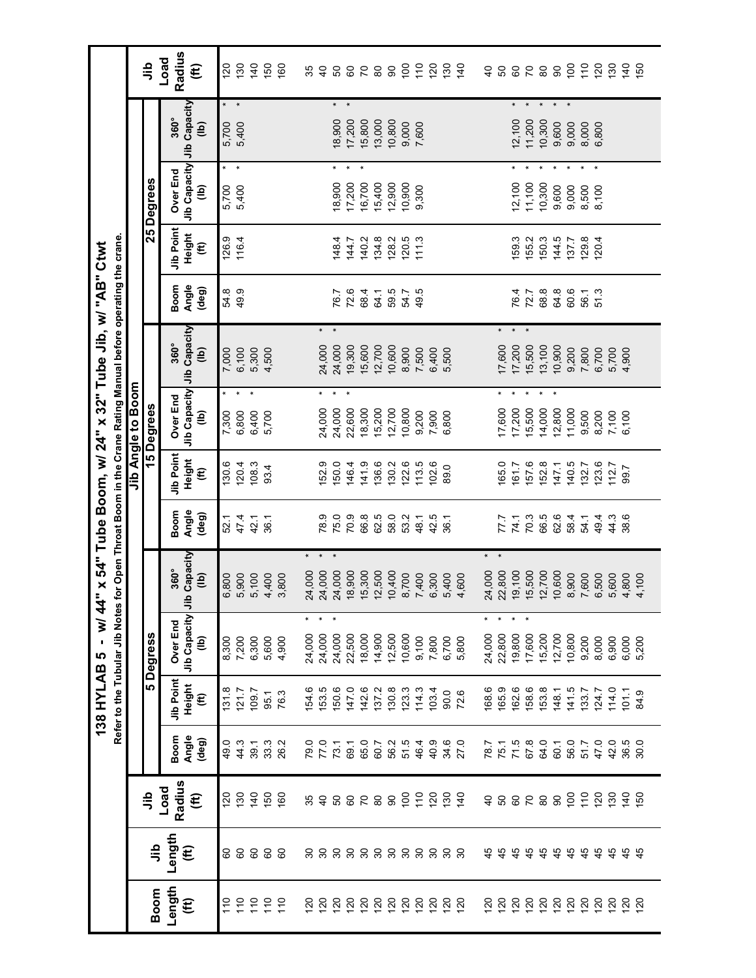|                                                                                                                                       |                   | هاز          | Radius<br>Load<br>E                           | 120<br>130<br>$\frac{40}{5}$<br>$\frac{60}{2}$            | 160<br>35                       | $\overline{4}$<br>50                                | $\overline{C}$<br>$\mbox{S}$         | $80$<br>8               | $\overline{5}$<br>$\frac{1}{2}$  | $\overline{5}$<br>$\frac{130}{2}$ | $\frac{40}{5}$<br>$\overline{a}$ | $\mbox{S}$<br>SO                      | $\overline{C}$<br>$\rm{8}$                 | $\frac{5}{2}$<br>8                       | $\frac{1}{10}$ | $\overline{5}$<br>$\frac{6}{2}$  | $\overline{50}$<br>$\frac{40}{5}$ |
|---------------------------------------------------------------------------------------------------------------------------------------|-------------------|--------------|-----------------------------------------------|-----------------------------------------------------------|---------------------------------|-----------------------------------------------------|--------------------------------------|-------------------------|----------------------------------|-----------------------------------|----------------------------------|---------------------------------------|--------------------------------------------|------------------------------------------|----------------|----------------------------------|-----------------------------------|
|                                                                                                                                       |                   |              | 360°<br>(dil)                                 | ¥<br>$\ast$<br>5,700<br>5,400                             |                                 | $\ast$<br>18,900                                    | $\ast$<br>17,200<br>15,800           | 13,000<br>10,800        | 9,000<br>7,600                   |                                   |                                  | 12,100                                | $\ast$<br>$\pmb{\ast}$<br>11,200<br>10,300 | $\ast$<br>$\pmb{\ast}$<br>9,600<br>9,000 | 8,000          | 6,800                            |                                   |
|                                                                                                                                       |                   | 25 Degrees   | Jib Capacity Jib Capacity<br>Over End<br>(al  | ¥<br>$\pmb{\ast}$<br>5,700<br>5,400                       |                                 | 18,900                                              | 17,200<br>16,700                     | 15,400<br>12,900        | 10,900<br>9,300                  |                                   |                                  | 12,100                                | 11,100<br>10,300                           | 9,600<br>9,000                           | 8,500          | 8,100                            |                                   |
|                                                                                                                                       |                   |              | Jib Point<br>Height<br>E                      | 126.9<br>116.4                                            |                                 | 148.4                                               | 140.2<br>144.7                       | 134.8<br>128.2<br>120.5 | 111.3                            |                                   |                                  | 159.3                                 | 155.2<br>150.3                             | 144.5<br>137.7                           | 129.8<br>120.4 |                                  |                                   |
|                                                                                                                                       |                   |              | Boom<br>Angle<br>$(\text{deg})$               | 54.8<br>49.9                                              |                                 | 76.7                                                | 72.6<br>68.4                         | 59.5<br>64.1            | 495<br>54.7                      |                                   |                                  | 76.4                                  | 68.8<br>72.7                               | 64.8<br>60.6                             | 56.1           | 51.3                             |                                   |
| for Open Throat Boom in the Crane Rating Manual before operating the crane<br>I" x 54" Tube Boom, w/ 24" x 32" Tube Jib, w/ "AB" Ctwt |                   |              | Jib Capacity Jib Capacity<br>360°<br>(dil)    | 5,300<br>7,000<br>6,100<br>4,500                          |                                 | $\ast$<br>$\star$<br>24,000<br>24,000               | 19,300<br>15,600                     | 12,700<br>10,600        | 8,900<br>7,500                   | 6,400<br>5,500                    |                                  | $\ast$<br>$\star$<br>17,600<br>17,200 | 15,500<br>13,100                           | 10,900<br>9,200                          | 7,800          | 6,700<br>5,700                   | 4,900                             |
|                                                                                                                                       | Jib Angle to Boom | 15 Degrees   | Over End<br>€                                 | ×<br>$\ast$<br>$\ast$<br>7,300<br>6,800<br>6,400<br>5,700 |                                 | $\star$<br>$\star$<br>24,000<br>24,000              | $\ast$<br>22,600<br>18,300           | 15,200<br>12,700        | 10,800<br>9,200                  | 7,900<br>6,800                    |                                  | $\ast$<br>$\ast$<br>17,600<br>17,200  | $\ast$<br>$\star$<br>15,500<br>14,000      | $\ast$<br>12,800<br>11,000               | 9,500          | 8,200<br>7,100                   | 6,100                             |
|                                                                                                                                       |                   |              | Jib Point<br>Height<br>$\mathbf{f}$           | 130.6<br>120.4<br>108.3<br>93.4                           |                                 | 52.9<br>150.0                                       | 146.4<br>141.9                       | 136.6<br>130.2          | 122.6<br>113.5                   | 102.6<br>89.0                     |                                  | 165.0<br>161.7                        | 157.6<br>152.8                             | 147.1<br>140.5                           | 132.7          | 123.6<br>112.7                   | 99.7                              |
|                                                                                                                                       |                   |              | Angle<br>Boom<br>$(\text{deg})$               | 47.4<br>36.1<br>52.1<br>42.1                              |                                 | 78.9<br>75.0                                        | 70.9<br>66.8                         | 62.5<br>58.0            | 53.2<br>48.1                     | 42.5<br>36.1                      |                                  | 77.7<br>74.1                          | 70.3<br>66.5                               | 62.6<br>58.4                             | 54.1           | 49.4<br>44.3                     | 38.6                              |
|                                                                                                                                       |                   |              | <b>b Capacity</b><br>$360^\circ$<br>(dl)<br>∍ | 5,100<br>4,400<br>6,800<br>5,900                          | $\pmb{\ast}$<br>24,000<br>3,800 | $\ddot{\phantom{1}}$<br>$\star$<br>24,000<br>24,000 | 18,900<br>15,300                     | 12,500<br>10,400        | 8,700<br>7,400                   | 6,300<br>5,400                    | $\pmb{\ast}$<br>24,000<br>4,600  | $\ast$<br>22,800<br>19,100            | 15,500<br>12,700                           | 10,600<br>8,900                          | 7,600          | 6,500<br>5,600                   | 4,800<br>4,100                    |
| $-$ W/ 44<br>Refer to the Tubular Jib Notes<br>LO                                                                                     |                   | 5 Degress    | Jib Capacity<br>Over End<br>€                 | 6,300<br>5,600<br>8,300<br>7,200                          | 24,000<br>4,900                 | 24,000<br>24,000                                    | 22,500<br>18,000                     | 14,900<br>12,500        | 10,600<br>9,100                  | 7,800<br>6,700                    | 24,000<br>5,800                  | 22,800<br>19,800                      | 17,600<br>15,200                           | 12,700<br>10,800                         | 9,200          | 8,000<br>6,900                   | 6,000<br>5,200                    |
| 138 HYLAB                                                                                                                             |                   |              | Jib Point<br>Height<br>€                      | 131.8<br>121.7<br>109.7<br>95.1                           | 154.6<br>76.3                   | 153.5<br>150.6                                      | 147.0<br>142.6                       | 137.2<br>130.8          | 123.3<br>114.3                   | 103.4<br>90.0                     | 168.6<br>72.6                    | 165.9<br>162.6                        | 158.6<br>153.8                             | 141.5<br>148.1                           | 133.7          | 124.7<br>114.0                   | 101.1<br>84.9                     |
|                                                                                                                                       |                   |              | Angle<br>Boom<br>$(\text{deg})$               | 49.0<br>44.3<br>33.3<br>39.1                              | 26.2<br>79.0                    | 77.0<br>73.1                                        | 65.0<br>69.1                         | 56.2<br>60.7            | 51.5<br>46.4                     | 40.9<br>34.6                      | 27.0<br>78.7                     | 71.5<br>75.1                          | 67.8<br>64.0                               | 56.0<br>60.1                             | 51.7           | 47.0<br>42.0                     | 36.5<br>30.0                      |
|                                                                                                                                       |                   | هاز          | Radius<br>Load<br>E                           | 120<br>130<br>140<br>150                                  | $\frac{60}{2}$<br>35            | 50<br>$\overline{4}$                                | $\mbox{S}$<br>$\sim$                 | $\rm{8}$<br>8           | $\overline{5}$<br>110            | $\overline{120}$<br>$\frac{8}{2}$ | $\frac{40}{5}$<br>$\overline{a}$ | 8<br>ន                                | $\mathcal{L}$<br>$\pmb{\mathbb{S}}$        | $\overline{5}$<br>8                      | $\frac{1}{1}$  | $\overline{20}$<br>$\frac{8}{2}$ | $\frac{9}{4}$<br>$\frac{50}{5}$   |
|                                                                                                                                       |                   | <u>مُ</u> ار | Length<br>€                                   | 60<br>8<br>8<br>60                                        | 8<br>೫                          | $\boldsymbol{\mathcal{S}}$<br>္က                    | $\boldsymbol{S}$<br>$\boldsymbol{S}$ | 30 <sub>o</sub>         | 30<br>వి                         | 30<br>೫ ಜ                         | 45                               | 45<br>45                              | 45<br>45                                   | 45<br>$\frac{45}{4}$                     | 45             | 45<br>$\frac{4}{5}$              | 45<br>$\frac{45}{5}$              |
|                                                                                                                                       |                   | Boom         | Length<br>$\widehat{\mathbf{t}}$              | $\frac{1}{2}$<br>$\frac{6}{11}$<br>110<br>$\tilde{=}$     | $\tilde{=}$<br>$\overline{5}$   | <u>ର</u><br><u>ន</u>                                | <u>ន</u><br>$\overline{5}$           | <u>ន</u><br><u>ន</u>    | $\overline{5}$<br>$\overline{5}$ | $\overline{5}$<br>ខ្ល ខ្ល         | <u>ន</u>                         | <u>ន</u><br><u>ន</u>                  | <u>ន</u><br><u>ମ</u>                       | <u>ន</u><br><u>ន</u>                     | <u>ន</u>       | $\overline{5}$<br>$\overline{5}$ | <u>ន</u><br><u>ទ</u>              |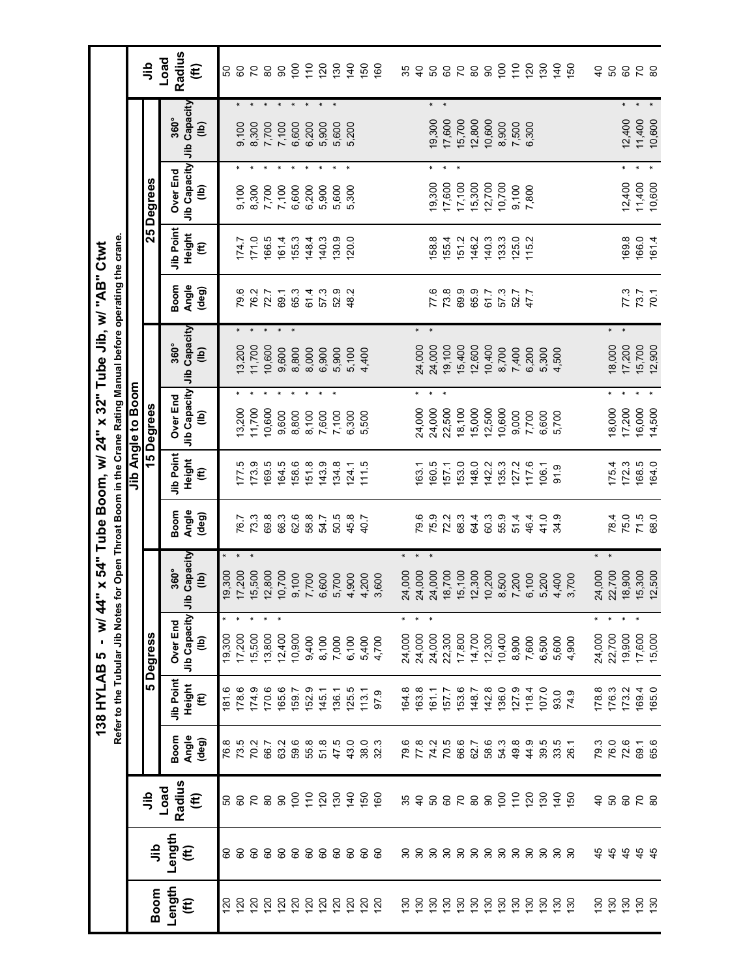|                                                                                                                                        |                   | هڙ         | Radius<br>Load<br>E                                      | 110<br>$\overline{100}$<br>$\overline{20}$<br>$\frac{8}{2}$<br>$\frac{40}{5}$<br>$\overline{50}$<br>$\frac{60}{2}$<br>20<br>$80$<br>8<br>8                      | $\frac{6}{2}$<br>$\tilde{=}$<br>$\overline{5}$<br>$\frac{6}{2}$<br>$\frac{40}{5}$<br>$\frac{6}{2}$<br>$\overline{C}$<br>$\rm ^{\rm o}$<br>$\mathsf{S}$<br>50<br>60<br>35<br>$\overline{a}$                                | SO<br>$\mbox{6}$<br>$\overline{r}$<br>80<br>$\overline{a}$             |
|----------------------------------------------------------------------------------------------------------------------------------------|-------------------|------------|----------------------------------------------------------|-----------------------------------------------------------------------------------------------------------------------------------------------------------------|---------------------------------------------------------------------------------------------------------------------------------------------------------------------------------------------------------------------------|------------------------------------------------------------------------|
|                                                                                                                                        |                   |            | Jib Capacity<br>$360^\circ$<br>$\widehat{=}$             | $\star$<br>$\pmb{\ast}$<br>$\pmb{\ast}$<br>$\star$<br>8,300<br>7,700<br>7,100<br>6,200<br>9,100<br>6,600<br>5,900<br>5,600<br>5,200                             | 19,300<br>17,600<br>15,700<br>12,800<br>10,600<br>8,900<br>7,500<br>6,300                                                                                                                                                 | 11,400<br>12,400<br>10,600                                             |
|                                                                                                                                        |                   | 25 Degrees | Jib Capacity<br>Over End<br>(al                          | 8,300<br>7,700<br>7,100<br>6,200<br>5,900<br>5,600<br>9,100<br>6,600<br>5,300                                                                                   | 19,300<br>17,600<br>17,100<br>15,300<br>12,700<br>10,700<br>9,100<br>7,800                                                                                                                                                | 12,400<br>11,400<br>10,600                                             |
|                                                                                                                                        |                   |            | <b>Jib Point</b><br>Height<br>E                          | 171.0<br>166.5<br>161.4<br>155.3<br>140.3<br>130.9<br>120.0<br>148.4<br>174.7                                                                                   | 158.8<br>140.3<br>125.0<br>155.4<br>151.2<br>146.2<br>133.3<br>115.2                                                                                                                                                      | 169.8<br>166.0<br>161.4                                                |
|                                                                                                                                        |                   |            | Boom<br>Angle<br>$(\text{deg})$                          | 79.6<br>76.2<br>57.3<br>52.9<br>72.7<br>65.3<br>61.4<br>Ņ<br>69.1<br>$\frac{8}{4}$                                                                              | 77.6<br>73.8<br>69.9<br>65.9<br>61.7<br>57.3<br>52.7<br>47.7                                                                                                                                                              | 77.3<br>73.7<br>70.1                                                   |
| 54" Tube Boom, w/ 24" x 32" Tube Jib, w/ "AB" Ctwt                                                                                     |                   |            | 360°<br>$\widehat{a}$                                    | 11,700<br>10,600<br>13,200<br>9,600<br>8,000<br>6,900<br>8,800<br>5,900<br>5,100<br>4,400                                                                       | $\pmb{\ast}$<br>$\ast$<br>24,000<br>24,000<br>19,100<br>15,400<br>12,600<br>10,400<br>8,700<br>7,400<br>6,200<br>5,300<br>500                                                                                             | $\ast$<br>$\ast$<br>18,000<br>17,200<br>15,700<br>12,900               |
|                                                                                                                                        | Jib Angle to Boom | 15 Degrees | Jib Capacity Jib Capacity<br>Over End<br>ê               | $\ast$<br>$\ast$<br>$\star$<br>$\star$<br>11,700<br>10,600<br>13,200<br>9,600<br>8,100<br>7,600<br>8,800<br>7,100<br>6,300<br>5,500                             | $\star$<br>$\ast$<br>$\ast$<br>24,000<br>24,000<br>22,500<br>18,100<br>15,000<br>12,500<br>10,600<br>9,000<br>7,700<br>6,600<br>5,700                                                                                     | 17,200<br>18,000<br>16,000<br>14,500                                   |
|                                                                                                                                        |                   |            | Jib Point<br>Height<br>$\widehat{\epsilon}$              | 173.9<br>169.5<br>164.5<br>177.5<br>158.6<br>151.8<br>143.9<br>134.8<br>111.5<br>124.1                                                                          | 153.0<br>148.0<br>142.2<br>135.3<br>127.2<br>117.6<br>160.5<br>157.1<br>106.1<br>163.1<br>91.9                                                                                                                            | 172.3<br>168.5<br>175.4<br>164.0                                       |
|                                                                                                                                        |                   |            | Angle<br>Boom<br>(deg)                                   | 73.3<br>69.8<br>66.3<br>62.6<br>588<br>50.5<br>45.8<br>54.7<br>76.7<br>40.7                                                                                     | 79.6<br>75.9<br>72.2<br>68.3<br>64.4<br>60.3<br>55.9<br>51.4<br>46.4<br>41.0<br>34.9                                                                                                                                      | 78.4<br>75.0<br>71.5<br>68.0                                           |
| Refer to the Tubular Jib Notes for Open Throat Boom in the Crane Rating Manual before operating the crane<br>$\mathbf{L}^{\mathbf{u}}$ |                   |            | <b>b Capacity</b><br>360°<br>$\widehat{\mathsf{e}}$<br>⋽ | $\star$<br>$\star$<br>12,800<br>17,200<br>15,500<br>10,700<br>19,300<br>9,100<br>7,700<br>6,600<br>4,900<br>4,200<br>5,700<br>3,600                             | $\ast$<br>$\star$<br>$\boldsymbol{*}$<br>12,300<br>24,000<br>24,000<br>18,700<br>15,100<br>24,000<br>10,200<br>7,200<br>8,500<br>6,100<br>5,200<br>4,400<br>3,700                                                         | $*$ $*$<br>18,900<br>24,000<br>22,700<br>15,300<br>12,500              |
| $\frac{M}{4}$<br>$\blacksquare$<br><u>IQ</u>                                                                                           |                   | 5 Degress  | Jib Capacity<br>Over End<br>ê                            | 15,500<br>13,800<br>12,400<br>19,300<br>17,200<br>10,900<br>9,400<br>8,100<br>6,100<br>5,400<br>4,700<br>7,000                                                  | ¥<br>$\ast$<br>24,000<br>24,000<br>24,000<br>22,300<br>17,800<br>14,700<br>12,300<br>10,400<br>8,900<br>7,600<br>6,500<br>5,600<br>4,900                                                                                  | 19,900<br>24,000<br>22,700<br>17,600<br>15,000                         |
| 138 HYLAB                                                                                                                              |                   |            | Jib Point<br>Height<br>€                                 | 178.6<br>174.9<br>170.6<br>165.6<br>152.9<br>159.7<br>125.5<br>113.1<br>145.1<br>136.1<br>97.9                                                                  | 164.8<br>163.8<br>153.6<br>142.8<br>136.0<br>127.9<br>107.0<br>161.1<br>148.7<br>118.4<br>157.7<br>93.0<br>74.9                                                                                                           | 178.8<br>176.3<br>173.2<br>169.4<br>165.0                              |
|                                                                                                                                        |                   |            | Angle<br>Boom<br>$(\text{deg})$                          | 73.5<br>70.2<br>63.2<br>59.6<br>55.8<br>51.8<br>47.5<br>43.0<br>38.0<br>32.3<br>66.7                                                                            | 77.8<br>70.5<br>66.6<br>58.6<br>54.3<br>49.8<br>44.9<br>79.6<br>74.2<br>39.5<br>33.5<br>62.7<br>26.1                                                                                                                      | 76.0<br>72.6<br>65.6<br>79.3<br>69.1                                   |
|                                                                                                                                        |                   | $\ddot{=}$ | Radius<br>Load<br>$\widehat{\mathbf{t}}$                 | $\overline{5}$<br>110<br>120<br>$\frac{8}{2}$<br>140<br>150<br>$\frac{60}{5}$<br>$\pmb{\mathbb{S}}$<br>8<br>$\mathcal{L}$<br>ន<br>8                             | $\frac{8}{2}$<br>110<br>$\overline{20}$<br>$\frac{8}{3}$<br>$\frac{40}{5}$<br>$\frac{50}{2}$<br>$\pmb{\mathbb{S}}$<br>8<br>35<br>$\overline{a}$<br>69<br>8<br>$\mathcal{L}$                                               | ន<br>$\mbox{6}$<br><b>P</b> 8<br>$\overline{a}$                        |
|                                                                                                                                        |                   | هڙ         | Length<br>€                                              | 8<br>8<br>60<br>60<br>60<br>60<br>60<br>60<br>60<br>8<br>60                                                                                                     | င္က<br>೫<br>೫ ೫<br>30<br>೫<br>င္က<br>္တ<br>င္က<br>င္က<br>င္က<br>င္က<br>င္က                                                                                                                                                | 45<br>45<br>45<br>45                                                   |
|                                                                                                                                        |                   | Boom       | Length<br>€                                              | $\overline{20}$<br><u>ន</u><br>$\overline{5}$<br><u>ន</u><br><u>ସ</u><br>$\overline{5}$<br>$\overline{5}$<br><u>ន</u><br><u>ន</u><br><u>ន</u><br>$\overline{5}$ | $\frac{8}{2}$<br>$\frac{8}{2}$<br>$\frac{8}{3}$<br>$\frac{8}{2}$<br>$\frac{8}{2}$<br>$\frac{8}{2}$<br>$\frac{8}{2}$<br>$\frac{8}{2}$<br>$\frac{8}{2}$<br>$\frac{8}{2}$<br>$\frac{8}{2}$<br>$\frac{8}{2}$<br>$\frac{8}{2}$ | $\frac{8}{2}$<br>$\frac{8}{2}$<br>9<br>$\overline{5}$<br>$\frac{8}{3}$ |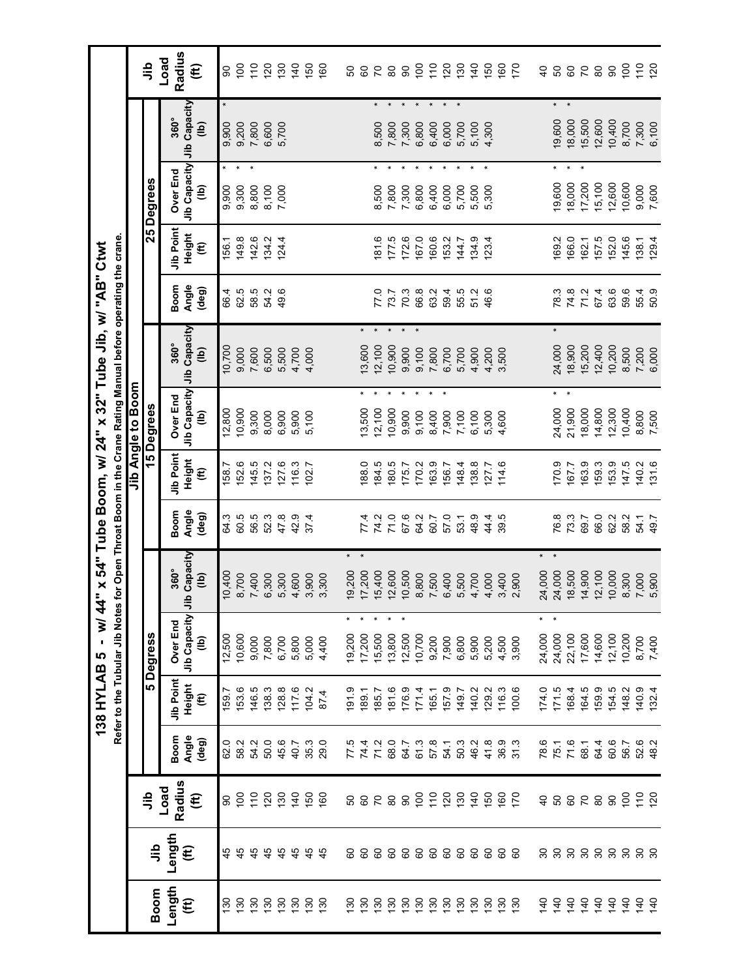|                                                                                                           |                   | هاز         | Radius<br>Load<br>E                                      | $\overline{5}$<br>8           | 110             | 120<br>130                     | $\frac{40}{5}$  | 150<br>$\frac{60}{2}$ | SO                | 60                | $\overline{C}$  | $\rm{8}$<br>8                  | $\frac{1}{2}$             | $\frac{1}{2}$         | $\overline{20}$       | $\frac{6}{2}$ | 140<br>150         | $\frac{60}{2}$ | 5L               | $\overline{4}$             | 50                               | 60           | $\overline{z}$ | $\rm ^{\rm o}$     | $\rm S$        | $\overline{100}$                | $\frac{10}{11}$<br>$\overline{5}$ |  |
|-----------------------------------------------------------------------------------------------------------|-------------------|-------------|----------------------------------------------------------|-------------------------------|-----------------|--------------------------------|-----------------|-----------------------|-------------------|-------------------|-----------------|--------------------------------|---------------------------|-----------------------|-----------------------|---------------|--------------------|----------------|------------------|----------------------------|----------------------------------|--------------|----------------|--------------------|----------------|---------------------------------|-----------------------------------|--|
|                                                                                                           |                   |             | $360^\circ$<br>(dl)                                      | $\ast$<br>9,200<br>9,900      | 7,800           | 6,600<br>5,700                 |                 |                       |                   |                   | 8,500           | $\ast$<br>7,800<br>7,300       | $\pmb{\ast}$<br>6,800     | $\pmb{\ast}$<br>6,400 | $\pmb{\ast}$<br>6,000 | 5,700         | 5,100<br>4,300     |                |                  |                            | $\ast$<br>$\pmb{\ast}$<br>19,600 | 18,000       | 15,500         | 12,600             | 10,400         | 8,700                           | 7,300<br>6,100                    |  |
|                                                                                                           |                   | 25 Degrees  | Jib Capacity Jib Capacity<br>Over End<br>(al)            | ¥<br>$\ast$<br>9,900<br>9,300 | $\ast$<br>8,800 | 8,100<br>7,000                 |                 |                       |                   |                   | 8,500           | 7,800<br>7,300                 | 6,800                     | 6,400                 | 6,000                 | 5,700         | 5,500<br>5,300     |                |                  |                            | 19,600                           | 18,000       | 17,200         | 15,100             | 12,600         | 10,600                          | 9,000<br>7,600                    |  |
|                                                                                                           |                   |             | Jib Point<br>Height<br>$\mathbf{f}$                      | 149.8<br>156.1                | 142.6           | 134.2<br>124.4                 |                 |                       |                   |                   | 181.6           | 177.5<br>172.6                 | 167.0                     | 160.6                 | 153.2                 | 144.7         | 134.9<br>123.4     |                |                  |                            | 169.2                            | 166.0        | 162.1          | 157.5              | 152.0          | 145.6                           | 138.1<br>129.4                    |  |
|                                                                                                           |                   |             | Boom<br>Angle<br>$(\text{deg})$                          | 62.5<br>66.4                  | 58.5<br>54.2    | 49.6                           |                 |                       |                   |                   | 77.0            | 73.7<br>70.3                   | 66.8                      | 63.2                  | 59.4                  | 55.5          | 51.2<br>46.6       |                |                  |                            | 78.3                             | 74.8         | 71.2           | 67.4               | 63.6           | 59.6                            | 55.4<br>50.9                      |  |
| i" x 54" Tube Boom, w/ 24" x 32" Tube Jib, w/ "AB" Ctwt                                                   |                   |             | $360^\circ$<br>$\widehat{\mathsf{e}}$                    | 10,700<br>9,000               | 7,600           | 6,500<br>5,500                 | 4,700           | 4,000                 |                   | $\ast$<br>13,600  | 12,100          | 10,900<br>9,900                | $\boldsymbol{*}$<br>9,100 | 7,800                 | 6,700                 | 5,700         | 4,900<br>4,200     | 500<br>ω.      |                  |                            | $\star$<br>24,000                | 18,900       | 15,200         | 12,400             | 10,200         | 8,500                           | 7,200<br>6,000                    |  |
|                                                                                                           | Jib Angle to Boom | 15 Degrees  | Jib Capacity Jib Capacity<br>Over End<br>ê               | 12,800<br>10,900              | 9,300           | 8,000<br>6,900                 | 5,900           | 5,100                 |                   | $\star$<br>13,500 | 12,100          | 10,900<br>9,900                | $\ast$<br>9,100           | $\ast$<br>8,400       | $\ast$<br>7,900       | 7,100         | 6,100<br>5,300     | 4,600          |                  |                            | $\star$<br>$\ast$<br>24,000      | 21,900       | 18,000         | 14,800             | 12,300         | 10,400                          | 8,800<br>7,500                    |  |
|                                                                                                           |                   |             | Jib Point<br>Height<br>$\mathbf{f}$                      | 152.6<br>158.7                | 145.5           | 127.6<br>137.2                 | 116.3           | 102.7                 |                   | 188.0             | 184.5           | 180.5<br>175.7                 | 170.2                     | 163.9                 | 156.7                 | 148.4         | 138.8<br>127.7     | 114.6          |                  |                            | 170.9                            | 167.7        | 163.9          | 159.3              | 153.9          | 147.5                           | 140.2<br>131.6                    |  |
|                                                                                                           |                   |             | Angle<br>Boom<br>(deg)                                   | 64.3<br>60.5                  | 56.5            | 52.3<br>47.8                   | 42.9            | 37.4                  |                   | 77.4              | 74.2            | 71.0<br>67.6                   | 64.2                      | 60.7                  | 57.0                  | 53.1          | 48.9<br>44.4       | 39.5           |                  |                            | 76.8                             | 73.3<br>69.7 | 66.0           |                    | 62.2           | 58.2                            | 54.1<br>49.7                      |  |
| Refer to the Tubular Jib Notes for Open Throat Boom in the Crane Rating Manual before operating the crane |                   |             | <b>b Capacity</b><br>360°<br>$\widehat{\mathsf{e}}$<br>∍ | 10,400<br>8,700               | 7,400           | 6,300<br>5,300                 | 4,600           | 3,900<br>3,300        | $*$ $*$<br>19,200 | 17,200            | 15,400          | 12,600<br>10,500               | 8,800                     | 7,500                 | 6,400                 | 5,500         | 4,700<br>4,000     | 3,400          | 2,900            | $*$ $*$<br>24,000          | 24,000                           | 18,500       | 14,900         | 12,100             | 10,000         | 8,300                           | 7,000<br>5,900                    |  |
| $-$ W/ 44<br><u> ဟ</u>                                                                                    |                   | 5 Degress   | Jib Capacity<br>Over End<br>ê                            | 10,600<br>12,500              | 9,000           | 7,800<br>6,700                 | 5,800           | 5,000<br>4,400        | 19,200            | 17,200            | 15,500          | 13,800<br>12,500               | 10,700                    | 9,200                 | 7,900                 | 6,800         | 5,900<br>5,200     | 4,500          | 3,900            | $\ast$<br>24,000           | $\ast$<br>24,000                 | 22,100       | 17,600         | 14,600             | 12,100         | 10,200                          | 8,700<br>7,400                    |  |
| 138 HYLAB                                                                                                 |                   |             | Jib Point<br>Height<br>€                                 | 153.6<br>159.7                | 146.5           | 138.3<br>128.8                 | 117.6           | 104.2<br>87.4         | 191.9             | 189.1             | 185.7           | 181.6<br>176.9                 | 171.4                     | 165.1                 | 157.9                 | 149.7         | 129.2<br>140.2     | 116.3          | 100.6            | 174.0                      | 171.5                            | 168.4        | 164.5<br>159.9 |                    | 154.5          | 148.2                           | 140.9<br>132.4                    |  |
|                                                                                                           |                   |             | Angle<br>Boom<br>$(\text{deg})$                          | 62.0<br>58.2                  | 54.2            | 50.0<br>45.6                   | 40.7            | 35.3<br>29.0          | 77.5              | 74.4              | 71.2            | 68.0<br>64.7                   | 61.3                      | 57.8                  | 54.1                  | 50.3          | 41.8<br>46.2       | 36.9           | 31.3             | 78.6                       | 75.1                             | 71.6         | 68.1           | 64.4               | 60.6           | 56.7                            | 52.6<br>48.2                      |  |
|                                                                                                           |                   | هاز         | Radius<br>Load<br>E                                      | $\frac{8}{2}$<br>8            | $\frac{1}{2}$   | 120<br>130                     | $\frac{40}{5}$  | 150<br>160            | ន                 | 8                 | <b>P</b>        | $\pmb{\mathbb{S}}$<br>8        | 100                       | 110                   | $\overline{20}$       | 130           | 140<br>150         | 160            | $\overline{170}$ | $\overline{a}$             | 6                                | 8            | $\mathcal{L}$  | $\pmb{\mathbb{S}}$ | $\rm 8$        | $\frac{1}{10}$<br>$\frac{8}{2}$ | $\overline{5}$                    |  |
|                                                                                                           |                   | <u>م</u> ار | Length<br>E                                              | 45<br>45                      | 45              | 45<br>45                       | 45              | 45<br>$\frac{4}{5}$   | 8                 | 80                | 8               | 60<br>60                       | $\mbox{S}$                | $\mbox{S}$            | $\mbox{ }^\mathrm{O}$ | 60            | 60<br>80           |                | 88               | $\mathcal{S}^{\mathsf{O}}$ | ႙ၟ                               | ္တ           | ႙              | ႙                  | ႙              | ႙                               | ೫<br>္က                           |  |
|                                                                                                           |                   | Boom        | Length<br>E                                              | 130<br>$\frac{8}{2}$          | $\frac{1}{30}$  | $\frac{8}{3}$<br>$\frac{8}{3}$ | $\overline{30}$ | 130<br>$\frac{8}{2}$  | $\overline{5}$    | $\frac{8}{3}$     | $\overline{30}$ | $\frac{8}{2}$<br>$\frac{8}{2}$ | 9                         | $\frac{8}{2}$         | $\frac{8}{3}$         | $\frac{8}{2}$ | 9<br>$\frac{8}{2}$ | $\frac{8}{3}$  | $\frac{50}{2}$   | $rac{4}{5}$                | $\frac{40}{5}$                   | $rac{4}{5}$  | 140            | $\frac{40}{5}$     | $\frac{40}{5}$ | $rac{1}{4}$                     | $rac{4}{5}$<br>$\frac{4}{3}$      |  |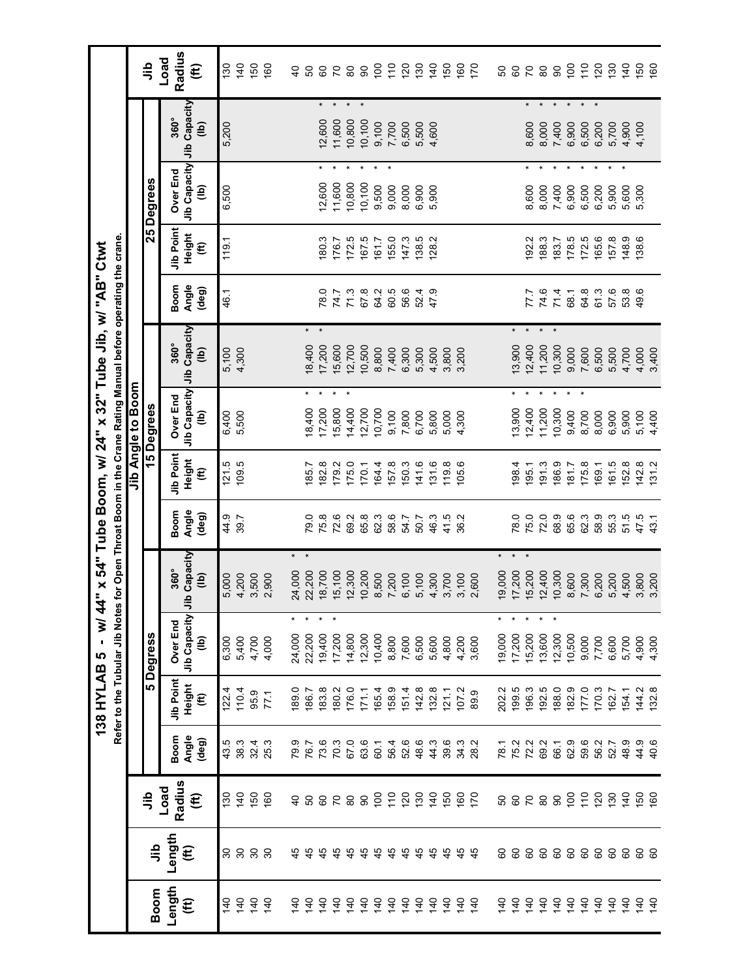|                                                                                                           |                   | <u>م</u> اڑ | Radius<br>Load<br>€                           | 130                         | $\frac{40}{5}$<br>150            | 60               | $\overline{a}$    | 50                     | $\mbox{ }^\mathsf{O}$ | $\overline{C}$    | $\rm{8}$          | 8                 | $\overline{5}$<br>$\frac{1}{2}$ | $\overline{5}$  | 130         | $\frac{40}{5}$ | 150           | 60          | $\overline{5}$ | SO                     | $\mbox{ }^\mathsf{O}$ | $\overline{C}$                 | $\rm{8}$              | 8                     | $\overline{100}$ | $\frac{1}{2}$   | $\overline{20}$ | 130           | $\frac{40}{5}$ | $\frac{60}{2}$<br>$\frac{60}{2}$  |
|-----------------------------------------------------------------------------------------------------------|-------------------|-------------|-----------------------------------------------|-----------------------------|----------------------------------|------------------|-------------------|------------------------|-----------------------|-------------------|-------------------|-------------------|---------------------------------|-----------------|-------------|----------------|---------------|-------------|----------------|------------------------|-----------------------|--------------------------------|-----------------------|-----------------------|------------------|-----------------|-----------------|---------------|----------------|-----------------------------------|
|                                                                                                           |                   |             | 360°<br>ê                                     | 5,200                       |                                  |                  |                   |                        | $\ast$<br>12,600      | $\ast$<br>11,600  | $\ast$<br>10,800  | $\star$<br>10,100 | 9,100                           | 7,700<br>6,500  | 5,500       | 4,600          |               |             |                |                        |                       | $\pmb{\ast}$<br>8,600          | $\pmb{\ast}$<br>8,000 | $\pmb{\ast}$<br>7,400 | $\star$<br>6,900 | $\ast$<br>6,500 | 6,200           | 5,700         | 4,900          | 4,100                             |
|                                                                                                           |                   | 25 Degrees  | Jib Capacity Jib Capacity<br>Over End<br>ê    | 6,500                       |                                  |                  |                   |                        | 12,600                | 11,600            | 10,800            | 10,100            | 9,500<br>9,000                  | 8,000           | 6,900       | 5,900          |               |             |                |                        |                       | 8,600                          | 8,000                 | 7,400                 | 6,900            | 6,500           | 6,200           | 5,900         | 5,600          | 5,300                             |
|                                                                                                           |                   |             | Jib Point<br>Height<br>E                      | 119.1                       |                                  |                  |                   |                        | 180.3                 | 176.7             | 172.5             | 167.5             | 155.0<br>161.7                  | 147.3           | 138.5       | 128.2          |               |             |                |                        |                       | 192.2                          | 188.3<br>183.7        |                       | 178.5            | 172.5           | 165.6           | 157.8         | 148.9<br>138.6 |                                   |
|                                                                                                           |                   |             | Boom<br>Angle<br>$(\text{deg})$               | 46.1                        |                                  |                  |                   |                        | 78.0                  | 74.7              | 71.3              | 67.8              | 60.5<br>64.2                    | 56.6            | 52.4        | 47.9           |               |             |                |                        |                       | 77.7                           | 74.6                  | 71.4                  | 68.1             | 64.8            | 61.3            | 57.6          | 53.8           | 49.6                              |
| I" x 54" Tube Boom, w/ 24" x 32" Tube Jib, w/ "AB" Ctwt                                                   |                   |             | Jib Capacity Jib Capacity<br>360°<br>ê        | 5,100                       | 4,300                            |                  |                   | $\pmb{\ast}$<br>18,400 | $\ast$<br>17,200      | 15,600            | 12,700            | 10,500            | 8,800<br>7,400                  | 6,300           | 5,300       | 4,500          | 3,800         | 3,200       |                |                        | 13,900                | 12,400                         | 11,200                | 10,300                | 9,000            | 7,600           | 6,500           | 5,500         | 4,700          | 4,000<br>3,400                    |
|                                                                                                           | Jib Angle to Boom | 15 Degrees  | Over End<br>€                                 | 6,400                       | 5,500                            |                  |                   | $\star$<br>18,400      | 17,200                | $\star$<br>15,800 | $\star$<br>14,400 | 12,700            | 10,700                          | 9,100<br>7,800  | 6,700       | 5,800          | 5,000         | 4,300       |                |                        | $\ast$<br>13,900      | 12,400                         | 11,200                | $\ast$<br>10,300      | $\ast$<br>9,400  | $\ast$<br>8,700 | 8,000           | 6,900         | 5,900          | 5,100<br>4,400                    |
|                                                                                                           |                   |             | Jib Point<br>Height<br>$\mathbf{\widehat{E}}$ | 121.5                       | 109.5                            |                  |                   | 185.7                  | 182.8                 | 179.2             | 175.0             | 170.1             | 164.4<br>157.8                  | 150.3           | 141.6       | 131.6          | 119.8         | 105.6       |                |                        | 198.4                 | 195.1                          | 191.3                 | 186.9                 | 181.7            | 175.8           | 169.1           | 161.5         | 152.8          | 142.8<br>131.2                    |
|                                                                                                           |                   |             | Angle<br>Boom<br>$(\text{deg})$               | $\frac{4}{9}$ $\frac{8}{7}$ |                                  |                  |                   | 79.0                   | 75.8                  | 72.6              | 69.2              | 65.8              | 62.3<br>58.6                    | 54.7            | 50.7        | 46.3           | 41.5          | 36.2        |                |                        | 78.0                  | 75.0                           | 72.0                  | 68.9                  | 65.6             | 62.3            | 58.9            | 55.3          | 51.5           | 47.5<br>43.1                      |
| Refer to the Tubular Jib Notes for Open Throat Boom in the Crane Rating Manual before operating the crane |                   |             | <b>b Capacity</b><br>360°<br>ê<br>∍           | 5,000                       | 3,500<br>4,200                   | 2,900            | $*$ $*$<br>24,000 | 22,200                 | 18,700                | 15,100            | 12,300            | 10,200            | 8,500<br>7,200                  | 6,100           | 5,100       | 4,300          | 3,700         | 3,100       | 2,600          | $\pmb{\ast}$<br>19,000 | $\ast$<br>17,200      | $\ddot{\phantom{1}}$<br>15,200 | 12,400                | 10,300                | 8,600            | 7,300           | 6,200           | 5,200         | 4,500          | 3,800<br>3,200                    |
| $- w/44$<br>LO                                                                                            |                   | 5 Degress   | Jib Capacity<br>Over End<br>ê                 | 6,300                       | 4,700<br>5,400                   | 4,000            | 24,000            | 22,200                 | 19,400                | 17,200            | 14,800            | 12,300            | 10,400                          | 8,800<br>7,600  | 6,500       | 5,600          | 4,800         | 4,200       | 3,600          | 19,000                 | 17,200                | 15,200                         | 13,600                | 12,300                | 10,500           | 9,000           | 7,700           | 6,600         | 5,700          | 4,900<br>4,300                    |
| 138 HYLAB                                                                                                 |                   |             | Jib Point<br>Height<br>€                      | 122.4                       | 110.4<br>95.9                    | 77.1             | 189.0             | 186.7                  | 183.8                 | 180.2             | 176.0             | 171.1             | 158.9<br>165.4                  | 151.4           | 142.8       | 132.8          | 121.1         | 107.2       | 89.9           | 202.2                  | 199.5                 | 196.3                          | 192.5                 | 188.0                 | 182.9            | 177.0           | 170.3           | 162.7         | 154.1          | 132.8<br>144.2                    |
|                                                                                                           |                   |             | Angle<br>Boom<br>$(\text{deg})$               | 43.5                        | 38.3<br>32.4                     | 25.3             | 79.9              | 76.7                   | 73.6                  | 70.3              | 67.0              | 63.6              | 56.4<br>60.1                    | 52.6            | 48.6        | 44.3           | 39.6          | 34.3        | 28.2           | 78.1                   | 75.2                  | 72.2                           | 69.2                  | 66.1                  | 62.9             | 59.6            | 56.2            | 52.7          | 48.9           | 44.9<br>40.6                      |
|                                                                                                           |                   | <u>م</u> ر  | Radius<br>Load<br>E                           | 130                         | 140<br>150                       | 160              | $\overline{a}$    | ន                      | 8                     | P.                | 80                | 8                 | $\frac{8}{2}$<br>$\frac{1}{1}$  | $\overline{20}$ | 130         | 140            | 150           | 160         | $\overline{5}$ | 8                      | 8                     | $\mathcal{L}$                  | $80$                  | 8                     | $\overline{5}$   | 110             | $\overline{20}$ | $\frac{8}{2}$ | 140            | $\frac{50}{2}$<br>$\overline{60}$ |
|                                                                                                           |                   | ٩iل         | Length<br>€                                   | 30                          | $\overline{30}$<br>$30^{\circ}$  | $\boldsymbol{S}$ | 45                | 45                     | 45                    | 45                | 45                | 45                | $\frac{4}{5}$<br>45             | 45              | 45          | 45             | 45            | 45          | $\frac{4}{5}$  | 8                      | 8                     | 60                             | 8                     | 80                    | 80               | 80              | 8               | 8             | 8              | 60<br>60                          |
|                                                                                                           |                   | Boom        | Length<br>€                                   | $\frac{40}{5}$              | $\frac{40}{5}$<br>$\frac{40}{5}$ | $rac{4}{5}$      | $\frac{5}{2}$     | $\frac{40}{5}$         | $\frac{1}{4}$         | $\frac{4}{5}$     | $\frac{40}{5}$    | $rac{1}{4}$       | $rac{1}{4}$<br>$\frac{1}{2}$    | $\frac{40}{5}$  | $rac{1}{4}$ | $rac{1}{4}$    | $\frac{1}{2}$ | $rac{1}{4}$ | $rac{1}{4}$    | $rac{1}{4}$            | $\frac{40}{5}$        | $\frac{4}{5}$                  | $\frac{40}{5}$        | $\frac{40}{5}$        | $\frac{40}{5}$   | $rac{4}{5}$     | $rac{1}{4}$     | $rac{1}{4}$   | $\frac{4}{5}$  | $\frac{40}{5}$<br>$\frac{4}{3}$   |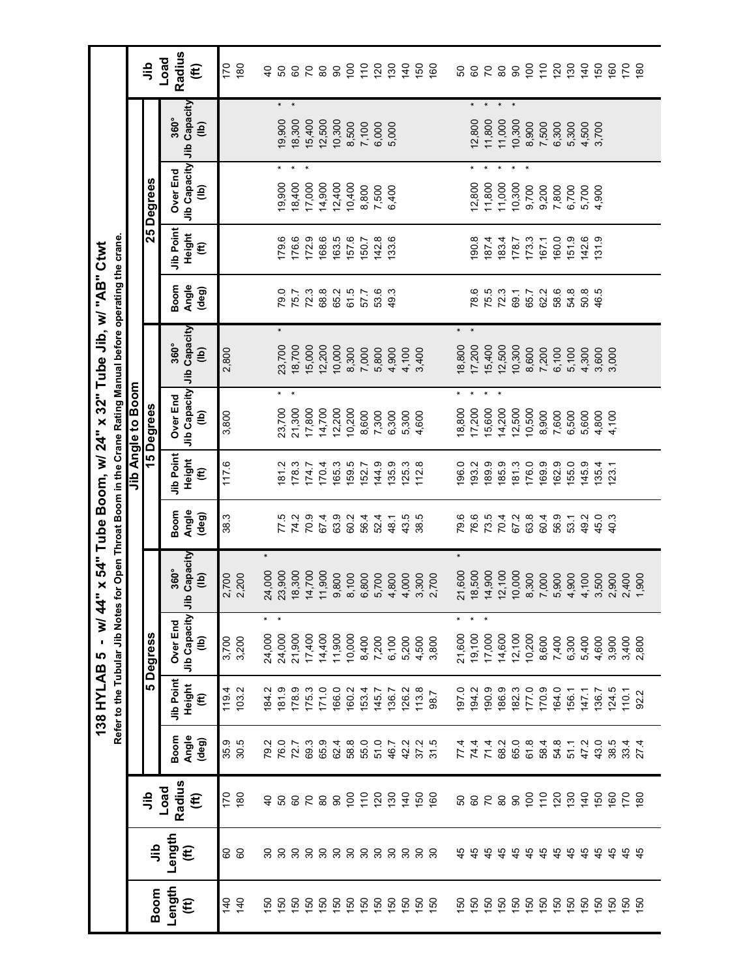|                                                                                                           |                   | ݠڗ         | Radius<br>Load<br>E                                      | 170<br>180                       | $\overline{a}$         | 60<br>SO                                             | $\overline{C}$   | $\pmb{\mathbb{S}}$<br>$\mathsf{S}$ | $\overline{5}$   | $\frac{1}{2}$ | $\overline{20}$ | $\frac{6}{2}$   | 140   | $\frac{60}{2}$<br>$\overline{60}$ | SO                                    | 80                             | $\overline{C}$<br>$80$           | 8      | $\frac{1}{2}$  | 110           | $\overline{20}$ | $\frac{6}{2}$ | $\frac{40}{5}$ | 150           | $\frac{60}{2}$  | 170              | $\frac{80}{2}$ |
|-----------------------------------------------------------------------------------------------------------|-------------------|------------|----------------------------------------------------------|----------------------------------|------------------------|------------------------------------------------------|------------------|------------------------------------|------------------|---------------|-----------------|-----------------|-------|-----------------------------------|---------------------------------------|--------------------------------|----------------------------------|--------|----------------|---------------|-----------------|---------------|----------------|---------------|-----------------|------------------|----------------|
|                                                                                                           |                   |            | 360°<br>(dl)                                             |                                  |                        | $\ast$<br>$\ast$<br>19,900<br>18,300                 | 15,400           | 12,500<br>10,300                   | 8,500            | 7,100         | 6,000           | 5,000           |       |                                   |                                       | 12,800                         | 11,800<br>11,000                 | 10,300 | 8,900          | 7,500         | 6,300           | 5,300         | 4,500          | 3,700         |                 |                  |                |
|                                                                                                           |                   | 25 Degrees | Jib Capacity Jib Capacity<br>Over End<br>€               |                                  |                        | 18,400<br>19,900                                     | $\ast$<br>17,000 | 14,900<br>12,400                   | 10,400           | 8,800         | 7,500           | 6,400           |       |                                   |                                       | 12,800                         | 11,000<br>11,800                 | 10,300 | 9,700          | 9,200         | 7,800           | 6,700         | 5,700          | 4,900         |                 |                  |                |
|                                                                                                           |                   |            | Jib Point<br>Height<br>E                                 |                                  |                        | 179.6<br>176.6                                       | 172.9            | 168.6<br>163.5                     | 157.6            | 150.7         | 142.8           | 133.6           |       |                                   |                                       | 190.8                          | 187.4<br>183.4                   | 178.7  | 173.3          | 167.1         | 160.0           | 151.9         | 142.6          | 131.9         |                 |                  |                |
|                                                                                                           |                   |            | Boom<br>Angle<br>$(\text{deg})$                          |                                  |                        | 79.0<br>75.7                                         | 72.3             | 68.8<br>65.2                       | 61.5             | 577           | 53.6            | 49.3            |       |                                   |                                       | 78.6                           | 75.5<br>72.3                     | 69.1   | 65.7           | 62.2          | 58.6            | 54.8          | 50.8<br>46.5   |               |                 |                  |                |
| I" x 54" Tube Boom, w/ 24" x 32" Tube Jib, w/ "AB" Ctwt                                                   |                   |            | Jib Capacity Jib Capacity<br>360°<br>$\widehat{e}$       | 2,800                            |                        | $\ast$<br>18,700<br>23,700                           | 15,000           | 12,200<br>10,000                   | 8,300            | 7,000         | 5,800           | 4,900           | 4,100 | 3,400                             | $\star$<br>$\boldsymbol{*}$<br>18,800 | 17,200                         | 15,400<br>12,500                 | 10,300 | 8,600          | 7,200         | 6,100           | 5,100         | 4,300          | 3,600         | 3,000           |                  |                |
|                                                                                                           | Jib Angle to Boom | 15 Degrees | Over End<br>ê                                            | 3,800                            |                        | $*$ $*$<br>23,700<br>21,300                          | 17,800           | 14,700<br>12,200                   | 10,200           | 8,600         | 7,300           | 6,300           | 5,300 | 4,600                             | ×<br>18,800                           | $\ast$<br>$\ast$<br>17,200     | $\star$<br>15,600<br>14,200      | 12,500 | 10,500         | 8,900         | 7,600           | 6,500         | 5,600          | 4,800         | 4,100           |                  |                |
|                                                                                                           |                   |            | Jib Point<br>Height<br>E                                 | 117.6                            |                        | $\mathbf{\tilde{c}}$<br>178.3<br>$\overline{\infty}$ | 174.7            | 170.4<br>165.3                     | 159.5            | 152.7         | 144.9           | 135.9           | 125.3 | 112.8                             | 196.0                                 | 193.2<br>189.9                 | 185.9                            | 81.3   | 176.0          | 169.9         | 162.9           | 155.0         | 145.9          | 135.4         | 123.1           |                  |                |
|                                                                                                           |                   |            | Angle<br>Boom<br>(deg)                                   | 38.3                             |                        | 77.5<br>74.2                                         | 70.9             | 67.4<br>63.9                       | 60.2             | 56.4          | 52.4            | 48.1            | 43.5  | 38.5                              | 79.6                                  | 76.6                           | 73.5<br>70.4                     | 67.2   | 63.8           | 60.4          | 56.9            | 53.1          | 49.2           | 45.0          | 40.3            |                  |                |
| Refer to the Tubular Jib Notes for Open Throat Boom in the Crane Rating Manual before operating the crane |                   |            | <b>b Capacity</b><br>360°<br>$\widehat{\mathsf{f}}$<br>っ | 2,700<br>2,200                   | $\pmb{\ast}$<br>24,000 | 23,900<br>18,300                                     | 14,700           | 11,900<br>9,800                    | 8,100            | 6,800         | 5,700           | 4,800           | 4,000 | 3,300<br>2,700                    | $\ast$<br>21,600                      | 18,500                         | 14,900<br>12,100                 | 10,000 | 8,300          | 7,000         | 5,900           | 4,900         | 4,100          | 3,500         | 2,900           | 2,400            | 1,900          |
| $-$ w/ 44<br>မာ                                                                                           |                   | 5 Degress  | Jib Capacity<br>Over End<br>€                            | 3,700<br>3,200                   | $\ast$<br>24,000       | $\ast$<br>24,000<br>21,900                           | 17,400           | 14,400<br>11,900                   | 10,000           | 8,400         | 7,200           | 6,100           | 5,200 | 4,500<br>3,800                    | ¥<br>$\ast$<br>21,600                 | 19,100                         | 17,000<br>14,600                 | 12,100 | 10,200         | 8,600         | 7,400           | 6,300         | 5,400          | 4,600         | 3,900           | $3,400$<br>2,800 |                |
| 138 HYLAB                                                                                                 |                   |            | Jib Point<br>Height<br>$\mathfrak{g}$                    | 119.4<br>103.2                   | 184.2                  | 181.9<br>178.9                                       | 175.3            | 171.0<br>166.0                     | 160.2            | 153.4         | 145.7           | 136.7           | 126.2 | 113.8<br>98.7                     | 197.0                                 | 190.9<br>194.2                 | 186.9                            | 182.3  | 177.0          | 170.9         | 164.0           | 156.1         | 147.1          | 136.7         | 124.5           | 110.1            | 92.2           |
|                                                                                                           |                   |            | Angle<br>Boom<br>(deg)                                   | 35.9<br>30.5                     | 79.2                   | 76.0<br>72.7                                         | 69.3             | 65.9<br>62.4                       | 58.8             | 55.0          | 51.0            | 46.7            | 42.2  | Ю<br>37.2<br>$\overline{5}$       | 774                                   | 74.4                           | 71.4<br>68.2                     | 65.0   | 61.8           | 58.4          | 54.8            | 51.1          | 47.2           | 43.0          | 38.5            | 33.4             | 4<br>27        |
|                                                                                                           |                   | <u>م</u> ر | Radius<br>Load<br>Ê                                      | 170<br>180                       | $\theta$               | 8<br>8                                               | $\overline{2}$   | 80<br>8                            | $\overline{100}$ | 110           | $\overline{20}$ | 130             | 140   | 150<br>$\frac{60}{2}$             | ន                                     | 8                              | $\overline{2}$<br>80             | 8      | $\overline{5}$ | 110           | $\overline{20}$ | $\frac{6}{2}$ | $\frac{40}{5}$ | 150           | $\overline{60}$ | 170              | $\frac{80}{2}$ |
|                                                                                                           |                   | هڙ         | Length<br>$\mathbf{\widehat{E}}$                         | 8<br>60                          | ౭                      | $\boldsymbol{S}$<br>$\overline{30}$                  | 30               | $\boldsymbol{S}$<br>႙              | ္က               | ೫             | ೫ ೫             |                 | ္က    | SO<br>္က                          | 45                                    | $\frac{4}{5}$<br>$\frac{4}{5}$ | 45                               | 45     | $\frac{4}{9}$  | 45            | 45              | 45            | 45             | $\frac{4}{9}$ | 45              | 45               | $\frac{45}{5}$ |
|                                                                                                           |                   | Boom       | Length<br>€                                              | $\frac{40}{5}$<br>$\frac{40}{5}$ | ទ្រ                    | $\overline{50}$<br>$\overline{50}$                   | 150              | 150<br>$\overline{50}$             | $\overline{50}$  | 150           | $\frac{5}{2}$   | $\overline{50}$ | ខ្ល   | ខ្ច<br>$\frac{5}{2}$              | ខ្ល                                   | ខ្ល                            | $\overline{5}$<br>$\overline{5}$ | ទ្រ    | <u>ទ្រ</u>     | $\frac{5}{2}$ | ខ្មែ            | ខ្ច           | ខ្ល            | ខ្ល           | ខ្ល             | ទ្រ              | $\frac{5}{2}$  |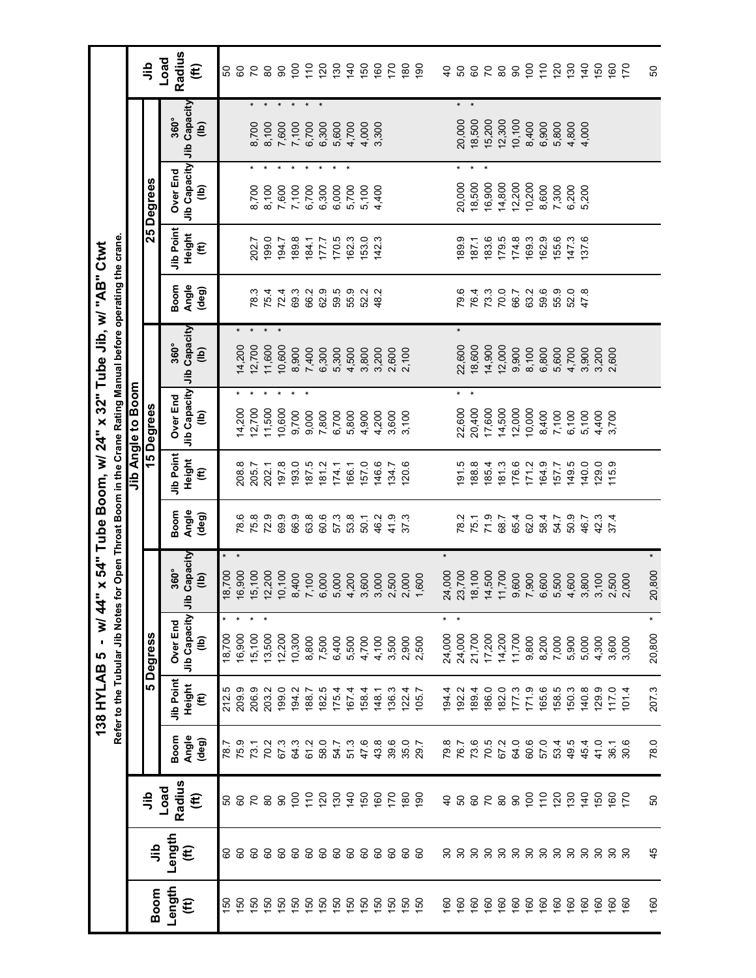|                                                                                                                                        |                   | هڙ         | Radius<br>Load<br>E                                   | 50<br>8                              | P.              | $\rm{8}$<br>8            | $\overline{5}$        | 110<br>$\overline{20}$   | $\frac{6}{2}$   | 140            | 150            | $\overline{160}$ | $\overline{170}$ | $\frac{80}{2}$ | $\frac{6}{2}$  | $\overline{4}$   | SO                | $\mbox{S}$ | $\overline{r}$ | $80$               | $\frac{6}{2}$<br>$\mathsf{S}$ | $\frac{1}{2}$   | $\overline{20}$ | 130             | $\frac{40}{5}$       | $\frac{6}{2}$ | $\frac{60}{2}$           | $\mathcal{L}$    | SO                     |
|----------------------------------------------------------------------------------------------------------------------------------------|-------------------|------------|-------------------------------------------------------|--------------------------------------|-----------------|--------------------------|-----------------------|--------------------------|-----------------|----------------|----------------|------------------|------------------|----------------|----------------|------------------|-------------------|------------|----------------|--------------------|-------------------------------|-----------------|-----------------|-----------------|----------------------|---------------|--------------------------|------------------|------------------------|
|                                                                                                                                        |                   |            | Jib Capacity<br>$360^\circ$<br>$\widehat{\mathsf{e}}$ |                                      | $\ast$<br>8,700 | $\ast$<br>8,100<br>7,600 | $\pmb{\ast}$<br>7,100 | $\ast$<br>6,700<br>6,300 | 5,600           | 4,700          | 4,000          | 3,300            |                  |                |                |                  | 20,000            | 18,500     | 15,200         | 12,300             | 10,100<br>8,400               | 6,900           | 5,800           | 4,800           | 4,000                |               |                          |                  |                        |
|                                                                                                                                        |                   | 25 Degrees | Jib Capacity<br>Over End<br>ê                         |                                      | 8,700           | 8,100<br>7,600           | 7,100                 | 6,700<br>6,300           | 6,000           | 5,700          | 5,100          | 4,400            |                  |                |                |                  | 20,000            | 18,500     | 16,900         | 14,800             | 12,200<br>10,200              | 8,600           | 7,300           | 6,200           | 5,200                |               |                          |                  |                        |
|                                                                                                                                        |                   |            | Jib Point<br>Height<br>$\mathbf{f}$                   |                                      | 202.7           | 199.0<br>194.7           | 189.8                 | 7777<br>184.1            | 170.5           | 162.3          | 153.0          | 142.3            |                  |                |                |                  | 189.9             | 187.1      | 183.6          | 179.5              | 174.8<br>169.3                | 162.9           | 155.6           | 147.3           | 137.6                |               |                          |                  |                        |
|                                                                                                                                        |                   |            | Boom<br>Angle<br>$(\text{deg})$                       |                                      | 78.3            | 75.4<br>72.4             | 69.3                  | 66.2<br>62.9             | 59.5            | 55.9           | 52.2           | 48.2             |                  |                |                |                  | 79.6              | 76.4       | 73.3           | 70.0<br>66.7       | 63.2                          | 59.6            | 55.9            | 52.0            | œ<br>$\overline{47}$ |               |                          |                  |                        |
| 54" Tube Boom, w/ 24" x 32" Tube Jib, w/ "AB" Ctwt                                                                                     |                   |            | 360°<br>$\widehat{\mathsf{e}}$                        | 14,200                               | 12,700          | 11,600<br>10,600         | 8,900                 | 7,400<br>6,300           | 5,300           | 4,500          | 3,800          | 3,200            | 2,600            | 2,100          |                |                  | $\star$<br>22,600 | 18,600     | 14,900         | 12,000             | 9,900<br>8,100                | 6,800           | 5,600           | 4,700           | 3,900                | 3,200         | 600<br>$\mathbf{\Omega}$ |                  |                        |
|                                                                                                                                        | Jib Angle to Boom | 15 Degrees | Jib Capacity Jib Capacity<br>Over End<br>ê            | 14,200                               | ¥<br>12,700     | 11,500<br>10,600         | $\ast$<br>9,700       | $\ast$<br>7,800<br>9,000 | 6,700           | 5,800          | 4,900          | 4,200            | 3,600            | 3,100          |                |                  | $*$ $*$<br>22,600 | 20,400     | 17,600         | 14,500             | 12,000<br>10,000              | 8,400           | 7,100           | 6,100           | 5,100                | 4,400         | 3,700                    |                  |                        |
|                                                                                                                                        |                   |            | Jib Point<br>Height<br>$\widehat{\epsilon}$           | 208.8                                | 205.7           | 197.8<br>202.1           | 193.0                 | 1875<br>181.2            | 174.1           | 166.1          | 157.0          | 146.6            | 134.7            | 120.6          |                |                  | 191.5             | 188.8      | 185.4          | 181.3              | 176.6<br>171.2                | 164.9           | 157.7           | 149.5           | 140.0                | 129.0         | 115.9                    |                  |                        |
|                                                                                                                                        |                   |            | Angle<br>Boom<br>(deg)                                | 78.6                                 | 75.8<br>72.9    | 69.9                     | 66.9                  | 63.8<br>60.6             | 57.3            | 53.8           | 50.1           | 46.2             | 41.9             | 37.3           |                |                  | 78.2              | 75.1       | 71.9           | 68.7               | 65.4<br>62.0                  | 58.4            | 54.7            | 50.9            | 46.7                 | 42.3          | 37.4                     |                  |                        |
| Refer to the Tubular Jib Notes for Open Throat Boom in the Crane Rating Manual before operating the crane<br>$\mathbf{L}^{\mathbf{u}}$ |                   |            | <b>b Capacity</b><br>360°<br>(dl)<br>⋽                | $\ast$<br>$\ast$<br>16,900<br>18,700 | 15,100          | 12,200<br>10,100         | 8,400                 | 7,100<br>6,000           | 5,000           | 4,200          | 3,600          | 3,000            | 2,500            | 2,000          | 1,600          | $\ast$<br>24,000 | 23,700            | 18,100     | 14,500         | 11,700             | 9,600<br>7,900                | 6,600           | 5,500           | 4,600           | 3,800                | 3,100         | 2,500                    | 2,000            | $\pmb{\ast}$<br>20,800 |
| $\frac{M}{4}$<br>$\blacksquare$<br>LQ                                                                                                  |                   | 5 Degress  | <b>Jib Capacity</b><br>Over End<br>ê                  | 18,700<br>16,900                     | 15,100          | 13,500<br>12,200         | 10,300                | 8,800<br>7,500           | 6,400           | 5,500          | 4,700          | 4,100            | 3,500            | 2,900          | 2,500          | $\ast$<br>24,000 | $\ast$<br>24,000  | 21,700     | 17,200         | 14,200             | 11,700<br>9,800               | 8,200           | 7,000           | 5,900           | 5,000                | 4,300         | 3,600                    | 3,000            | $\ast$<br>20,800       |
| 138 HYLAB                                                                                                                              |                   |            | Jib Point<br>Height<br>$\mathfrak{g}$                 | 212.5<br>209.9                       | 206.9           | 203.2<br>199.0           | 194.2                 | 182.5<br>188.7           | 175.4           | 1674           | 1584           | 148.1            | 136.3            | 122.4          | 105.7          | 194.4            | 192.2             | 189.4      | 186.0          | 182.0              | 171.9<br>177.3                | 165.6           | 158.5           | 150.3           | 140.8                | 129.9         | 117.0                    | 1014             | 207.3                  |
|                                                                                                                                        |                   |            | Angle<br>Boom<br>$(\text{deg})$                       | 75.9<br>78.7                         | 73.1            | 70.2<br>67.3             | 64.3                  | 61.2<br>58.0             | 54.7            | 51.3           | 47.6           | 43.8             | 39.6             | 35.0           | 29.7           | 79.8             | 76.7              | 73.6       | 70.5           | 67.2               | 64.0<br>60.6                  | 57.0            | 53.4            | 49.5            | 45.4                 | 41.0          | 36.1                     | 30.6             | 78.0                   |
|                                                                                                                                        |                   | $\ddot{=}$ | Radius<br>Load<br>$\widehat{\mathbf{t}}$              | ន<br>8                               | $\mathcal{R}$   | $\pmb{\mathbb{S}}$<br>8  | $\overline{5}$        | 110<br>$\overline{20}$   | 130             | $\frac{40}{5}$ | 150            | 160              | 170              | 180            | $\frac{6}{2}$  | $\overline{a}$   | 69                | 8          | $\mathcal{L}$  | $\pmb{\mathbb{S}}$ | $\frac{0}{100}$<br>8          | 110             | $\overline{20}$ | 130             | $\frac{40}{5}$       | 150           | $\frac{60}{2}$           | $\overline{170}$ | 8                      |
|                                                                                                                                        |                   | هڙ         | Length<br>€                                           | 8<br>8                               | 8               | 60<br>60                 | 60                    | 8<br>60                  | 60              | 80             | 80             | 60               | 60               | 60             | 60             | వి               | င္က               | వి         | ႙              | ႙                  | င္က<br>೫                      |                 | 88              | $30^{\circ}$    | వి                   | င္က           | వి                       | ္က               | 45                     |
|                                                                                                                                        |                   | Boom       | Length<br>€                                           | $\frac{50}{2}$<br>ខ្ល                | $\overline{5}$  | 150<br>150               | $\frac{60}{2}$        | 150<br>ខ្ល               | $\overline{50}$ | ខ្មែ           | $\overline{5}$ | $\frac{50}{2}$   | ទ្រ              | ខ្មែ           | $\frac{50}{2}$ | 160              | 160               | 160        | $\frac{60}{2}$ | 160<br>ĝ,          | ĝ,                            | $\overline{60}$ | 160             | $\overline{60}$ | $\overline{60}$      | 160           | $\frac{60}{2}$           | 16C              | 160                    |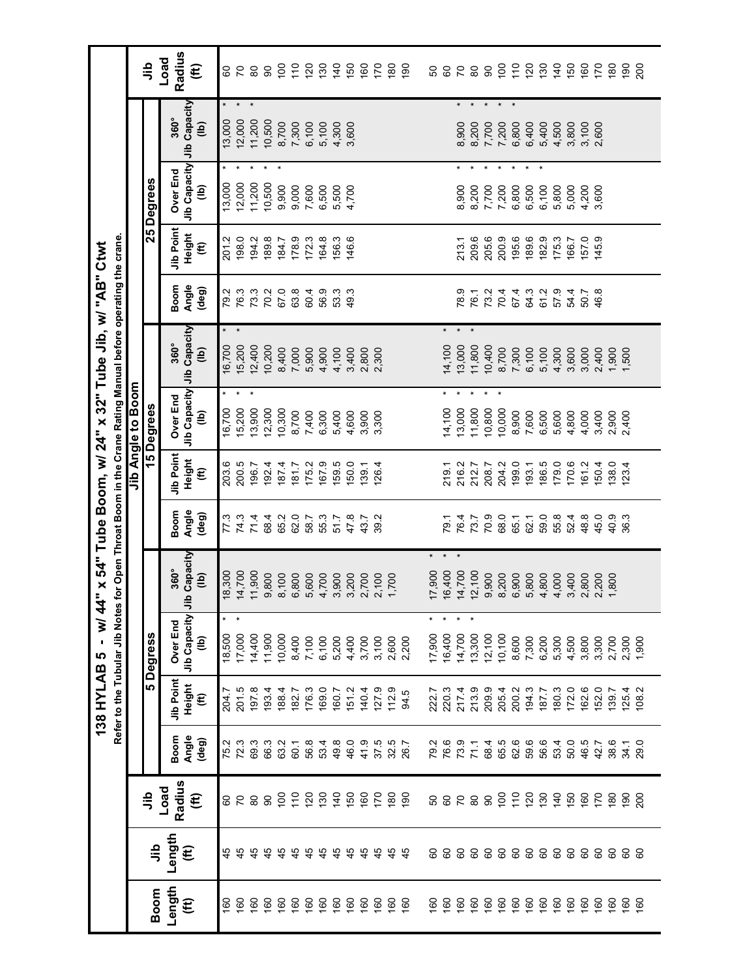|                                                                                                                                                                      |                   | <u>م</u> ر | Radius<br>Load<br>E                            | 60                | $\overline{2}$   | $\rm{8}$           | $\frac{5}{2}$<br>8                | 110   | $\overline{20}$ | $\frac{6}{2}$   | $\frac{40}{5}$ | $\frac{150}{2}$ | 160            | 170   | $\frac{80}{2}$ | $\frac{60}{2}$   | 50                     | 60               | $\overline{C}$        | $\rm{8}$               | 8                | Š                         | $\overline{5}$<br>$\tilde{=}$ | $\overline{30}$ | $\frac{140}{5}$ | $\overline{50}$    | $\frac{60}{5}$ | $\overline{170}$   | $^{180}$ | $\frac{6}{2}$  | $\approx$ |
|----------------------------------------------------------------------------------------------------------------------------------------------------------------------|-------------------|------------|------------------------------------------------|-------------------|------------------|--------------------|-----------------------------------|-------|-----------------|-----------------|----------------|-----------------|----------------|-------|----------------|------------------|------------------------|------------------|-----------------------|------------------------|------------------|---------------------------|-------------------------------|-----------------|-----------------|--------------------|----------------|--------------------|----------|----------------|-----------|
|                                                                                                                                                                      |                   |            | 360°<br>(al)                                   | $\star$<br>13,000 | $\ast$<br>12,000 | 11,200             | 10,500<br>8,700                   | 7,300 | 6,100           | 5,100           | 4,300          | 3,600           |                |       |                |                  |                        |                  | $\pmb{\ast}$<br>8,900 | $\pmb{\ast}$<br>8,200  | $\ast$<br>7,700  | $\star$<br>7,200          | 6,800<br>6,400                | 5,400           | 4,500           | 3,800              | 3,100          | 2,600              |          |                |           |
|                                                                                                                                                                      |                   | 25 Degrees | Jib Capacity Jib Capacity<br>Over End<br>(al   | $\ast$<br>13,000  | $\ast$<br>12,000 | 11,200             | 10,500<br>9,900                   | 9,000 | 7,600           | 6,500           | 5,500          | 4,700           |                |       |                |                  |                        |                  | 8,900                 | 8,200                  | 7,700            | 7,200                     | 6,800<br>6,500                | 6,100           | 5,800           | 5,000              | 4,200          | 3,600              |          |                |           |
|                                                                                                                                                                      |                   |            | Jib Point<br>Height<br>€                       | 201.2             | 198.0            | 194.2              | 189.8<br>184.7                    | 178.9 | 172.3           | 164.8           | 156.3          | 146.6           |                |       |                |                  |                        |                  | 213.1                 | 209.6                  | 205.6            | 200.9<br>195.6            | 189.6                         | 182.9           | 175.3           | 166.7              | 157.0          | 145.9              |          |                |           |
|                                                                                                                                                                      |                   |            | Boom<br>Angle<br>$(\text{deg})$                | 79.2              | 76.3             | 73.3               | 67.0<br>70.2                      | 63.8  | 60.4            | 56.9            | 53.3<br>49.3   |                 |                |       |                |                  |                        |                  | 78.9                  | 76.1                   | 73.2             | 70.4<br>67.4              |                               | 64.3<br>61.2    | 57.9            | 54.4               | 50.7           | œ<br>$\frac{6}{4}$ |          |                |           |
| Refer to the Tubular Jib Notes for Open Throat Boom in the Crane Rating Manual before operating the crane<br>i" x 54" Tube Boom, w/ 24" x 32" Tube Jib, w/ "AB" Ctwt |                   |            | Jib Capacity Jib Capacity<br>360°<br>ê         | 16,700            | $\ast$<br>15,200 | 12,400             | 10,200<br>8,400                   | 7,000 | 5,900           | 4,900           | 4,100          | 3,400           | 2,800          | 2,300 |                |                  |                        | 14,100           | 13,000                | 11,800                 | 10,400           | 8,700                     | 7,300<br>6,100                | 5,100           | 4,300           | 3,600              | 3,000          | 2,400              | 1,900    | 1,500          |           |
|                                                                                                                                                                      | Jib Angle to Boom | 15 Degrees | Over End<br>€                                  | $\ast$<br>16,700  | $\ast$<br>15,200 | $\ast$<br>13,900   | 12,300<br>10,300                  | 8,700 | 7,400           | 6,300           | 5,400          | 4,600           | 3,900          | 3,300 |                |                  |                        | $\ast$<br>14,100 | $\ast$<br>13,000      | $\pmb{\ast}$<br>11,800 | $\ast$<br>10,800 | $\ast$<br>10,000<br>8,900 | 7,600                         | 6,500           | 5,600           | 4,800              | 4,000          | 3,400              | 2,900    | 2,400          |           |
|                                                                                                                                                                      |                   |            | Jib Point<br>Height<br>$\boldsymbol{\epsilon}$ | 203.6             | 200.5            | 1967               | 192.4<br>1874                     | 181.7 | 175.2           | 167.9           | 159.5          | 150.0           | 139.1          | 126.4 |                |                  |                        | 219.1            | 216.2                 | 212.7                  | 208.7            | 204.2<br>199.0            | 193.1                         | 186.5           | 179.0           | 170.6              | 161.2          | 150.4              | 138.0    | 123.4          |           |
|                                                                                                                                                                      |                   |            | Angle<br>Boom<br>$(\deg)$                      | 77.3              | 74.3             | 71.4               | 65.2<br>68.4                      | 62.0  | 58.7            | 55.3            | 51.7           | 47.8            | 43.7           | 39.2  |                |                  |                        | 79.1             | 76.4                  | 73.7                   | 70.9             | 68.0<br>65.1              | 62.1                          | 59.0            | 55.8            | 52.4               | 48.8           | 45.0               | 40.9     | 36.3           |           |
|                                                                                                                                                                      |                   |            | b Capacity<br>360°<br>ê<br>∍                   | 18,300            | 14,700           | 11,900             | 9,800<br>8,100                    | 6,800 | 5,600           | 4,700           | 3,900          | 3,200           | 2,700          | 2,100 | 1,700          |                  | $\pmb{\ast}$<br>17,900 | $\ast$<br>16,400 | $\star$<br>14,700     | 12,100                 | 9,900            | 8,200                     | 6,900<br>5,800                | 4,800           | 4,000           | 3,400              | 2,800          | 2,200              | 1,800    |                |           |
| $\frac{44}{1}$<br>ï<br>မာ                                                                                                                                            |                   | 5 Degress  | Jib Capacity<br>Over End<br>€                  | $\ast$<br>18,500  | 17,000           | 14,400             | 10,000<br>11,900                  | 8,400 | 7,100           | 6,100           | 5,200          | 4,400           | 3,700          | 3,100 | 2,600          | 2,200            | 17,900                 | 16,400           | 14,700                | 13,300                 | 12,100           | 10,100                    | 8,600<br>7,300                | 6,200           | 5,300           | 4,500              | 3,800          | 3,300              | 2,700    | 2,300          | 1,900     |
| 138 HYLAB                                                                                                                                                            |                   |            | Jib Point<br>Height<br>€                       | 204.7             | 201.5            | 197.8              | 193.4<br>188.4                    | 182.7 | 176.3           | 169.0           | 160.7          | 151.2           | 140.4          | 127.9 | 112.9          | 94.5             | 222.7                  | 220.3            | 217.4                 | 213.9                  | 209.9            | 205.4<br>200.2            | 194.3                         | 187.7           | 180.3           | 172.0              | 162.6          | 152.0              | 139.7    | 125.4          | 108.2     |
|                                                                                                                                                                      |                   |            | Boom<br>Angle<br>$(\text{deg})$                | 75.2              | 72.3             | 69.3               | 66.3<br>63.2                      | 60.1  | 56.8            | 53.4            | 49.8           | 46.0            | 41.9           | 37.5  | 32.5           | 26.7             | 79.2                   | 76.6             | 73.9                  | 71.1                   | 68.4             | 62.6<br>65.5              | 59.6                          | 56.6            | 53.4            | 50.0               | 46.5           | 42.7               | 38.6     | 34.1           | 29.0      |
|                                                                                                                                                                      |                   | هاز        | Radius<br>Load<br>E                            | 8                 | S                | $\pmb{\mathbb{S}}$ | $\frac{100}{2}$<br>8              | 110   | 120             | 130             | $\frac{40}{5}$ | 150             | 160            | 170   | $^{180}$       | $\overline{190}$ | 8                      | 8                | 50                    | 80                     | 8                | $\frac{0}{1}$<br>110      | $\overline{20}$               | 130             | $\frac{40}{5}$  | 150                | 160            | 170                | 180      | $\overline{5}$ | 200       |
|                                                                                                                                                                      |                   | هاز        | Length<br>$\mathbf{\widehat{E}}$               | $\frac{4}{5}$     | 45               | 45                 | 45<br>45                          | 45    | 45              | 45              | $\frac{4}{9}$  | 45              | 45             | 45    | 45             | $\frac{4}{5}$    | 8                      | 60               | 8                     | 8                      | 80               | 60<br>80                  | 60                            | 60              | 60              | $\mbox{ }^{\rm o}$ | 80             | 8                  | 8        | 8              | 8         |
|                                                                                                                                                                      |                   | Boom       | Length<br>E                                    | ĝ,                | 160              | 160                | $\overline{60}$<br>$\frac{60}{2}$ | 160   | $\overline{60}$ | $\overline{60}$ | 30             | $\frac{60}{2}$  | $\frac{60}{2}$ | 95    | 160            | 160              | 160                    | 160              | 160                   | ĝ,                     | 160              | 160<br>ĝ,                 | 160                           | ĝ,              | 160             | 160                | 160            | 160                | 160      | $\frac{60}{2}$ | 160       |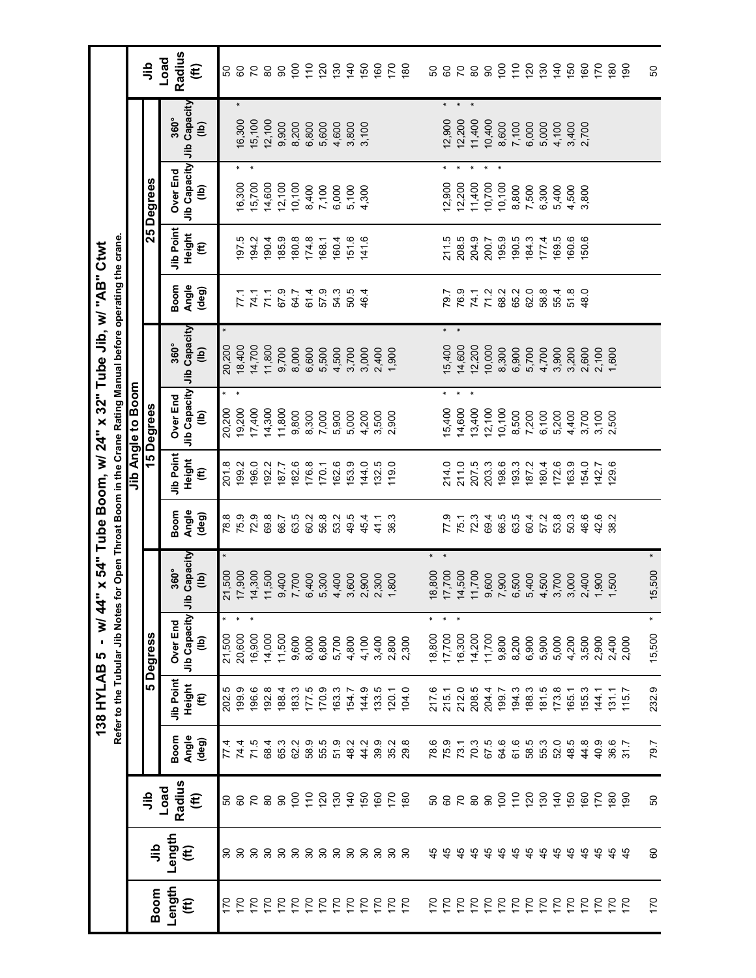|                                                                                                                                                                      |                                 | ݠڗ         | Radius<br>Load<br>E                            | 50               | 60                | $\overline{C}$   | 80               | 8                | $\overline{5}$<br>$\frac{1}{10}$     | $\overline{5}$  | $\frac{6}{2}$ | 140              | 150              | 60               | 170   | $\frac{80}{2}$  | 50                | 60                | $\overline{C}$           | $\rm{8}$           | 8             | $\overline{5}$   | $\frac{1}{2}$       | $\overline{5}$<br>130             | $\frac{40}{5}$   | 150              | 60                       | $\overline{170}$ | 180            | $\overline{5}$ | SO                     |
|----------------------------------------------------------------------------------------------------------------------------------------------------------------------|---------------------------------|------------|------------------------------------------------|------------------|-------------------|------------------|------------------|------------------|--------------------------------------|-----------------|---------------|------------------|------------------|------------------|-------|-----------------|-------------------|-------------------|--------------------------|--------------------|---------------|------------------|---------------------|-----------------------------------|------------------|------------------|--------------------------|------------------|----------------|----------------|------------------------|
|                                                                                                                                                                      |                                 |            | 360°<br>(dil)                                  |                  | $\ast$<br>16,300  | 15,100           | 12,100           | 9,900            | 8,200<br>6,800                       | 5,600           | 4,600         | 3,800            | 3,100            |                  |       |                 |                   | ¥<br>12,900       | $\star$<br>12,200        | $\ast$<br>11,400   | 10,400        | 8,600            | 7,100               | 6,000<br>5,000                    | 4,100            | 3,400            | 2,700                    |                  |                |                |                        |
|                                                                                                                                                                      |                                 | 25 Degrees | Jib Capacity Jib Capacity<br>Over End<br>ê     |                  | $\ast$<br>16,300  | $\ast$<br>15,700 | 14,600           | 12,100           | 10,100<br>8,400                      | 7,100           | 6,000         | 5,100            | 4,300            |                  |       |                 |                   | 12,900            | 12,200                   | 11,400             | 10,700        | 10,100           | 8,800               | 7,500<br>6,300                    | 5,400            | 4,500            | 3,800                    |                  |                |                |                        |
|                                                                                                                                                                      |                                 |            | Jib Point<br>Height<br>E                       |                  | 197.5             | 194.2            | 190.4            | 185.9            | 180.8<br>174.8                       | 168.1           | 160.4         | 151.6            | 141.6            |                  |       |                 |                   | 211.5             | 208.5                    | 204.9              | 200.7         | 195.9            | 190.5<br>184.3      | 177.4                             | 169.5            | 160.6            | 150.6                    |                  |                |                |                        |
|                                                                                                                                                                      |                                 |            | Boom<br>Angle<br>$(\text{deg})$                |                  | 77.1              | 74.1             | 71.1             | 67.9             | 61.4<br>64.7                         | 57.9            | 54.3          | 50.5             | 46.4             |                  |       |                 |                   | 79.7              | 76.9                     | 74.1               | 71.2          | 68.2             | 62.0<br>65.2        | 58.8                              | 55.4             | 51.8             | 48.0                     |                  |                |                |                        |
| Refer to the Tubular Jib Notes for Open Throat Boom in the Crane Rating Manual before operating the crane<br>I" x 54" Tube Boom, w/ 24" x 32" Tube Jib, w/ "AB" Ctwt |                                 |            | Jib Capacity Jib Capacity<br>360°<br>(dl)      | $\ast$<br>20,200 | 18,400            | 14,700           | 11,800           | 9,700            | 8,000<br>6,600                       | 5,500           | 4,500         | 3,700            | 3,000            | 2,400            | 1,900 |                 |                   | $\ast$<br>15,400  | $\ast$<br>14,600         | 12,200             | 10,000        | 8,300            | 6,900               | 5,700<br>4,700                    | 3,900            | 3,200            | 2,600                    | 2,100            | 1,600          |                |                        |
|                                                                                                                                                                      | ulo og op albu <del>y</del> qir | 15 Degrees | Over End<br>ê                                  | 20,200           | $\star$<br>19,200 | 17,400           | 14,300           | 11,800           | 9,800<br>8,300                       | 7,000           | 5,900         | 5,000            | 4,200            | 3,500            | 2,900 |                 |                   | $\star$<br>15,400 | $\ast$<br>14,600         | $\ast$<br>13,400   | 12,100        | 10,100           | 8,500               | 7,200<br>6,100                    | 5,200            | 4,400            | 3,700                    | 3,100            | 2,500          |                |                        |
|                                                                                                                                                                      |                                 |            | Jib Point<br>Height<br>$\boldsymbol{\epsilon}$ | 201.8            | 199.2             | 196.0            | 192.2            | 187.7            | 182.6<br>176.8                       | 170.1           | 162.6         | 153.9            | 144.0            | 132.5            | 119.0 |                 |                   | 214.0             | 211.0                    | 207.5              | 203.3         | 198.6            | 193.3               | 187.2<br>180.4                    | 172.6            | 163.9            | 154.0                    | 142.7            | 129.6          |                |                        |
|                                                                                                                                                                      |                                 |            | Angle<br>Boom<br>$(\text{deg})$                | 78.8             | 75.9              | 72.9             | 69.8             | 66.7             | 63.5<br>60.2                         | 56.8            | 53.2          | 49.5             | 45.4             | 41.1             | 36.3  |                 |                   | 77.9              | 75.1                     | 72.3               | 69.4          | 66.5             | 63.5                | 57.2<br>60.4                      | 53.8             | 50.3             | 46.6                     | 42.6             | 38.2           |                |                        |
|                                                                                                                                                                      |                                 |            | b Capacity<br>360°<br>ê<br>っ                   | $\ast$<br>21,500 | 17,900            | 14,300           | 11,500           | 9,400            | 7,700<br>6,400                       | 5,300           | 4,400         | 3,600            | 2,900            | 2,300            | 1,800 |                 | $*$ $*$<br>18,800 | 17,700            | 14,500                   | 11,700             | 9,600         | 7,900            | 6,500               | 4,500<br>5,400                    | 3,700            | 3,000            | 2,400                    | 1,900            | 1,500          |                | $\pmb{\ast}$<br>15,500 |
| $-$ W/ 44<br>မာ                                                                                                                                                      |                                 | 5 Degress  | Jib Capacity<br>Over End<br>€                  | 21,500           | 20,600            | 16,900           | 14,000           | 11,500           | 9,600<br>8,000                       | 6,800           | 5,700         | 4,800            | 4,100            | 3,400            | 2,800 | 2,300           | 18,800            | 17,700            | 16,300                   | 14,200             | 11,700        | 9,800            | 8,200               | 6,900<br>5,900                    | 5,000            | 4,200            | 3,500                    | 2,900            | 2,400          | 2,000          | $\ast$<br>15,500       |
| 138 HYLAB                                                                                                                                                            |                                 |            | Jib Point<br>Height<br>€                       | 202.5            | 199.9             | 196.6            | 192.8            | 188.4            | 177.5<br>183.3                       | 170.9           | 163.3         | 154.7            | 144.9            | 133.5            | 120.1 | 104.0           | 217.6             | 215.1             | 212.0                    | 208.5              | 204.4         | 199.7            | 194.3<br>188.3      | 181.5                             | 173.8            | 165.1            | 155.3                    | 144.1            | 131.1          | 115.7          | 232.9                  |
|                                                                                                                                                                      |                                 |            | Angle<br>Boom<br>(deg)                         | 77.4             | 74.4              | 71.5             | 68.4             | 65.3             | 62.2<br>58.9                         | 55.5            | 51.9          | 48.2             | 44.2             | 39.9             | 35.2  | $\infty$<br>29. | 78.6              | 75.9              | 73.1                     | 70.3               | 67.5          | 64.6             | 61.6                | 58.5<br>553                       | 52.0             | 48.5             | 44.8                     | 40.9             | 36.6           | 31.7           | 79.7                   |
|                                                                                                                                                                      |                                 | ء<br>آ     | Radius<br>Load<br>E                            | ន                | 8                 | $\mathcal{L}$    | 80               | 8                | $\overline{5}$<br>110                | $\overline{20}$ | $\frac{8}{2}$ | 140              | 150              | $\frac{60}{5}$   | 170   | $\frac{80}{2}$  | 8                 | 8                 | 50                       | $\pmb{\mathbb{S}}$ | 8             | $\frac{100}{2}$  | $\frac{1}{1}$       | $\overline{20}$<br>$\frac{8}{30}$ | 140              | 150              | 160                      | $\overline{5}$   | $\frac{80}{2}$ | $\overline{5}$ | 8                      |
|                                                                                                                                                                      |                                 | هڙ         | Length<br>€                                    | న్               | ္က                | వి               | $\boldsymbol{S}$ | င္က              | వి                                   | នននន            |               |                  | င္က              | $\boldsymbol{S}$ | SO    | င္က             | 45                | $\frac{15}{4}$    | 45                       | 45                 | $\frac{4}{5}$ | 45               | 45<br>$\frac{4}{9}$ | 45                                | $\frac{4}{5}$    | 45               | 45                       | 45               | 45             | $\frac{4}{5}$  | 60                     |
|                                                                                                                                                                      |                                 | Boom       | Length<br>E                                    | 94               | $\overline{5}$    | $\overline{170}$ | $\overline{170}$ | $\overline{170}$ | $\overline{170}$<br>$\overline{170}$ | 170             | $\mathcal{L}$ | $\overline{170}$ | $\overline{170}$ | S4               | š     | S1              | $\overline{5}$    | S1                | $\overline{\mathcal{L}}$ | S4                 | S1            | $\overline{170}$ | $\mathcal{L}$       | $\overline{170}$<br>$\mathcal{L}$ | $\overline{170}$ | $\overline{170}$ | $\overline{\mathcal{L}}$ | ξ                | S1             | 5q             | $\overline{170}$       |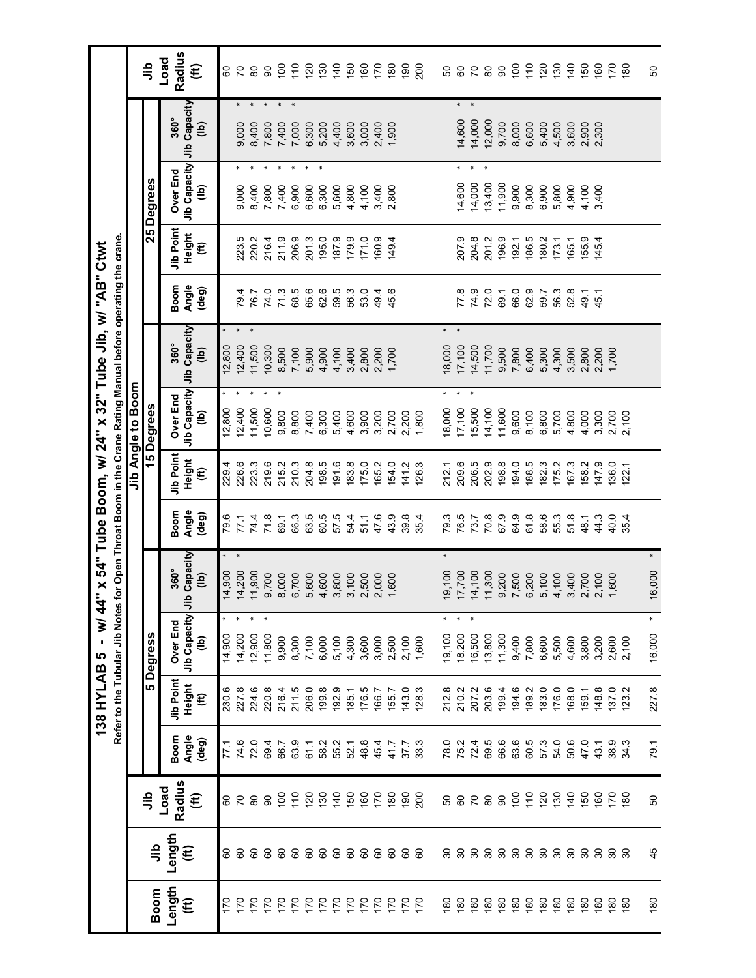|                                                                                                            |                   | ݠڗ         | Radius<br>Load<br>E                                      | $80$<br>8<br>$\overline{r}$                         | 8                | $\frac{6}{2}$<br>$\tilde{=}$        | $\overline{20}$  | $\frac{6}{2}$<br>$\frac{40}{5}$ | 150              | $\overline{160}$ | 170<br>$\frac{80}{2}$  | $\frac{60}{2}$ | $\overline{5}$ | SO                     | $\mbox{6}$        | $\overline{r}$   | 8<br>$\rm{8}$                    | $\frac{1}{2}$   | $\frac{1}{2}$ | $\overline{20}$ | $\frac{6}{2}$  | 140            | 150              | 60               | $\overline{5}$<br>$\frac{80}{2}$          | SO                     |
|------------------------------------------------------------------------------------------------------------|-------------------|------------|----------------------------------------------------------|-----------------------------------------------------|------------------|-------------------------------------|------------------|---------------------------------|------------------|------------------|------------------------|----------------|----------------|------------------------|-------------------|------------------|----------------------------------|-----------------|---------------|-----------------|----------------|----------------|------------------|------------------|-------------------------------------------|------------------------|
|                                                                                                            |                   |            | Jib Capacity<br>360°<br>$\widehat{=}$                    | 8,400<br>9,000                                      | $\ast$<br>7,800  | $\star$<br>$\ast$<br>7,400<br>7,000 | 6,300            | 5,200<br>4,400                  | 3,600            | 3,000            | 2,400<br>1,900         |                |                |                        | 14,600            | 14,000           | 12,000<br>9,700                  | 8,000           | 6,600         | 5,400           | 4,500          | 3,600          | 2,900            | 2,300            |                                           |                        |
|                                                                                                            |                   | 25 Degrees | Jib Capacity<br>Over End<br>ê                            | 8,400<br>9,000                                      | 7,800            | 7,400<br>6,900                      | 6,600            | 6,300<br>5,600                  | 4,800            | 4,100            | 3,400<br>2,800         |                |                |                        | 14,600            | 14,000           | 13,400<br>11,900                 | 9,900           | 8,300         | 6,900           | 5,800          | 4,900          | 4,100            | 3,400            |                                           |                        |
|                                                                                                            |                   |            | Jib Point<br>Height<br>€                                 | 223.5<br>220.2                                      | 216.4            | 211.9<br>206.9                      | 201.3            | 195.0<br>187.9                  | 179.9            | 171.0            | 160.9<br>149.4         |                |                |                        | 207.9             | 204.8            | 196.9<br>201.2                   | 192.1           | 186.5         | 180.2           | 173.1          | 165.1          | 155.9            | 145.4            |                                           |                        |
|                                                                                                            |                   |            | Boom<br>Angle<br>$(\text{deg})$                          | 4.<br>76.7<br>ğ                                     | 74.0             | 71.3                                | 68.5<br>65.6     | 62.6<br>59.5                    | 56.3             | 53.0             | 49.4<br>45.6           |                |                |                        | 77.8              | 74.9             | 72.0<br>69.1                     | 66.0            | 62.9          | 59.7            | 56.3           | 52.8           | 49.1             | 45.1             |                                           |                        |
| I" x 54" Tube Boom, w/ 24" x 32" Tube Jib, w/ "AB" Ctwt                                                    |                   |            | 360°<br>$\widehat{\mathsf{e}}$                           | $\star$<br>11,500<br>12,400<br>12,800               | 10,300           | 8,500<br>7,100                      | 5,900            | 4,900<br>4,100                  | 3,400            | 2,800            | 2,200<br>1,700         |                |                | $\pmb{\ast}$<br>18,000 | $\star$<br>17,100 | 14,500           | 11,700<br>9,500                  | 7,800           | 6,400         | 5,300           | 4,300          | 3,500          | 2,800            | 2,200            | 1,700                                     |                        |
|                                                                                                            | Jib Angle to Boom | 15 Degrees | Jib Capacity Jib Capacity<br>Over End<br>ê               | 12,800<br>12,400<br>11,500                          | $\ast$<br>10,600 | $\ast$<br>9,800<br>8,800            | 7,400            | 6,300<br>5,400                  | 4,600            | 3,900            | 3,200<br>2,700         | 2,200          | 1,800          | $\ast$<br>18,000       | $\ast$<br>17,100  | $\ast$<br>15,500 | 14,100<br>11,600                 | 9,600           | 8,100         | 6,800           | 5,700          | 4,800          | 4,000            | 3,300            | 2,700<br>2,100                            |                        |
|                                                                                                            |                   |            | Jib Point<br>Height<br>$\widehat{\epsilon}$              | 229.4<br>226.6<br>223.3                             | 219.6            | 215.2<br>210.3                      | 204.8            | 198.5<br>191.6                  | 183.8            | 175.0            | 165.2<br>154.0         | 141.2          | 126.3          | 212.1                  | 209.6             | 206.5            | 202.9<br>198.8                   | 194.0           | 188.5         | 182.3           | 175.2          | 167.3          | 158.2            | 147.9            | 136.0<br>122.1                            |                        |
|                                                                                                            |                   |            | Angle<br>Boom<br>$(\text{deg})$                          | 79.6<br>74.4<br>77.1                                | 71.8             | 66.3<br>69.1                        | 63.5             | 60.5<br>57.5                    | 54.4             | 51.1             | 47.6<br>43.9           | 39.8           | 35.4           | 79.3                   | 76.5              | 73.7             | 70.8<br>67.9                     | 64.9            | 61.8          | 58.6            | 55.3           | 51.8           | 48.1             | 44.3             | 40.0<br>35.4                              |                        |
| Refer to the Tubular Jib Notes for Open Throat Boom in the Crane Rating Manual before operating the crane. |                   |            | <b>b Capacity</b><br>360°<br>$\widehat{\mathsf{g}}$<br>⋾ | $\ast$<br>$\ast$<br>14,200<br>14,900<br>11,900      | 9,700            | 8,000<br>6,700                      | 5,600            | 4,600<br>3,800                  | 3,100            | 2,500            | 2,000<br>1,600         |                |                | $\star$<br>19,100      | 17,700            | 14,100           | 11,300<br>9,200                  | 7,500           | 6,200         | 5,100           | 4,100          | 3,400          | 2,700            | 2,100<br>1,600   |                                           | $\pmb{\ast}$<br>16,000 |
| $\frac{1}{4}$<br>$\blacksquare$<br><u> ဟ</u>                                                               |                   | 5 Degress  | Jib Capacity<br>Over End<br>ê                            | 14,900<br>14,200<br>12,900                          | 11,800           | 9,900<br>8,300                      | 7,100            | 6,000<br>5,100                  | 4,300            | 3,600            | 3,000<br>2,500         | 2,100          | 1,600          | $\ast$<br>19,100       | $\ast$<br>18,200  | 16,500           | 13,800<br>11,300                 | 9,400           | 7,800         | 6,600           | 5,500          | 4,600          | 3,800            | 3,200            | 2,600<br>2,100                            | $\ast$<br>16,000       |
| 138 HYLAB                                                                                                  |                   |            | Jib Point<br>Height<br>€                                 | 230.6<br>227.8<br>224.6                             | 220.8            | 211.5<br>216.4                      | 206.0            | 199.8<br>192.9                  | 185.1            | 176.5            | 166.7<br>155.7         | 143.0          | 128.3          | 212.8                  | 210.2             | 207.2            | 203.6<br>1994                    | 194.6           | 189.2         | 183.0           | 176.0          | 168.0          | 159.1            | 148.8            | 137.0<br>Ņ<br>123.                        | 227.8                  |
|                                                                                                            |                   |            | Angle<br>Boom<br>$(\text{deg})$                          | 72.0<br>74.6<br>77.1                                | 69.4             | 63.9<br>66.7                        | 61.1             | 58.2<br>55.2                    | 52.1             | 48.8             | 45.4<br>41.7           | 37.7           | 33.3           | 78.0                   | 75.2              | 72.4             | 69.5<br>66.6                     | 63.6            | 60.5          | 57.3            | 54.0           | 50.6           | 47.0             | 43.1             | 38.9<br>34.3                              | 79.1                   |
|                                                                                                            |                   | $\ddot{=}$ | Radius<br>Load<br>E                                      | 80<br>R<br>8                                        | 8                | 100<br>110                          | 120              | 130<br>140                      | 150              | 160              | 170<br>180             | 190            | 200            | ន                      | 8                 | 50               | 8<br>$\pmb{\mathbb{S}}$          | $\frac{100}{2}$ | 110           | 120             | 130            | $\frac{40}{5}$ | 150              | 160              | 170<br>$\frac{80}{2}$                     | 8                      |
|                                                                                                            |                   | هاز        | Length<br>€                                              | 60<br>8<br>8                                        | 60               | 60<br>60                            | 80               | 60<br>80                        | 60               | 60               | 60<br>80               | 60             | 60             | వి                     | 30                | $\boldsymbol{S}$ | င္က<br>వి                        | 30              | SO            | <u>ន ន</u>      |                | $30^{\circ}$   | $\boldsymbol{S}$ | $\boldsymbol{S}$ | $\mathcal{S}^{\circ}$<br>$\boldsymbol{S}$ | 45                     |
|                                                                                                            |                   | Boom       | Length<br>E                                              | $\overline{170}$<br>170<br>$\overline{\mathcal{E}}$ | $\overline{170}$ | 170<br>$\overline{170}$             | $\overline{170}$ | $\overline{170}$<br>170         | $\overline{170}$ | $\overline{170}$ | $\overline{170}$<br>ξp | S4             | S1             | $\frac{8}{2}$          | 180               | $\frac{80}{2}$   | $\frac{80}{2}$<br>$\frac{80}{2}$ | $\frac{80}{2}$  | 180           | $\frac{80}{2}$  | $\frac{80}{2}$ | $\frac{80}{2}$ | 180              | $\frac{8}{2}$    | $\frac{80}{2}$<br>$\frac{80}{2}$          | 180                    |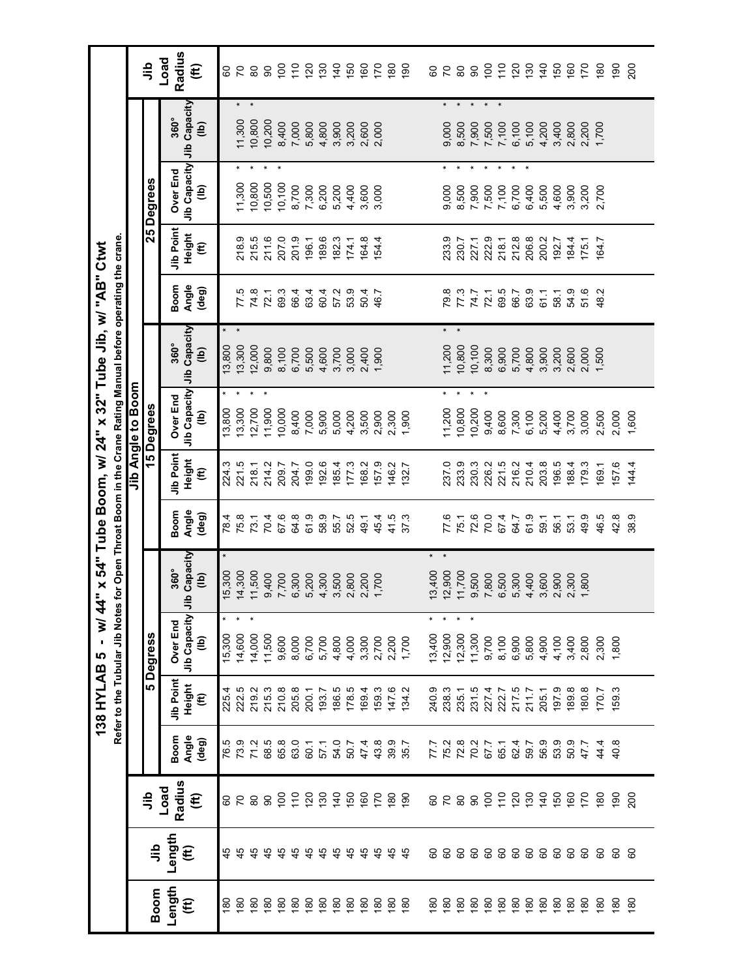|                                                                                                                                                                      |                   | <u>م</u> اڑ | Radius<br>Load<br>E                           | 8                      | $\overline{r}$   | $80$                       | 90               | $\frac{5}{2}$   | $\overline{20}$<br>$\frac{1}{2}$ | 130           | $\frac{40}{5}$ | $\frac{60}{2}$ | $\frac{60}{2}$ | ρζ            | 180           | $\frac{60}{2}$ | $\mbox{6}$             | $\overline{r}$    | $\rm{8}$          | 8                      | $\frac{5}{2}$         | $\frac{1}{2}$  | $\frac{5}{2}$   | $\frac{6}{2}$ | $\frac{40}{5}$ | 150           | $\frac{60}{5}$ | ςł             | $\frac{80}{2}$ | ĝ,             | $\approx$     |
|----------------------------------------------------------------------------------------------------------------------------------------------------------------------|-------------------|-------------|-----------------------------------------------|------------------------|------------------|----------------------------|------------------|-----------------|----------------------------------|---------------|----------------|----------------|----------------|---------------|---------------|----------------|------------------------|-------------------|-------------------|------------------------|-----------------------|----------------|-----------------|---------------|----------------|---------------|----------------|----------------|----------------|----------------|---------------|
|                                                                                                                                                                      |                   |             | $360^\circ$<br>ê                              |                        | ¥<br>11,300      | $\boldsymbol{*}$<br>10,800 | 10,200           | 8,400           | 7,000<br>5,800                   | 4,800         | 3,900          | 3,200          | 2,600<br>2,000 |               |               |                |                        | $\ast$<br>9,000   | $\star$<br>8,500  | $\ast$<br>7,900        | $\pmb{\ast}$<br>7,500 | 7,100          | 6,100           | 5,100         | 4,200          | 3,400         | 2,800          | 2,200          | 1,700          |                |               |
|                                                                                                                                                                      |                   | 25 Degrees  | Jib Capacity Jib Capacity<br>Over End<br>€    |                        | 11,300           | 10,800                     | 10,500           | 10,100          | 8,700<br>7,300                   | 6,200         | 5,200          | 4,400          | 3,600          | 3,000         |               |                |                        | 9,000             | 8,500             | 7,900                  | 7,500                 | 7,100          | 6,700           | 6,400         | 5,500          | 4,600         | 3,900          | 3,200          | 2,700          |                |               |
|                                                                                                                                                                      |                   |             | Jib Point<br>Height<br>€                      |                        | 218.9            | 215.5                      | 211.6            | 207.0           | 201.9<br>196.1                   | 189.6         | 182.3          | 174.1          | 164.8          | 154.4         |               |                |                        | 233.9             | 230.7             | 227.1                  | 222.9                 | 218.1          | 212.8           | 206.8         | 200.2          | 192.7         | 184.4          | 175.1          | 164.7          |                |               |
|                                                                                                                                                                      |                   |             | Boom<br>Angle<br>$(\text{deg})$               |                        | 77.5             | 74.8                       | 72.1             | 69.3            | 66.4<br>63.4                     | 60.4          | 57.2           | 53.9           | 50.4           | 46.7          |               |                |                        | 79.8              | 77.3              | 74.7                   | 72.1                  | 69.5           | 66.7            | 63.9          | 61.1           | 58.1          | 54.9           | 51.6           | 48.2           |                |               |
| Refer to the Tubular Jib Notes for Open Throat Boom in the Crane Rating Manual before operating the crane<br>I" x 54" Tube Boom, w/ 24" x 32" Tube Jib, w/ "AB" Ctwt |                   |             | Jib Capacity Jib Capacity<br>360°<br>ê        | $\ast$<br>13,800       | $\ast$<br>13,300 | 12,000                     | 9,800            | 8,100           | 6,700<br>5,500                   | 4,600         | 3,700          | 3,000          | 2,400          | 1,900         |               |                |                        | $\ast$<br>11,200  | $\ast$<br>10,800  | 10,100                 | 8,300                 | 6,900          | 5,700           | 4,800         | 3,900          | 3,200         | 2,600          | 2,000          | 1,500          |                |               |
|                                                                                                                                                                      | Jib Angle to Boom | 15 Degrees  | Over End<br>€                                 | ×<br>13,800            | $\ast$<br>13,300 | $\ast$<br>12,700           | $\ast$<br>11,900 | 10,000          | 8,400<br>7,000                   | 5,900         | 5,000          | 4,200          | 3,500          | 2,900         | 2,300         | 1,900          |                        | $\ast$<br>11,200  | $\star$<br>10,800 | $\pmb{\ast}$<br>10,200 | $\ast$<br>9,400       | 8,600          | 7,300           | 6,100         | 5,200          | 4,400         | 3,700          | 3,000          | 2,500          | 2,000          | 1,600         |
|                                                                                                                                                                      |                   |             | Jib Point<br>Height<br>$\mathbf{\widehat{E}}$ | 224.3                  | 221.5            | 218.1                      | 214.2            | 209.7           | 199.0<br>204.7                   | 192.6         | 185.4          | 177.3          | 168.2          | 157.9         | 146.2         | 132.7          |                        | 237.0             | 233.9             | 230.3                  | 226.2                 | 221.5          | 216.2           | 210.4         | 203.8          | 196.5         | 188.4          | 179.3          | 169.1          | 157.6          | 144.4         |
|                                                                                                                                                                      |                   |             | Angle<br>Boom<br>$(\text{deg})$               | 78.4                   | 75.8             | 73.1                       | 70.4             | 67.6            | 61.9<br>64.8                     | 58.9          | 55.7           | 52.5           | 49.1           | 45.4          | 41.5          | 37.3           |                        | 77.6              | 75.1              | 72.6                   | 70.0                  | 67.4           | 64.7            | 61.9          | 59.1           | 56.1          | 53.1           | 49.9           | 46.5           | 42.8           | 38.9          |
|                                                                                                                                                                      |                   |             | <b>b Capacity</b><br>360°<br>ê<br>っ           | $\ast$<br>15,300       | 14,300           | 11,500                     | 9,400            | 7,700           | 6,300<br>5,200                   | 4,300         | 3,500          | 2,800          | 2,200          | 1,700         |               |                | $\pmb{\ast}$<br>13,400 | $\star$<br>12,900 | 11,700            | 9,500                  | 7,800                 | 6,500          | 5,300           | 4,400         | 3,600          | 2,900         | 2,300          | 1,800          |                |                |               |
| $-$ W/ 44<br>မာ                                                                                                                                                      |                   | 5 Degress   | <b>Jib Capacity</b><br>Over End<br>€          | $\pmb{\ast}$<br>15,300 | $\ast$<br>14,600 | 14,000                     | 11,500           | 9,600           | 8,000<br>6,700                   | 5,700         | 4,800          | 4,000          | 3,300          | 2,700         | 2,200         | 1,700          | 13,400                 | 12,900            | 12,300            | 11,300                 | 9,700                 | 8,100          | 6,900           | 5,800         | 4,900          | 4,100         | 3,400          | 2,800          | 2,300          | 1,800          |               |
| <b>138 HYLAB</b>                                                                                                                                                     |                   |             | Jib Point<br>Height<br>€                      | 225.4                  | 222.5            | 219.2                      | 215.3            | 210.8           | 205.8<br>200.1                   | 193.7         | 186.5          | 178.5          | 169.4          | 159.3         | 147.6         | 134.2          | 240.9                  | 238.3             | 235.1             | 231.5                  | 2274                  | 222.7          | 217.5           | 211.7         | 205.1          | 197.9         | 189.8          | 180.8          | 170.7          | 159.3          |               |
|                                                                                                                                                                      |                   |             | Angle<br>Boom<br>$(\text{deg})$               | 76.5                   | 73.9             | 71.2                       | 68.5             | 65.8            | 63.0<br>60.1                     | 57.1          | 54.0           | 50.7           | 47.4           | 43.8          | 39.9          | 35.7           | 77.7                   | 75.2              | 72.8              | 70.2                   | 67.7                  | 65.1           | 62.4            | 59.7          | 56.9           | 53.9          | 50.9           | 47.7           | 44.4           | 40.8           |               |
|                                                                                                                                                                      |                   | ءِ          | Radius<br>Load<br>$\widehat{\mathbf{t}}$      |                        | 8 S              | $\pmb{\mathbb{S}}$         | 8                | $\frac{8}{100}$ | $\frac{1}{1}$<br>$\overline{20}$ | 130           | $\frac{40}{5}$ | 150            | $\frac{60}{2}$ | 170           | 180           | $\frac{60}{2}$ | 8                      | <b>P</b>          | 80                | 8                      | $\overline{5}$        | 110            | $\overline{20}$ | 130           | 140            | 150           | $\frac{60}{5}$ | 170            | $\frac{80}{2}$ | $\frac{60}{2}$ | 200           |
|                                                                                                                                                                      |                   | هاز         | Length<br>E                                   | 45                     | 45               | $\frac{4}{5}$              | 45               | 45              | 45<br>$\frac{4}{9}$              | 45            | $\frac{15}{4}$ | 45             | $\frac{4}{5}$  | 45            | 45            | $\frac{4}{5}$  | 80                     | 60                | 60                | 60                     | 60                    | 60             | 60              | 8             | 8              | 60            | 60             | 60             | 60             | 60             | 8             |
|                                                                                                                                                                      |                   | Boom        | Length<br>E                                   | $\frac{8}{2}$          | $\frac{8}{2}$    | $\frac{80}{2}$             | $\frac{80}{2}$   | $\frac{80}{2}$  | $\frac{80}{2}$<br>$\frac{8}{2}$  | $\frac{8}{2}$ | $\frac{8}{2}$  | $\frac{8}{2}$  | $\frac{8}{2}$  | $\frac{8}{2}$ | $\frac{8}{2}$ | es<br>1        | $\frac{8}{2}$          | $\frac{80}{2}$    | 180               | $\frac{8}{2}$          | $\frac{8}{2}$         | $\frac{80}{2}$ | $\frac{8}{2}$   | $\frac{8}{2}$ | $\frac{80}{2}$ | $\frac{8}{2}$ | $\frac{8}{2}$  | $\frac{80}{2}$ | $\frac{80}{2}$ | $\frac{8}{2}$  | $\frac{8}{2}$ |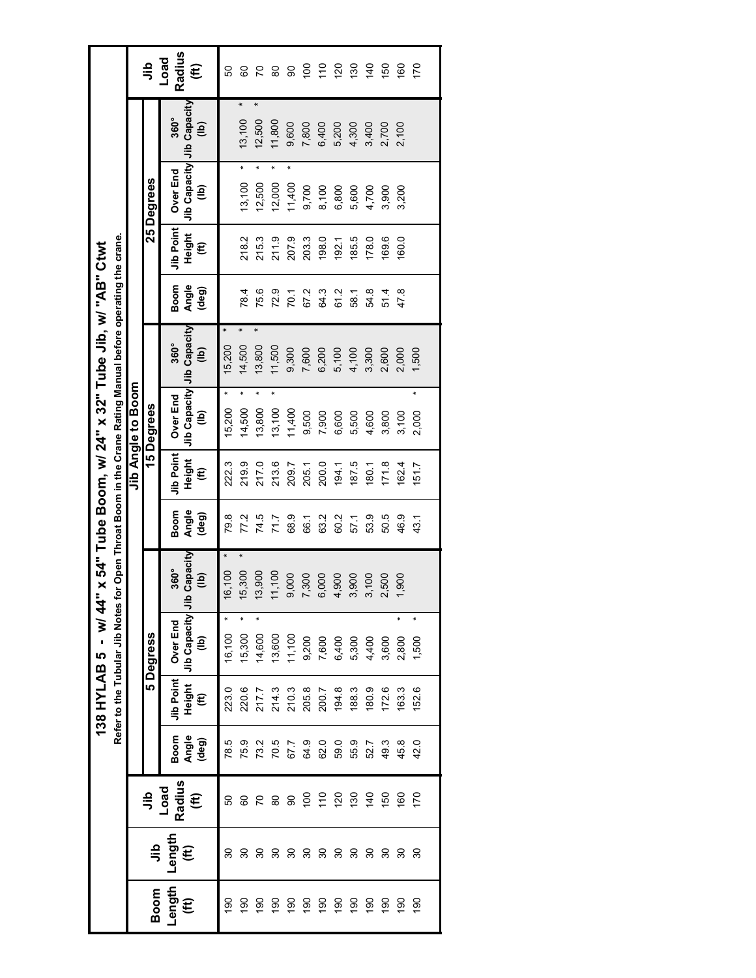|                                                                                                                                       |                   | هاز           | Radius<br><b>Load</b><br>E                 | 50               | 8             | 5                | 80                | 8              | 9              | $\frac{1}{2}$  | $\frac{20}{2}$  | $\frac{130}{2}$            | $\frac{40}{3}$ | $\frac{60}{50}$  | $\frac{60}{2}$ | 170              |
|---------------------------------------------------------------------------------------------------------------------------------------|-------------------|---------------|--------------------------------------------|------------------|---------------|------------------|-------------------|----------------|----------------|----------------|-----------------|----------------------------|----------------|------------------|----------------|------------------|
|                                                                                                                                       |                   |               | 360°<br>ê                                  |                  | 13,100        | 12,500           | 11,800            | 9,600          | 7,800          | 6,400          | 5,200           | 4,300                      | 3,400          | 2,700            | 2,100          |                  |
|                                                                                                                                       |                   | 25 Degrees    | Jib Capacity Jib Capacity<br>Over End<br>€ |                  | 13,100        | 12,500           | 12,000            | 11,400         | 9,700          | 8,100          | 6,800           | 5,600                      | 4,700          | 3,900            | 3,200          |                  |
|                                                                                                                                       |                   |               | Jib Point<br>Height<br>E                   |                  | 218.2         | 215.3            | 211.9             | 207.9          | 203.3          | 198.0          | 192.1           | 185.5                      | 178.0          | 169.6            | 160.0          |                  |
|                                                                                                                                       |                   |               | Boom<br>Angle<br>(deg)                     |                  | 78.4          | 75.6             | 72.9              | 70.1           | 67.2           | 64.3           | 61.2            | 58.1                       | 54.8           | 51.4             | 47.8           |                  |
|                                                                                                                                       |                   |               | 360°<br>ê                                  | ×<br>15,200      | 14,500        | 13,800           | 11,500            | 9,300          | 7,600          | 6,200          | 5,100           | 4,100                      | 3,300          | 2,600            | 2,000          | 1,500            |
| for Open Throat Boom in the Crane Rating Manual before operating the crane.<br>" x 54" Tube Boom, w/ 24" x 32" Tube Jib, w/ "AB" Ctwt | Jib Angle to Boom | 15 Degrees    | Jib Capacity Jib Capacity<br>Over End<br>ê | ×<br>15,200      | 14,500        | $\ast$<br>13,800 | $\star$<br>13,100 | 11,400         | 9,500          | 7,900          | 6,600           | 5,500                      | 4,600          | 3,800            | 3,100          | ×<br>2,000       |
|                                                                                                                                       |                   |               | Jib Point<br>Height<br>E                   | 222.3            | 219.9         | 217.0            | 213.6             | 209.7          | 205.1          | 200.0          | 194.1           | 187.5                      | 180.1          | 171.8            | 62.4           | 151.7            |
|                                                                                                                                       |                   |               | Boom<br>Angle<br>$(\text{deg})$            | 79.8             | 77.2          | 74.5             | 71.7              | 68.9           | 66.1           | 63.2           | 60.2            | 57.1                       | 53.9           | 50.5             | 46.9           | 43.1             |
|                                                                                                                                       |                   |               | ib Capacity<br>360°<br>ê                   | $\ast$<br>16,100 | 15,300        | 13,900           | 11,100            | 9,000          | 7,300          | 6,000          | 4,900           | 3,900                      | 3,100          | 2,500            | 1,900          |                  |
| $\frac{44}{3}$<br>Refer to the Tubular Jib Notes                                                                                      |                   | 5 Degress     | Jib Capacity<br>Over End<br>€              | 16,100           | 15,300        | 14,600           | 13,600            | 11,100         | 9,200          | 7,600          | 6,400           | 5,300                      | 4,400          | 3,600            | 2,800          | 1,500            |
| 138 HYLAB 5 -                                                                                                                         |                   |               | Jib Point<br>Height<br>E                   | 223.0            | 220.6         | 217.7            | 214.3             | 210.3          | 205.8          | 200.7          | 194.8           | 188.3                      | 180.9          | 172.6            | 163.3          | 152.6            |
|                                                                                                                                       |                   |               | Boom<br>Angle<br>(deg)                     | 78.5             | 75.9          | 73.2             | 70.5              | 67.7           | 64.9           | 62.0           | 59.0            | 55.9                       | 52.7           | 49.3             | 45.8           | 42.0             |
|                                                                                                                                       |                   | هاز           | Radius<br>Load<br>$\widehat{\epsilon}$     | 8                | 8             | <b>P</b> 8       |                   | 8              | $\overline{5}$ | $\frac{1}{10}$ | $\overline{20}$ | $\frac{130}{2}$            | $\frac{40}{5}$ | 150              | 160            | $\overline{170}$ |
|                                                                                                                                       |                   | <u>م</u><br>5 | Length<br>€                                | 30               | 30            | $\boldsymbol{S}$ | 30                | 30             | ႙              | ္က             | వి              | $\mathcal{S}^{\mathsf{O}}$ | င္က            | $\boldsymbol{S}$ | 30             | $\boldsymbol{S}$ |
|                                                                                                                                       |                   | Boom          | Length<br>€                                | $\frac{60}{20}$  | $\frac{6}{2}$ | $\overline{6}$   | $\overline{6}$    | $\overline{6}$ | $\overline{6}$ | $\frac{8}{2}$  | ĝ,              | $\frac{6}{2}$              | ĝ,             | ĝ                | န္က            | $\frac{8}{2}$    |